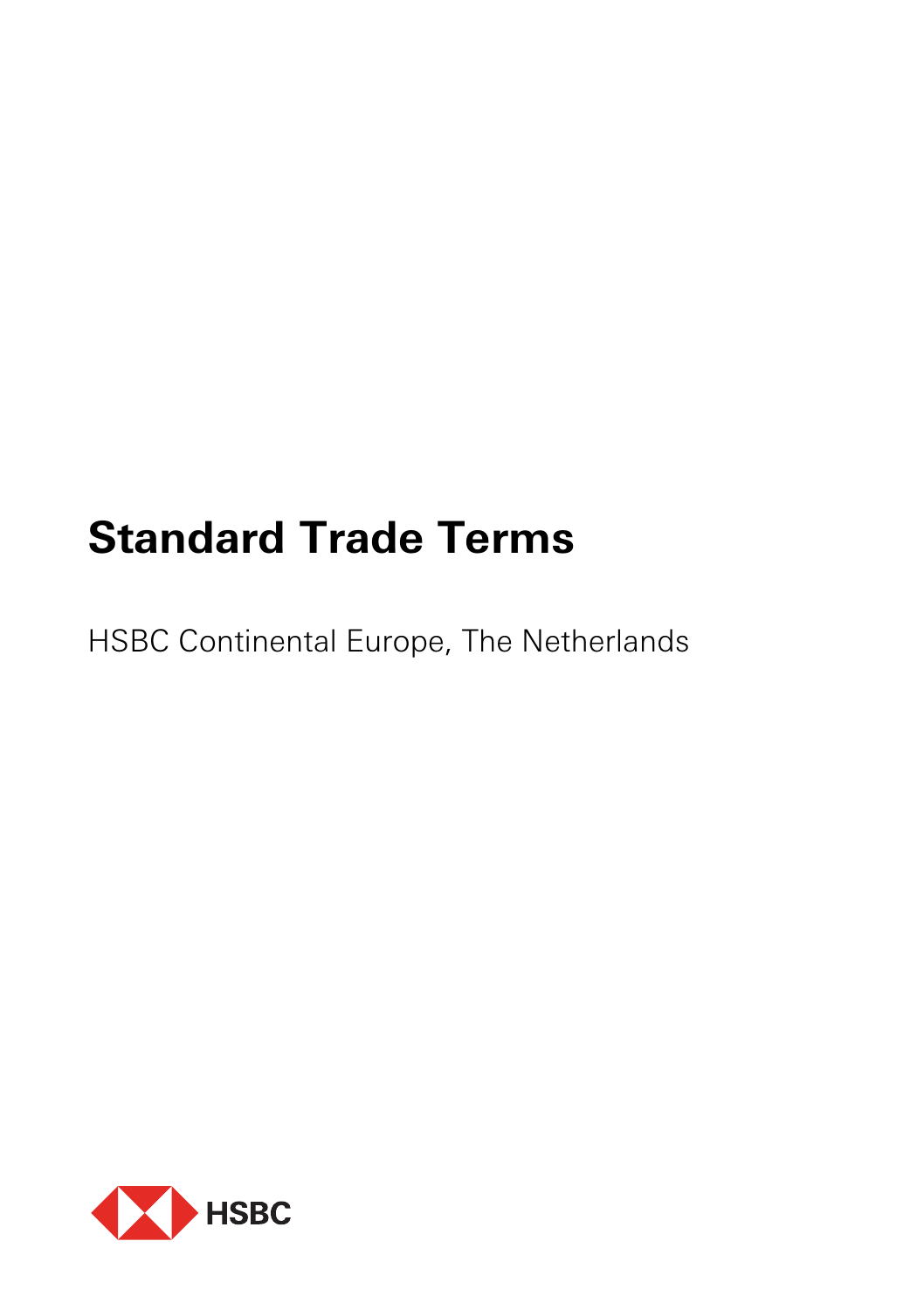# **Standard Trade Terms**

HSBC Continental Europe, The Netherlands

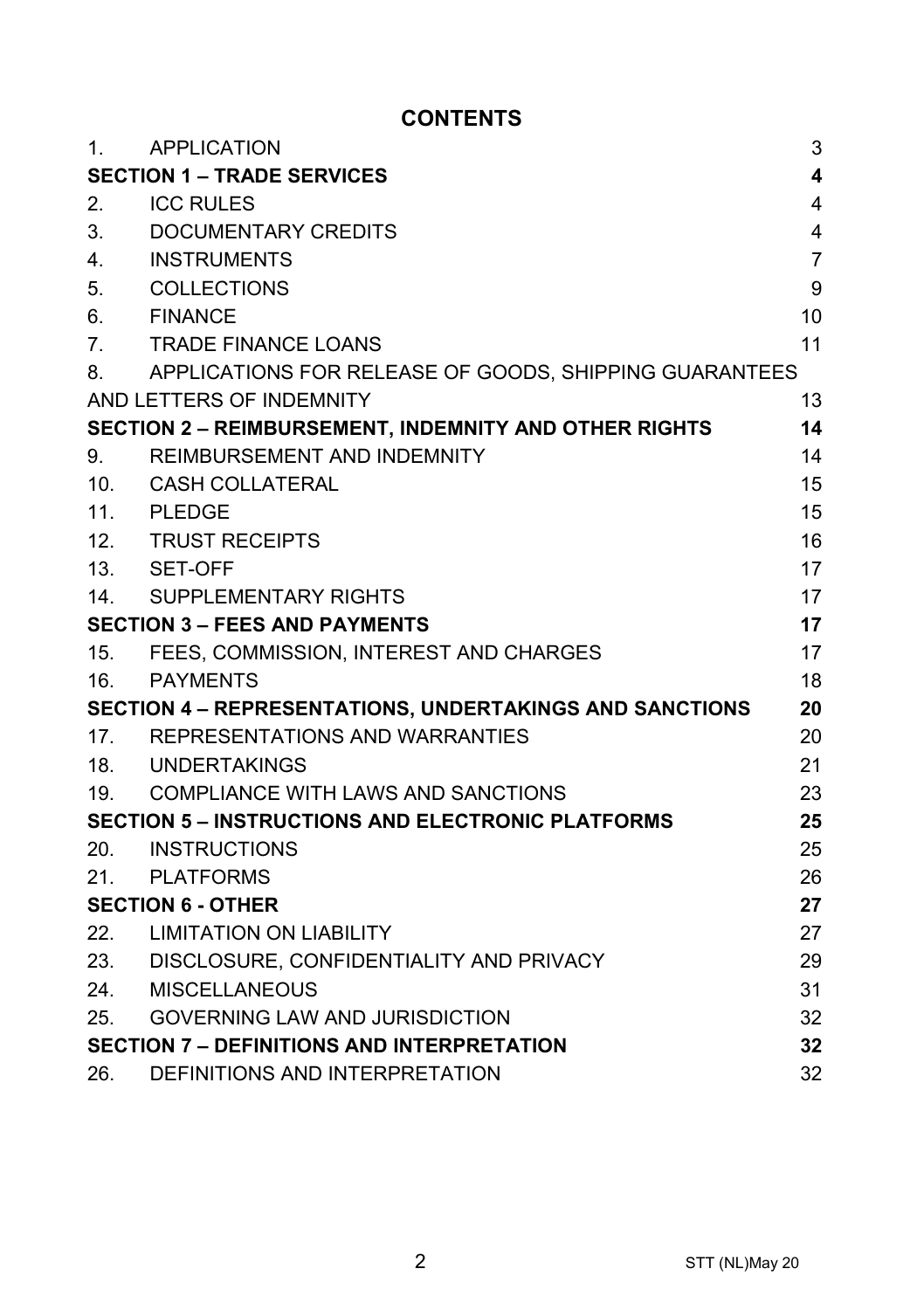# **CONTENTS**

| 1.                                                             | <b>APPLICATION</b>                                           | 3              |
|----------------------------------------------------------------|--------------------------------------------------------------|----------------|
| 4<br><b>SECTION 1 - TRADE SERVICES</b>                         |                                                              |                |
| 2.                                                             | <b>ICC RULES</b>                                             | 4              |
| 3.                                                             | DOCUMENTARY CREDITS                                          | $\overline{4}$ |
| 4.                                                             | <b>INSTRUMENTS</b>                                           | $\overline{7}$ |
| 5.                                                             | COLLECTIONS                                                  | 9              |
| 6.                                                             | <b>FINANCE</b>                                               | 10             |
| 7.                                                             | TRADE FINANCE LOANS                                          | 11             |
| 8.                                                             | APPLICATIONS FOR RELEASE OF GOODS, SHIPPING GUARANTEES       |                |
|                                                                | AND LETTERS OF INDEMNITY                                     | 13             |
|                                                                | <b>SECTION 2 - REIMBURSEMENT, INDEMNITY AND OTHER RIGHTS</b> | 14             |
| 9.                                                             | REIMBURSEMENT AND INDEMNITY                                  | 14             |
| 10 <sub>1</sub>                                                | CASH COLLATERAL                                              | 15             |
|                                                                | 11. PLEDGE                                                   | 15             |
|                                                                | 12. TRUST RECEIPTS                                           | 16             |
|                                                                | 13. SET-OFF                                                  | 17             |
|                                                                | 14. SUPPLEMENTARY RIGHTS                                     | 17             |
| <b>SECTION 3 - FEES AND PAYMENTS</b>                           |                                                              | 17             |
|                                                                | 15. FEES, COMMISSION, INTEREST AND CHARGES                   | 17             |
| 16.                                                            | <b>PAYMENTS</b>                                              | 18             |
| <b>SECTION 4 - REPRESENTATIONS, UNDERTAKINGS AND SANCTIONS</b> |                                                              | 20             |
| 17 <sub>1</sub>                                                | REPRESENTATIONS AND WARRANTIES                               | 20             |
|                                                                | 18. UNDERTAKINGS                                             | 21             |
|                                                                | 19. COMPLIANCE WITH LAWS AND SANCTIONS                       | 23             |
| <b>SECTION 5 - INSTRUCTIONS AND ELECTRONIC PLATFORMS</b><br>25 |                                                              |                |
| 20.                                                            | <b>INSTRUCTIONS</b>                                          | 25             |
| 21.                                                            | <b>PLATFORMS</b>                                             | 26             |
| <b>SECTION 6 - OTHER</b>                                       |                                                              | 27             |
| 22.                                                            | <b>LIMITATION ON LIABILITY</b>                               | 27             |
|                                                                | 23. DISCLOSURE, CONFIDENTIALITY AND PRIVACY                  | 29             |
| 24.                                                            | <b>MISCELLANEOUS</b>                                         | 31             |
| 25.                                                            | <b>GOVERNING LAW AND JURISDICTION</b>                        | 32             |
|                                                                | <b>SECTION 7 - DEFINITIONS AND INTERPRETATION</b>            |                |
| 26.                                                            | DEFINITIONS AND INTERPRETATION                               | 32             |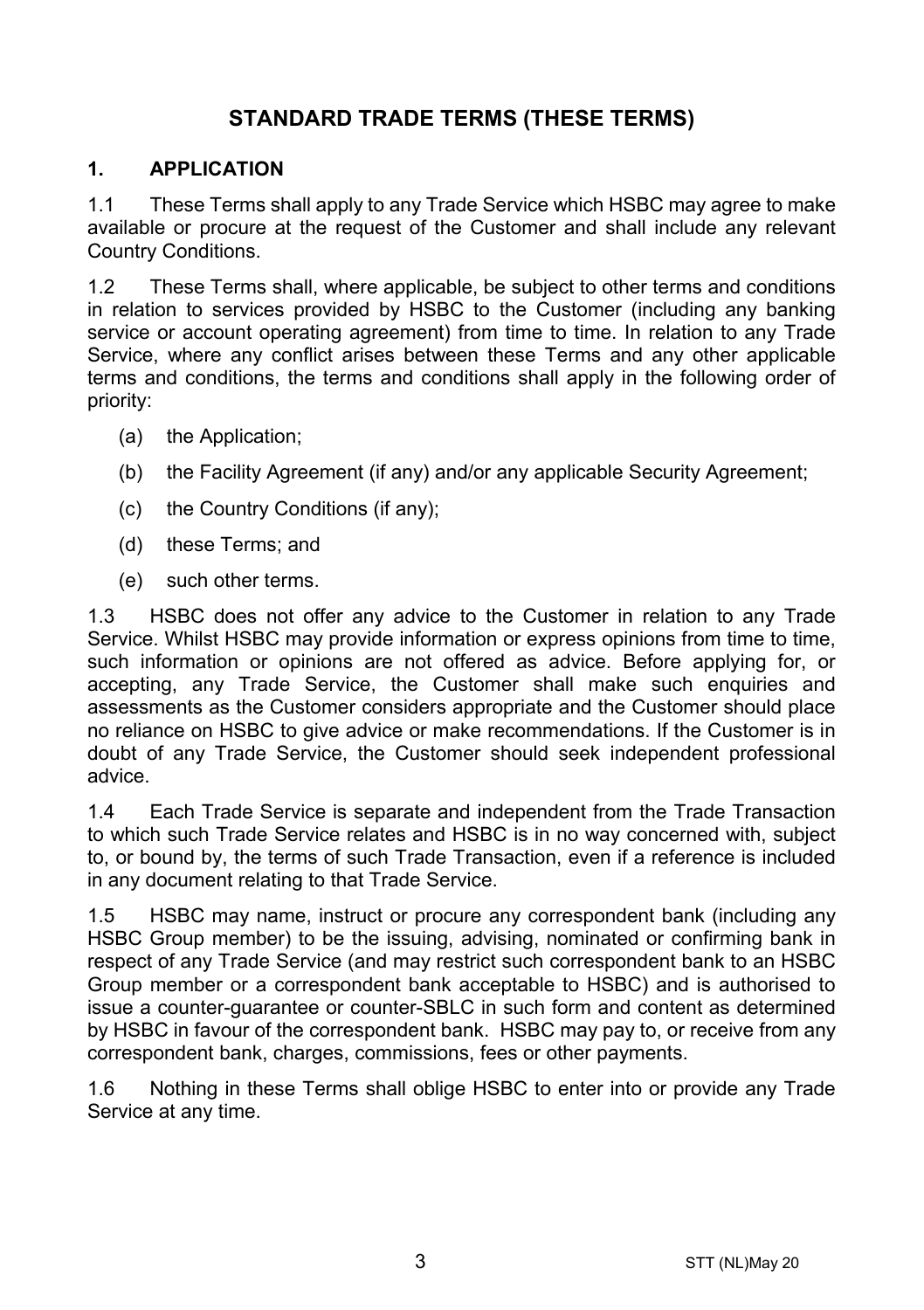# **STANDARD TRADE TERMS (THESE TERMS)**

#### **1. APPLICATION**

1.1 These Terms shall apply to any Trade Service which HSBC may agree to make available or procure at the request of the Customer and shall include any relevant Country Conditions.

1.2 These Terms shall, where applicable, be subject to other terms and conditions in relation to services provided by HSBC to the Customer (including any banking service or account operating agreement) from time to time. In relation to any Trade Service, where any conflict arises between these Terms and any other applicable terms and conditions, the terms and conditions shall apply in the following order of priority:

- (a) the Application;
- (b) the Facility Agreement (if any) and/or any applicable Security Agreement;
- (c) the Country Conditions (if any);
- (d) these Terms; and
- (e) such other terms.

1.3 HSBC does not offer any advice to the Customer in relation to any Trade Service. Whilst HSBC may provide information or express opinions from time to time, such information or opinions are not offered as advice. Before applying for, or accepting, any Trade Service, the Customer shall make such enquiries and assessments as the Customer considers appropriate and the Customer should place no reliance on HSBC to give advice or make recommendations. If the Customer is in doubt of any Trade Service, the Customer should seek independent professional advice.

1.4 Each Trade Service is separate and independent from the Trade Transaction to which such Trade Service relates and HSBC is in no way concerned with, subject to, or bound by, the terms of such Trade Transaction, even if a reference is included in any document relating to that Trade Service.

1.5 HSBC may name, instruct or procure any correspondent bank (including any HSBC Group member) to be the issuing, advising, nominated or confirming bank in respect of any Trade Service (and may restrict such correspondent bank to an HSBC Group member or a correspondent bank acceptable to HSBC) and is authorised to issue a counter-guarantee or counter-SBLC in such form and content as determined by HSBC in favour of the correspondent bank. HSBC may pay to, or receive from any correspondent bank, charges, commissions, fees or other payments.

1.6 Nothing in these Terms shall oblige HSBC to enter into or provide any Trade Service at any time.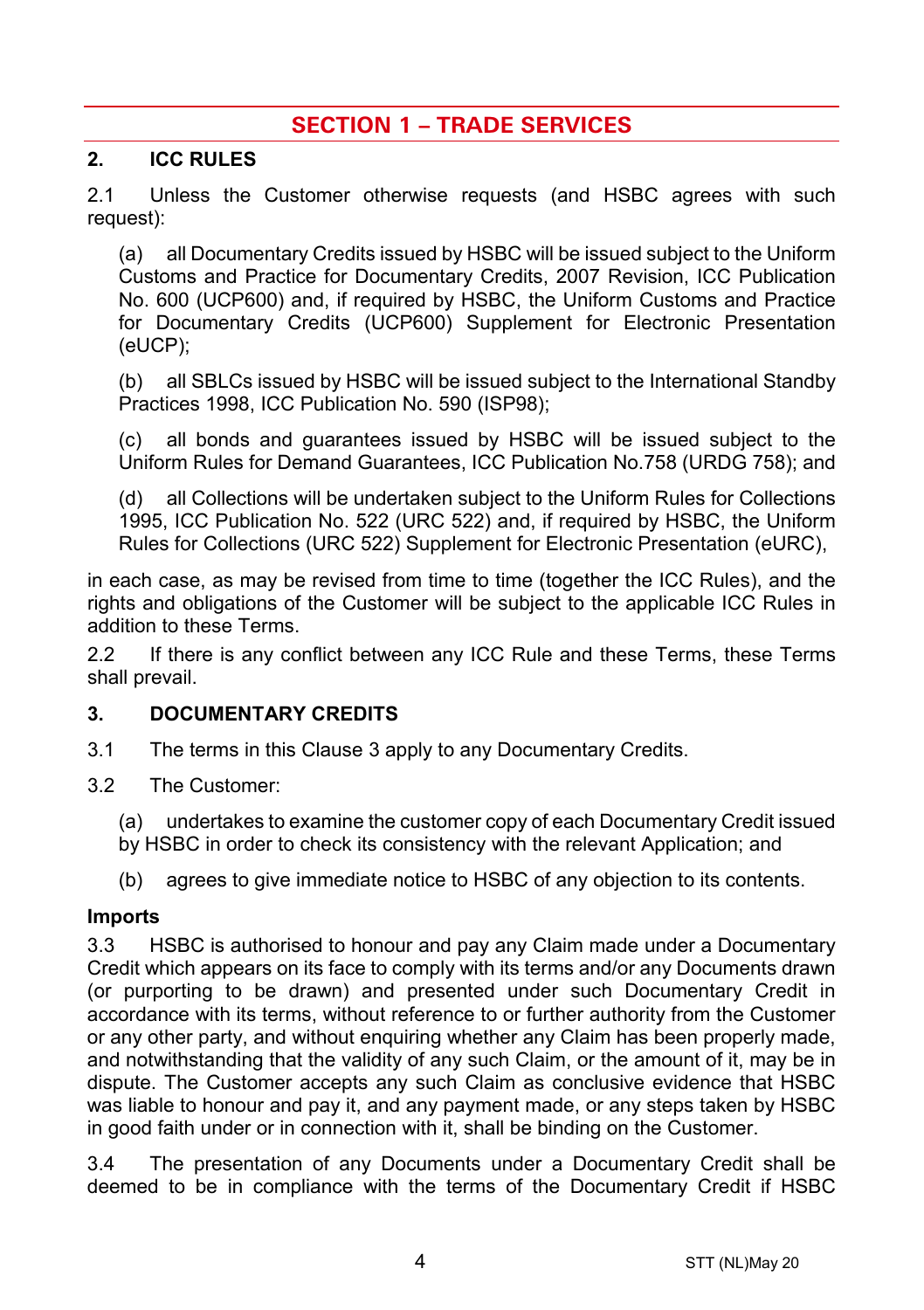# **SECTION 1 – TRADE SERVICES**

#### **2. ICC RULES**

2.1 Unless the Customer otherwise requests (and HSBC agrees with such request):

(a) all Documentary Credits issued by HSBC will be issued subject to the Uniform Customs and Practice for Documentary Credits, 2007 Revision, ICC Publication No. 600 (UCP600) and, if required by HSBC, the Uniform Customs and Practice for Documentary Credits (UCP600) Supplement for Electronic Presentation (eUCP);

(b) all SBLCs issued by HSBC will be issued subject to the International Standby Practices 1998, ICC Publication No. 590 (ISP98);

(c) all bonds and guarantees issued by HSBC will be issued subject to the Uniform Rules for Demand Guarantees, ICC Publication No.758 (URDG 758); and

(d) all Collections will be undertaken subject to the Uniform Rules for Collections 1995, ICC Publication No. 522 (URC 522) and, if required by HSBC, the Uniform Rules for Collections (URC 522) Supplement for Electronic Presentation (eURC),

in each case, as may be revised from time to time (together the ICC Rules), and the rights and obligations of the Customer will be subject to the applicable ICC Rules in addition to these Terms.

2.2 If there is any conflict between any ICC Rule and these Terms, these Terms shall prevail.

#### <span id="page-3-0"></span>**3. DOCUMENTARY CREDITS**

- 3.1 The terms in this Claus[e 3](#page-3-0) apply to any Documentary Credits.
- 3.2 The Customer:
	- (a) undertakes to examine the customer copy of each Documentary Credit issued
	- by HSBC in order to check its consistency with the relevant Application; and
	- (b) agrees to give immediate notice to HSBC of any objection to its contents.

#### **Imports**

3.3 HSBC is authorised to honour and pay any Claim made under a Documentary Credit which appears on its face to comply with its terms and/or any Documents drawn (or purporting to be drawn) and presented under such Documentary Credit in accordance with its terms, without reference to or further authority from the Customer or any other party, and without enquiring whether any Claim has been properly made, and notwithstanding that the validity of any such Claim, or the amount of it, may be in dispute. The Customer accepts any such Claim as conclusive evidence that HSBC was liable to honour and pay it, and any payment made, or any steps taken by HSBC in good faith under or in connection with it, shall be binding on the Customer.

3.4 The presentation of any Documents under a Documentary Credit shall be deemed to be in compliance with the terms of the Documentary Credit if HSBC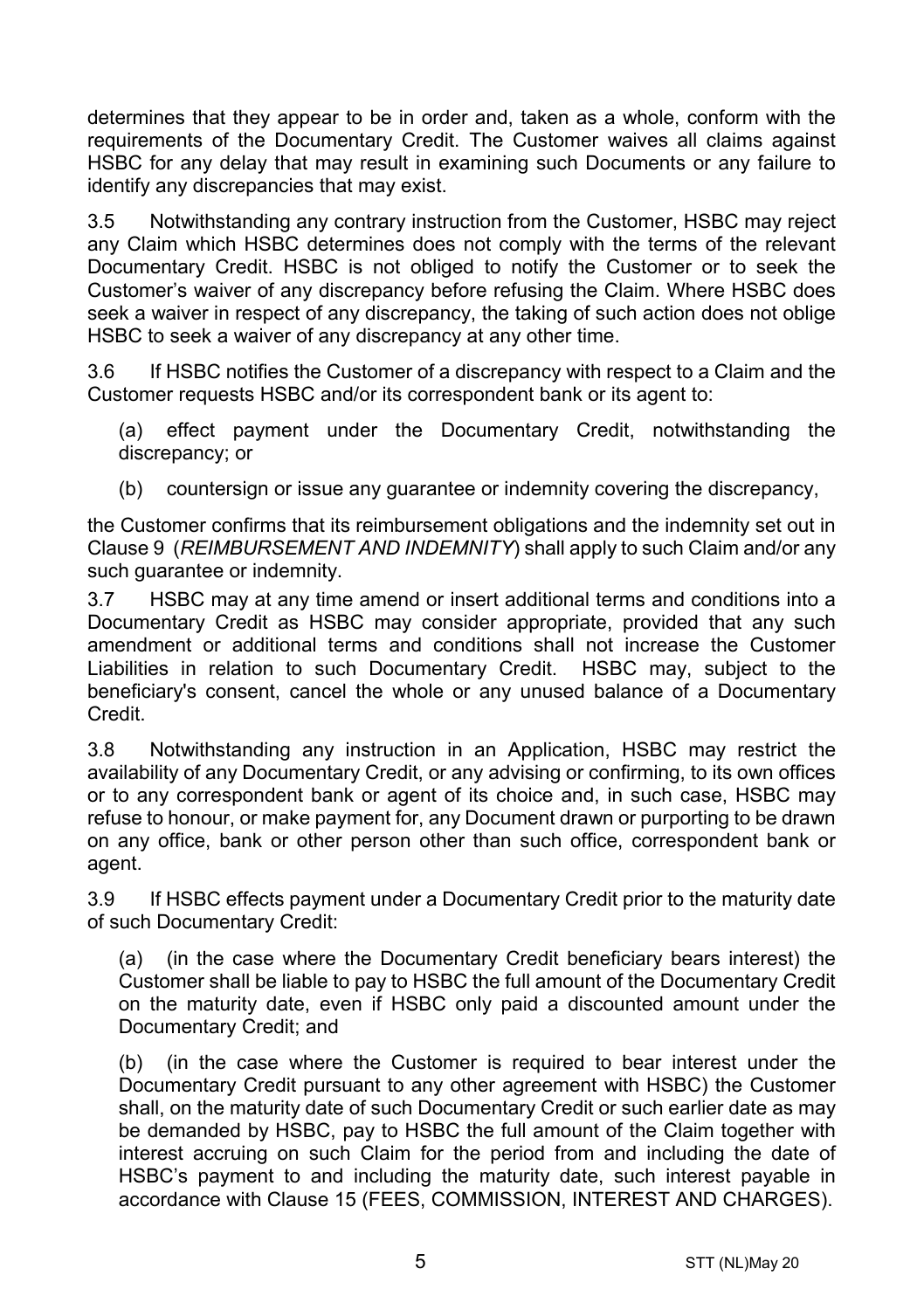determines that they appear to be in order and, taken as a whole, conform with the requirements of the Documentary Credit. The Customer waives all claims against HSBC for any delay that may result in examining such Documents or any failure to identify any discrepancies that may exist.

3.5 Notwithstanding any contrary instruction from the Customer, HSBC may reject any Claim which HSBC determines does not comply with the terms of the relevant Documentary Credit. HSBC is not obliged to notify the Customer or to seek the Customer's waiver of any discrepancy before refusing the Claim. Where HSBC does seek a waiver in respect of any discrepancy, the taking of such action does not oblige HSBC to seek a waiver of any discrepancy at any other time.

3.6 If HSBC notifies the Customer of a discrepancy with respect to a Claim and the Customer requests HSBC and/or its correspondent bank or its agent to:

(a) effect payment under the Documentary Credit, notwithstanding the discrepancy; or

(b) countersign or issue any guarantee or indemnity covering the discrepancy,

the Customer confirms that its reimbursement obligations and the indemnity set out in Claus[e 9](#page-13-0) (*[REIMBURSEMENT AND INDEMNITY](#page-13-0)*) shall apply to such Claim and/or any such guarantee or indemnity.

3.7 HSBC may at any time amend or insert additional terms and conditions into a Documentary Credit as HSBC may consider appropriate, provided that any such amendment or additional terms and conditions shall not increase the Customer Liabilities in relation to such Documentary Credit. HSBC may, subject to the beneficiary's consent, cancel the whole or any unused balance of a Documentary Credit.

3.8 Notwithstanding any instruction in an Application, HSBC may restrict the availability of any Documentary Credit, or any advising or confirming, to its own offices or to any correspondent bank or agent of its choice and, in such case, HSBC may refuse to honour, or make payment for, any Document drawn or purporting to be drawn on any office, bank or other person other than such office, correspondent bank or agent.

3.9 If HSBC effects payment under a Documentary Credit prior to the maturity date of such Documentary Credit:

(a) (in the case where the Documentary Credit beneficiary bears interest) the Customer shall be liable to pay to HSBC the full amount of the Documentary Credit on the maturity date, even if HSBC only paid a discounted amount under the Documentary Credit; and

(b) (in the case where the Customer is required to bear interest under the Documentary Credit pursuant to any other agreement with HSBC) the Customer shall, on the maturity date of such Documentary Credit or such earlier date as may be demanded by HSBC, pay to HSBC the full amount of the Claim together with interest accruing on such Claim for the period from and including the date of HSBC's payment to and including the maturity date, such interest payable in accordance with Clause [15](#page-16-0) [\(FEES, COMMISSION, INTEREST AND CHARGES\)](#page-16-0).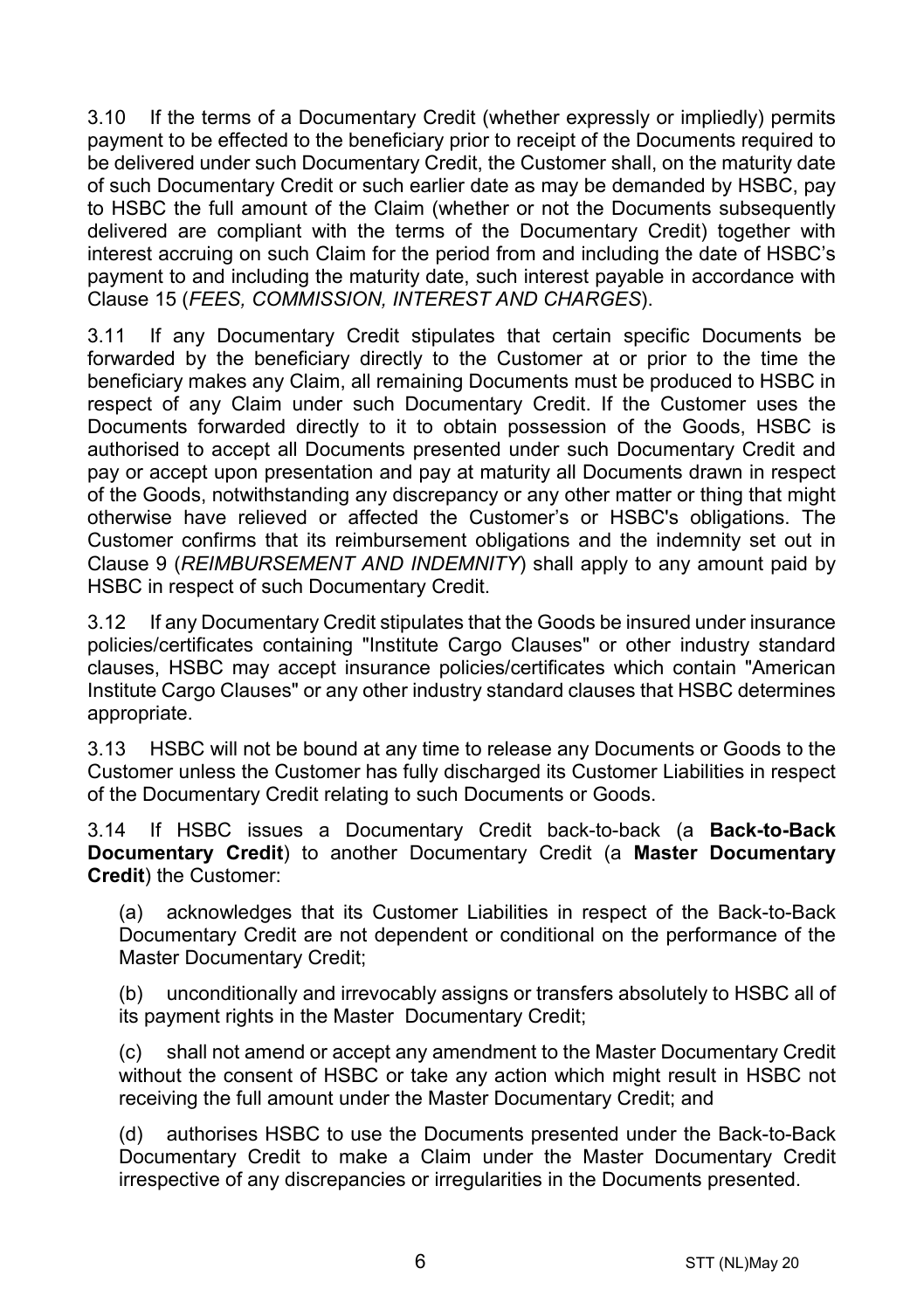3.10 If the terms of a Documentary Credit (whether expressly or impliedly) permits payment to be effected to the beneficiary prior to receipt of the Documents required to be delivered under such Documentary Credit, the Customer shall, on the maturity date of such Documentary Credit or such earlier date as may be demanded by HSBC, pay to HSBC the full amount of the Claim (whether or not the Documents subsequently delivered are compliant with the terms of the Documentary Credit) together with interest accruing on such Claim for the period from and including the date of HSBC's payment to and including the maturity date, such interest payable in accordance with Clause [15](#page-16-0) (*[FEES, COMMISSION, INTEREST AND CHARGES](#page-16-0)*).

3.11 If any Documentary Credit stipulates that certain specific Documents be forwarded by the beneficiary directly to the Customer at or prior to the time the beneficiary makes any Claim, all remaining Documents must be produced to HSBC in respect of any Claim under such Documentary Credit. If the Customer uses the Documents forwarded directly to it to obtain possession of the Goods, HSBC is authorised to accept all Documents presented under such Documentary Credit and pay or accept upon presentation and pay at maturity all Documents drawn in respect of the Goods, notwithstanding any discrepancy or any other matter or thing that might otherwise have relieved or affected the Customer's or HSBC's obligations. The Customer confirms that its reimbursement obligations and the indemnity set out in Clause [9](#page-13-0) (*[REIMBURSEMENT AND INDEMNITY](#page-13-0)*) shall apply to any amount paid by HSBC in respect of such Documentary Credit.

3.12 If any Documentary Credit stipulates that the Goods be insured under insurance policies/certificates containing "Institute Cargo Clauses" or other industry standard clauses, HSBC may accept insurance policies/certificates which contain "American Institute Cargo Clauses" or any other industry standard clauses that HSBC determines appropriate.

3.13 HSBC will not be bound at any time to release any Documents or Goods to the Customer unless the Customer has fully discharged its Customer Liabilities in respect of the Documentary Credit relating to such Documents or Goods.

<span id="page-5-0"></span>3.14 If HSBC issues a Documentary Credit back-to-back (a **Back-to-Back Documentary Credit**) to another Documentary Credit (a **Master Documentary Credit**) the Customer:

(a) acknowledges that its Customer Liabilities in respect of the Back-to-Back Documentary Credit are not dependent or conditional on the performance of the Master Documentary Credit;

(b) unconditionally and irrevocably assigns or transfers absolutely to HSBC all of its payment rights in the Master Documentary Credit;

(c) shall not amend or accept any amendment to the Master Documentary Credit without the consent of HSBC or take any action which might result in HSBC not receiving the full amount under the Master Documentary Credit; and

(d) authorises HSBC to use the Documents presented under the Back-to-Back Documentary Credit to make a Claim under the Master Documentary Credit irrespective of any discrepancies or irregularities in the Documents presented.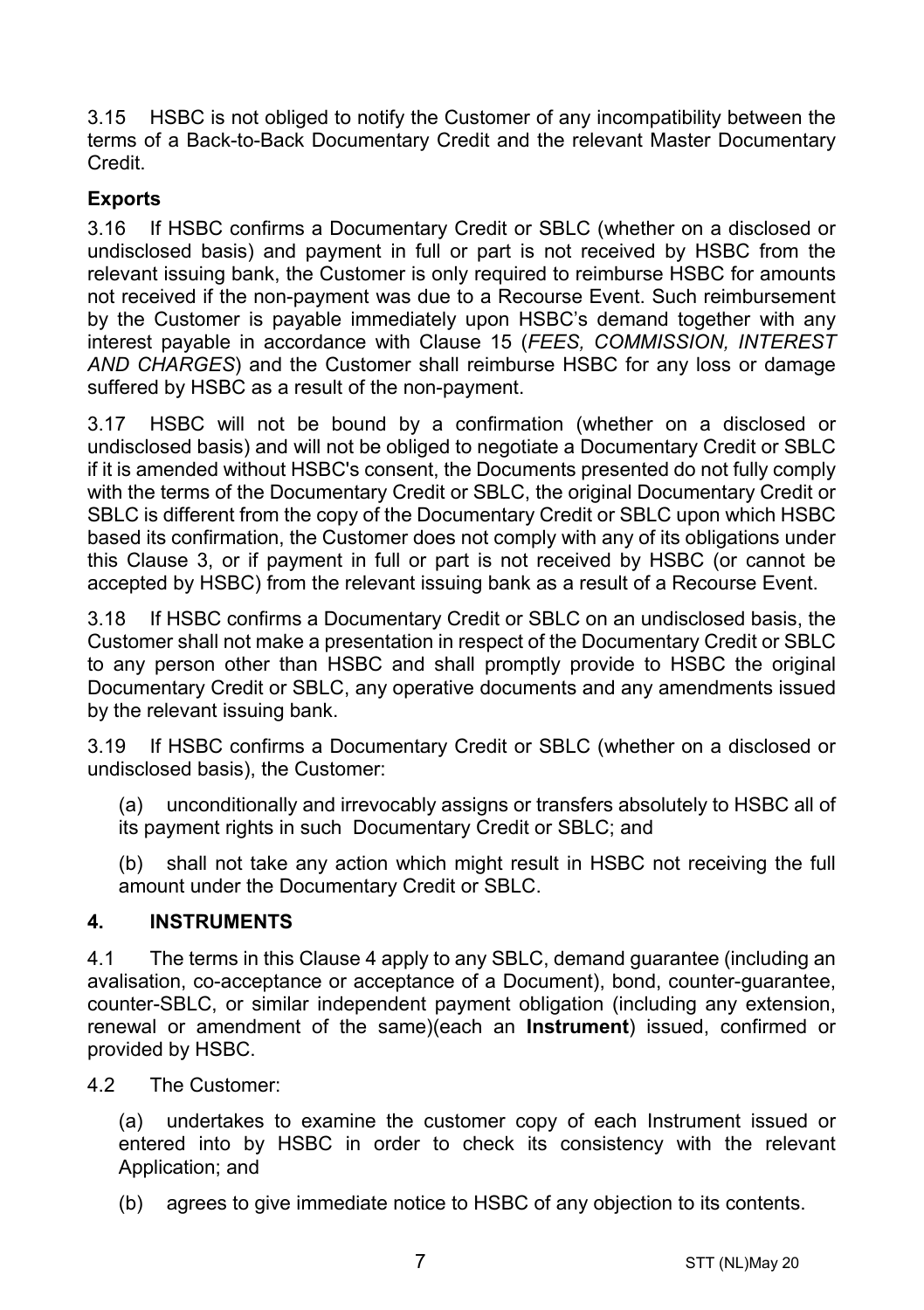3.15 HSBC is not obliged to notify the Customer of any incompatibility between the terms of a Back-to-Back Documentary Credit and the relevant Master Documentary Credit.

# **Exports**

3.16 If HSBC confirms a Documentary Credit or SBLC (whether on a disclosed or undisclosed basis) and payment in full or part is not received by HSBC from the relevant issuing bank, the Customer is only required to reimburse HSBC for amounts not received if the non-payment was due to a Recourse Event. Such reimbursement by the Customer is payable immediately upon HSBC's demand together with any interest payable in accordance with Clause [15](#page-16-0) (*[FEES, COMMISSION, INTEREST](#page-16-0)  [AND CHARGES](#page-16-0)*) and the Customer shall reimburse HSBC for any loss or damage suffered by HSBC as a result of the non-payment.

3.17 HSBC will not be bound by a confirmation (whether on a disclosed or undisclosed basis) and will not be obliged to negotiate a Documentary Credit or SBLC if it is amended without HSBC's consent, the Documents presented do not fully comply with the terms of the Documentary Credit or SBLC, the original Documentary Credit or SBLC is different from the copy of the Documentary Credit or SBLC upon which HSBC based its confirmation, the Customer does not comply with any of its obligations under this Clause [3,](#page-3-0) or if payment in full or part is not received by HSBC (or cannot be accepted by HSBC) from the relevant issuing bank as a result of a Recourse Event.

3.18 If HSBC confirms a Documentary Credit or SBLC on an undisclosed basis, the Customer shall not make a presentation in respect of the Documentary Credit or SBLC to any person other than HSBC and shall promptly provide to HSBC the original Documentary Credit or SBLC, any operative documents and any amendments issued by the relevant issuing bank.

3.19 If HSBC confirms a Documentary Credit or SBLC (whether on a disclosed or undisclosed basis), the Customer:

(a) unconditionally and irrevocably assigns or transfers absolutely to HSBC all of its payment rights in such Documentary Credit or SBLC; and

(b) shall not take any action which might result in HSBC not receiving the full amount under the Documentary Credit or SBLC.

#### <span id="page-6-0"></span>**4. INSTRUMENTS**

4.1 The terms in this Clause [4](#page-6-0) apply to any SBLC, demand guarantee (including an avalisation, co-acceptance or acceptance of a Document), bond, counter-guarantee, counter-SBLC, or similar independent payment obligation (including any extension, renewal or amendment of the same)(each an **Instrument**) issued, confirmed or provided by HSBC.

4.2 The Customer:

(a) undertakes to examine the customer copy of each Instrument issued or entered into by HSBC in order to check its consistency with the relevant Application; and

(b) agrees to give immediate notice to HSBC of any objection to its contents.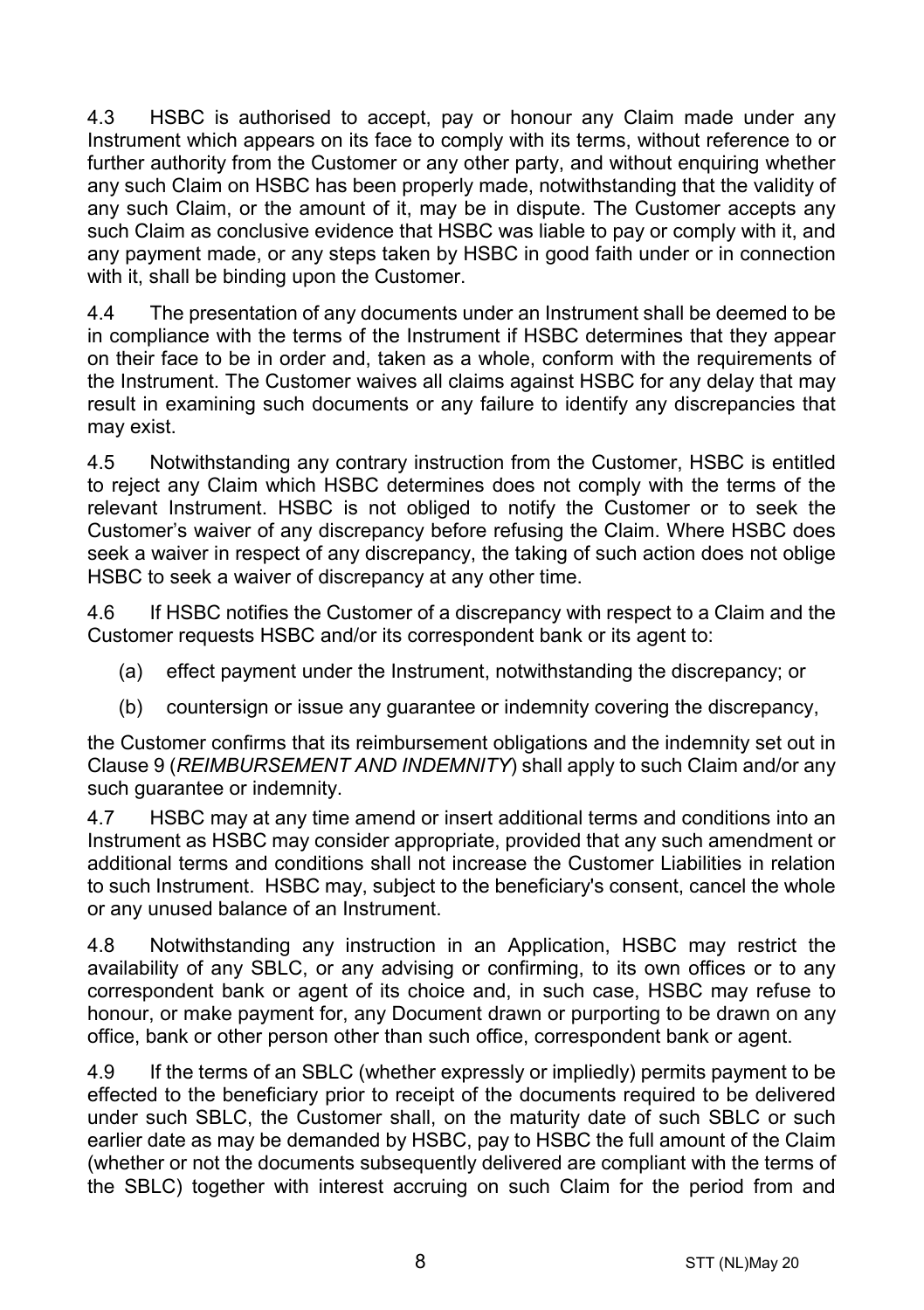4.3 HSBC is authorised to accept, pay or honour any Claim made under any Instrument which appears on its face to comply with its terms, without reference to or further authority from the Customer or any other party, and without enquiring whether any such Claim on HSBC has been properly made, notwithstanding that the validity of any such Claim, or the amount of it, may be in dispute. The Customer accepts any such Claim as conclusive evidence that HSBC was liable to pay or comply with it, and any payment made, or any steps taken by HSBC in good faith under or in connection with it, shall be binding upon the Customer.

4.4 The presentation of any documents under an Instrument shall be deemed to be in compliance with the terms of the Instrument if HSBC determines that they appear on their face to be in order and, taken as a whole, conform with the requirements of the Instrument. The Customer waives all claims against HSBC for any delay that may result in examining such documents or any failure to identify any discrepancies that may exist.

4.5 Notwithstanding any contrary instruction from the Customer, HSBC is entitled to reject any Claim which HSBC determines does not comply with the terms of the relevant Instrument. HSBC is not obliged to notify the Customer or to seek the Customer's waiver of any discrepancy before refusing the Claim. Where HSBC does seek a waiver in respect of any discrepancy, the taking of such action does not oblige HSBC to seek a waiver of discrepancy at any other time.

4.6 If HSBC notifies the Customer of a discrepancy with respect to a Claim and the Customer requests HSBC and/or its correspondent bank or its agent to:

- (a) effect payment under the Instrument, notwithstanding the discrepancy; or
- (b) countersign or issue any guarantee or indemnity covering the discrepancy,

the Customer confirms that its reimbursement obligations and the indemnity set out in Clause [9](#page-13-0) (*[REIMBURSEMENT AND INDEMNITY](#page-13-0)*) shall apply to such Claim and/or any such guarantee or indemnity.

4.7 HSBC may at any time amend or insert additional terms and conditions into an Instrument as HSBC may consider appropriate, provided that any such amendment or additional terms and conditions shall not increase the Customer Liabilities in relation to such Instrument. HSBC may, subject to the beneficiary's consent, cancel the whole or any unused balance of an Instrument.

4.8 Notwithstanding any instruction in an Application, HSBC may restrict the availability of any SBLC, or any advising or confirming, to its own offices or to any correspondent bank or agent of its choice and, in such case, HSBC may refuse to honour, or make payment for, any Document drawn or purporting to be drawn on any office, bank or other person other than such office, correspondent bank or agent.

4.9 If the terms of an SBLC (whether expressly or impliedly) permits payment to be effected to the beneficiary prior to receipt of the documents required to be delivered under such SBLC, the Customer shall, on the maturity date of such SBLC or such earlier date as may be demanded by HSBC, pay to HSBC the full amount of the Claim (whether or not the documents subsequently delivered are compliant with the terms of the SBLC) together with interest accruing on such Claim for the period from and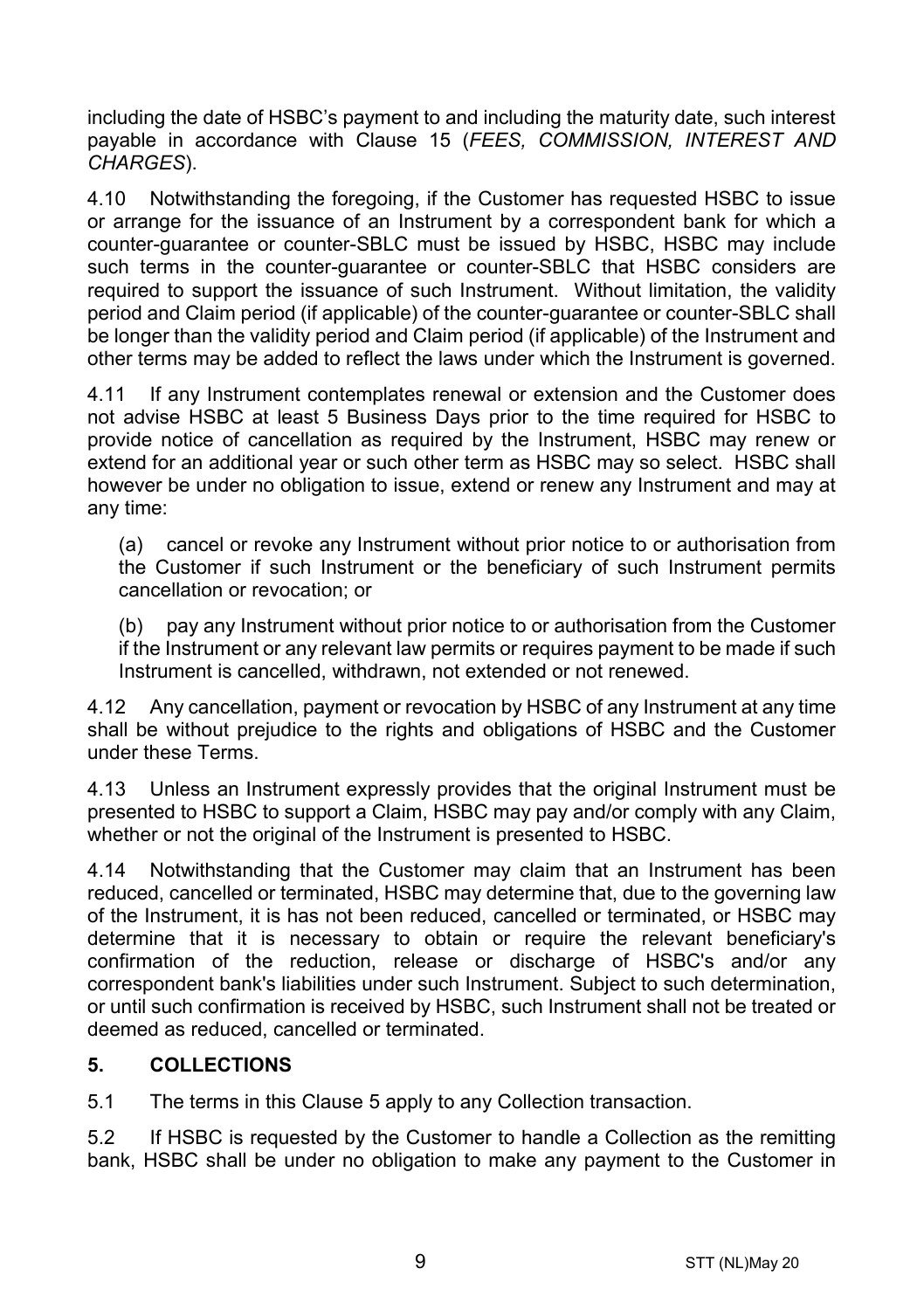including the date of HSBC's payment to and including the maturity date, such interest payable in accordance with Clause [15](#page-16-0) (*[FEES, COMMISSION, INTEREST AND](#page-16-0)  [CHARGES](#page-16-0)*).

4.10 Notwithstanding the foregoing, if the Customer has requested HSBC to issue or arrange for the issuance of an Instrument by a correspondent bank for which a counter-guarantee or counter-SBLC must be issued by HSBC, HSBC may include such terms in the counter-guarantee or counter-SBLC that HSBC considers are required to support the issuance of such Instrument. Without limitation, the validity period and Claim period (if applicable) of the counter-guarantee or counter-SBLC shall be longer than the validity period and Claim period (if applicable) of the Instrument and other terms may be added to reflect the laws under which the Instrument is governed.

4.11 If any Instrument contemplates renewal or extension and the Customer does not advise HSBC at least 5 Business Days prior to the time required for HSBC to provide notice of cancellation as required by the Instrument, HSBC may renew or extend for an additional year or such other term as HSBC may so select. HSBC shall however be under no obligation to issue, extend or renew any Instrument and may at any time:

(a) cancel or revoke any Instrument without prior notice to or authorisation from the Customer if such Instrument or the beneficiary of such Instrument permits cancellation or revocation; or

(b) pay any Instrument without prior notice to or authorisation from the Customer if the Instrument or any relevant law permits or requires payment to be made if such Instrument is cancelled, withdrawn, not extended or not renewed.

4.12 Any cancellation, payment or revocation by HSBC of any Instrument at any time shall be without prejudice to the rights and obligations of HSBC and the Customer under these Terms.

4.13 Unless an Instrument expressly provides that the original Instrument must be presented to HSBC to support a Claim, HSBC may pay and/or comply with any Claim, whether or not the original of the Instrument is presented to HSBC.

4.14 Notwithstanding that the Customer may claim that an Instrument has been reduced, cancelled or terminated, HSBC may determine that, due to the governing law of the Instrument, it is has not been reduced, cancelled or terminated, or HSBC may determine that it is necessary to obtain or require the relevant beneficiary's confirmation of the reduction, release or discharge of HSBC's and/or any correspondent bank's liabilities under such Instrument. Subject to such determination, or until such confirmation is received by HSBC, such Instrument shall not be treated or deemed as reduced, cancelled or terminated.

#### <span id="page-8-0"></span>**5. COLLECTIONS**

5.1 The terms in this Claus[e 5](#page-8-0) apply to any Collection transaction.

5.2 If HSBC is requested by the Customer to handle a Collection as the remitting bank, HSBC shall be under no obligation to make any payment to the Customer in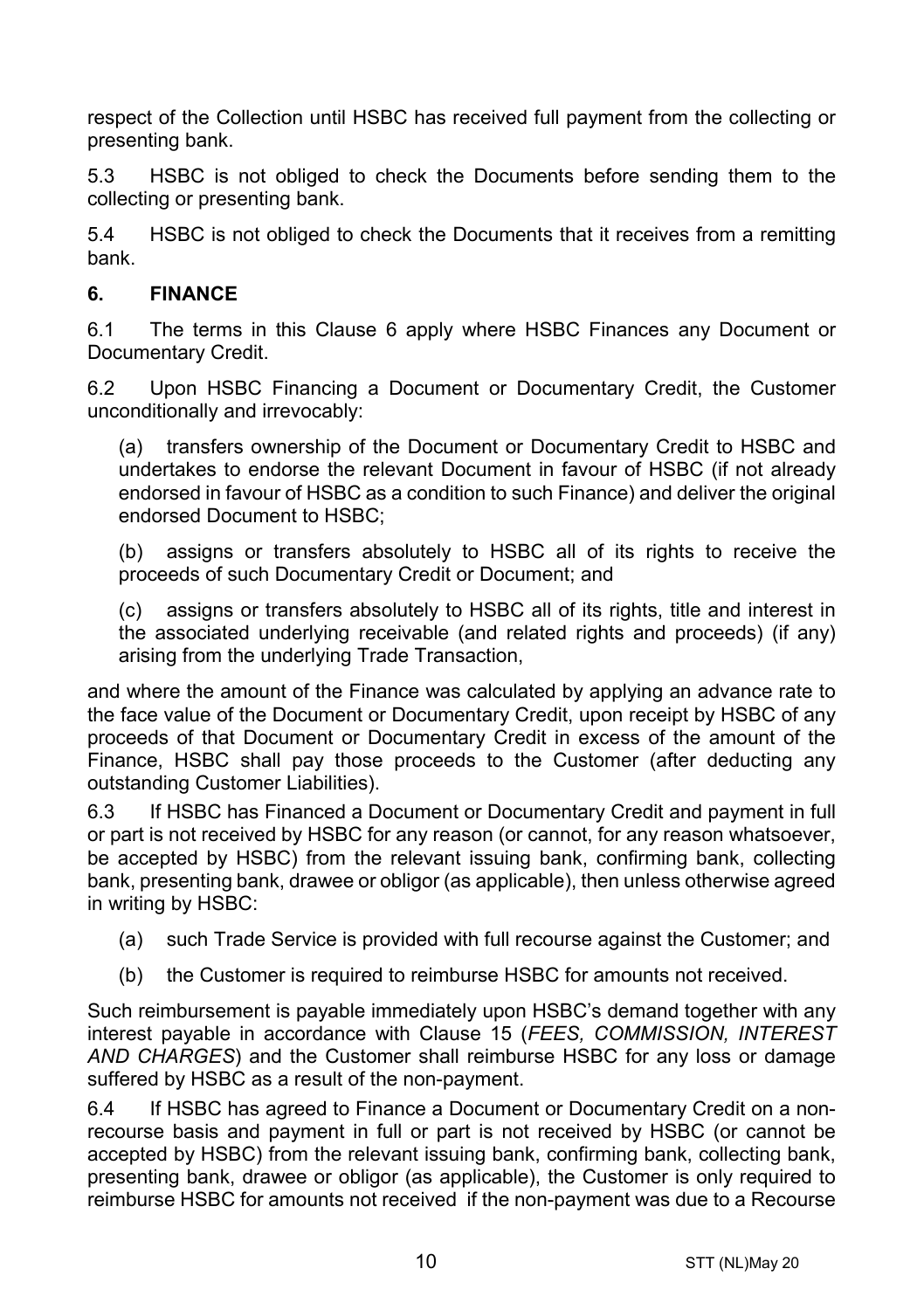respect of the Collection until HSBC has received full payment from the collecting or presenting bank.

5.3 HSBC is not obliged to check the Documents before sending them to the collecting or presenting bank.

5.4 HSBC is not obliged to check the Documents that it receives from a remitting bank.

#### <span id="page-9-0"></span>**6. FINANCE**

6.1 The terms in this Clause [6](#page-9-0) apply where HSBC Finances any Document or Documentary Credit.

6.2 Upon HSBC Financing a Document or Documentary Credit, the Customer unconditionally and irrevocably:

(a) transfers ownership of the Document or Documentary Credit to HSBC and undertakes to endorse the relevant Document in favour of HSBC (if not already endorsed in favour of HSBC as a condition to such Finance) and deliver the original endorsed Document to HSBC;

(b) assigns or transfers absolutely to HSBC all of its rights to receive the proceeds of such Documentary Credit or Document; and

(c) assigns or transfers absolutely to HSBC all of its rights, title and interest in the associated underlying receivable (and related rights and proceeds) (if any) arising from the underlying Trade Transaction,

and where the amount of the Finance was calculated by applying an advance rate to the face value of the Document or Documentary Credit, upon receipt by HSBC of any proceeds of that Document or Documentary Credit in excess of the amount of the Finance, HSBC shall pay those proceeds to the Customer (after deducting any outstanding Customer Liabilities).

6.3 If HSBC has Financed a Document or Documentary Credit and payment in full or part is not received by HSBC for any reason (or cannot, for any reason whatsoever, be accepted by HSBC) from the relevant issuing bank, confirming bank, collecting bank, presenting bank, drawee or obligor (as applicable), then unless otherwise agreed in writing by HSBC:

- (a) such Trade Service is provided with full recourse against the Customer; and
- (b) the Customer is required to reimburse HSBC for amounts not received.

Such reimbursement is payable immediately upon HSBC's demand together with any interest payable in accordance with Clause [15](#page-16-0) (*[FEES, COMMISSION, INTEREST](#page-16-0)  [AND CHARGES](#page-16-0)*) and the Customer shall reimburse HSBC for any loss or damage suffered by HSBC as a result of the non-payment.

6.4 If HSBC has agreed to Finance a Document or Documentary Credit on a nonrecourse basis and payment in full or part is not received by HSBC (or cannot be accepted by HSBC) from the relevant issuing bank, confirming bank, collecting bank, presenting bank, drawee or obligor (as applicable), the Customer is only required to reimburse HSBC for amounts not received if the non-payment was due to a Recourse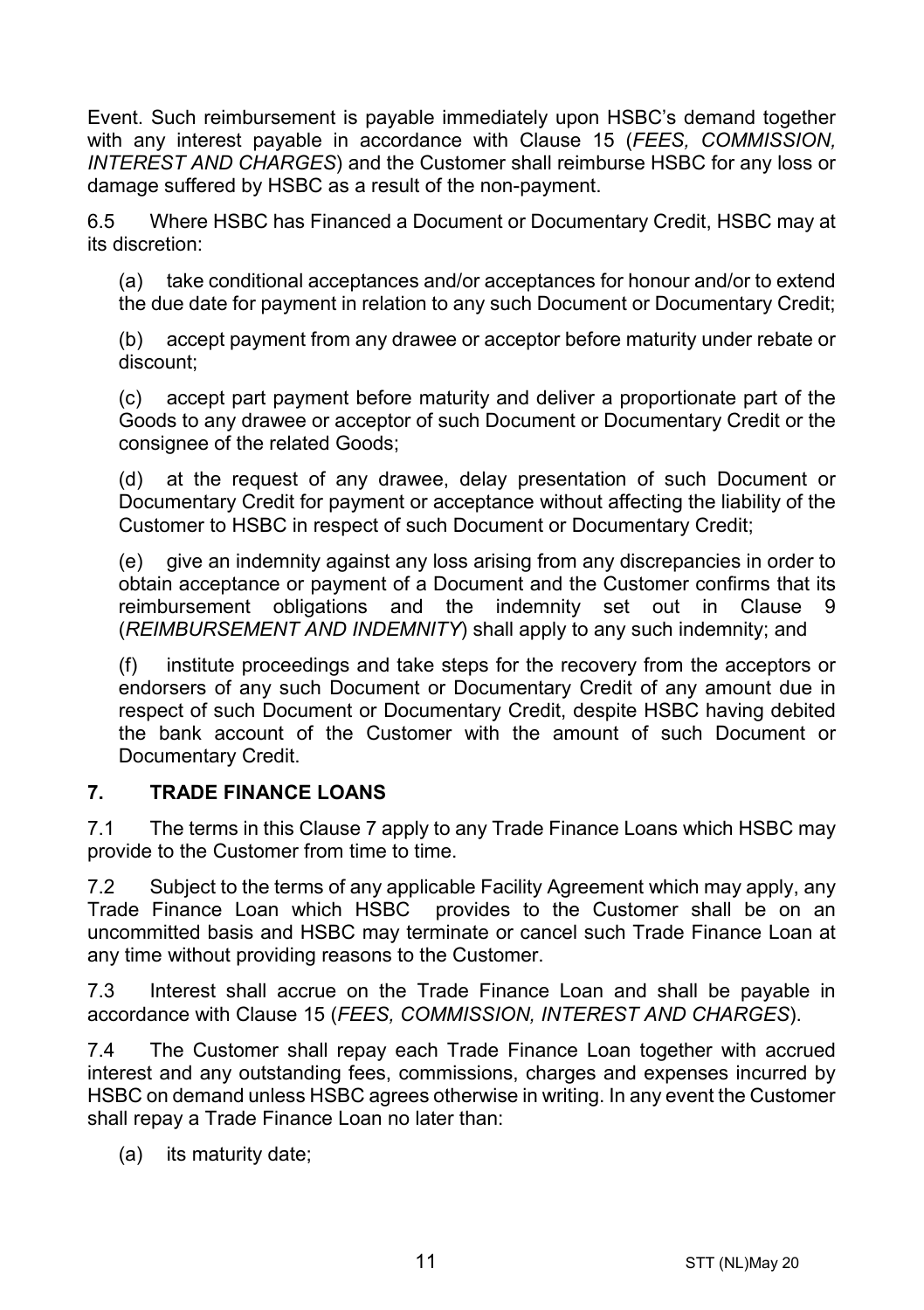Event. Such reimbursement is payable immediately upon HSBC's demand together with any interest payable in accordance with Clause [15](#page-16-0) (*[FEES, COMMISSION,](#page-16-0)  [INTEREST AND CHARGES](#page-16-0)*) and the Customer shall reimburse HSBC for any loss or damage suffered by HSBC as a result of the non-payment.

6.5 Where HSBC has Financed a Document or Documentary Credit, HSBC may at its discretion:

(a) take conditional acceptances and/or acceptances for honour and/or to extend the due date for payment in relation to any such Document or Documentary Credit;

(b) accept payment from any drawee or acceptor before maturity under rebate or discount;

(c) accept part payment before maturity and deliver a proportionate part of the Goods to any drawee or acceptor of such Document or Documentary Credit or the consignee of the related Goods;

(d) at the request of any drawee, delay presentation of such Document or Documentary Credit for payment or acceptance without affecting the liability of the Customer to HSBC in respect of such Document or Documentary Credit;

(e) give an indemnity against any loss arising from any discrepancies in order to obtain acceptance or payment of a Document and the Customer confirms that its reimbursement obligations and the indemnity set out in Clause [9](#page-13-0) (*[REIMBURSEMENT AND INDEMNITY](#page-13-0)*) shall apply to any such indemnity; and

(f) institute proceedings and take steps for the recovery from the acceptors or endorsers of any such Document or Documentary Credit of any amount due in respect of such Document or Documentary Credit, despite HSBC having debited the bank account of the Customer with the amount of such Document or Documentary Credit.

#### <span id="page-10-0"></span>**7. TRADE FINANCE LOANS**

7.1 The terms in this Clause [7](#page-10-0) apply to any Trade Finance Loans which HSBC may provide to the Customer from time to time.

7.2 Subject to the terms of any applicable Facility Agreement which may apply, any Trade Finance Loan which HSBC provides to the Customer shall be on an uncommitted basis and HSBC may terminate or cancel such Trade Finance Loan at any time without providing reasons to the Customer.

7.3 Interest shall accrue on the Trade Finance Loan and shall be payable in accordance with Clause [15](#page-16-0) (*[FEES, COMMISSION, INTEREST AND CHARGES](#page-16-0)*).

7.4 The Customer shall repay each Trade Finance Loan together with accrued interest and any outstanding fees, commissions, charges and expenses incurred by HSBC on demand unless HSBC agrees otherwise in writing. In any event the Customer shall repay a Trade Finance Loan no later than:

(a) its maturity date;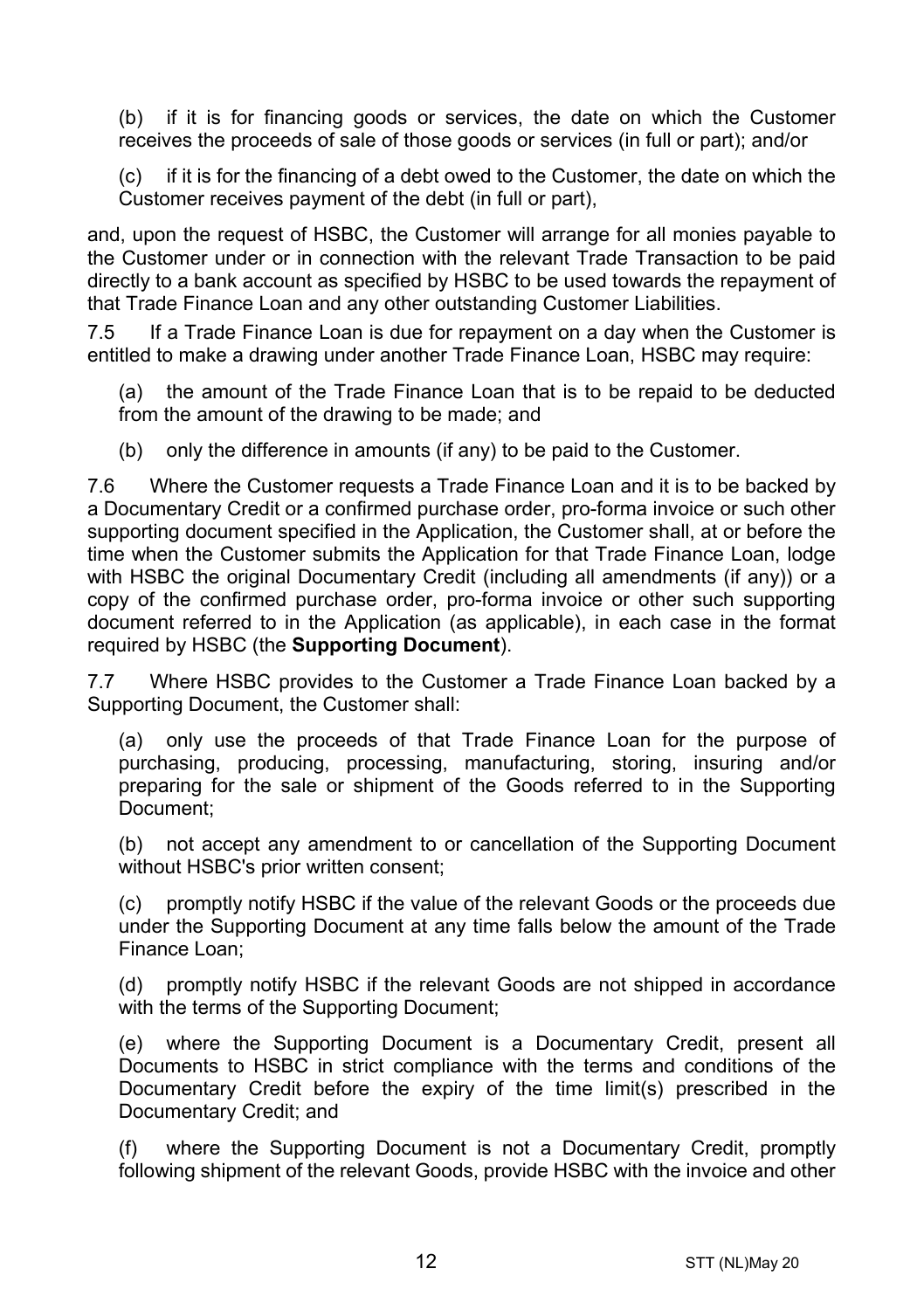(b) if it is for financing goods or services, the date on which the Customer receives the proceeds of sale of those goods or services (in full or part); and/or

(c) if it is for the financing of a debt owed to the Customer, the date on which the Customer receives payment of the debt (in full or part),

and, upon the request of HSBC, the Customer will arrange for all monies payable to the Customer under or in connection with the relevant Trade Transaction to be paid directly to a bank account as specified by HSBC to be used towards the repayment of that Trade Finance Loan and any other outstanding Customer Liabilities.

7.5 If a Trade Finance Loan is due for repayment on a day when the Customer is entitled to make a drawing under another Trade Finance Loan, HSBC may require:

(a) the amount of the Trade Finance Loan that is to be repaid to be deducted from the amount of the drawing to be made; and

(b) only the difference in amounts (if any) to be paid to the Customer.

7.6 Where the Customer requests a Trade Finance Loan and it is to be backed by a Documentary Credit or a confirmed purchase order, pro-forma invoice or such other supporting document specified in the Application, the Customer shall, at or before the time when the Customer submits the Application for that Trade Finance Loan, lodge with HSBC the original Documentary Credit (including all amendments (if any)) or a copy of the confirmed purchase order, pro-forma invoice or other such supporting document referred to in the Application (as applicable), in each case in the format required by HSBC (the **Supporting Document**).

7.7 Where HSBC provides to the Customer a Trade Finance Loan backed by a Supporting Document, the Customer shall:

(a) only use the proceeds of that Trade Finance Loan for the purpose of purchasing, producing, processing, manufacturing, storing, insuring and/or preparing for the sale or shipment of the Goods referred to in the Supporting Document;

(b) not accept any amendment to or cancellation of the Supporting Document without HSBC's prior written consent;

(c) promptly notify HSBC if the value of the relevant Goods or the proceeds due under the Supporting Document at any time falls below the amount of the Trade Finance Loan;

(d) promptly notify HSBC if the relevant Goods are not shipped in accordance with the terms of the Supporting Document;

(e) where the Supporting Document is a Documentary Credit, present all Documents to HSBC in strict compliance with the terms and conditions of the Documentary Credit before the expiry of the time limit(s) prescribed in the Documentary Credit; and

(f) where the Supporting Document is not a Documentary Credit, promptly following shipment of the relevant Goods, provide HSBC with the invoice and other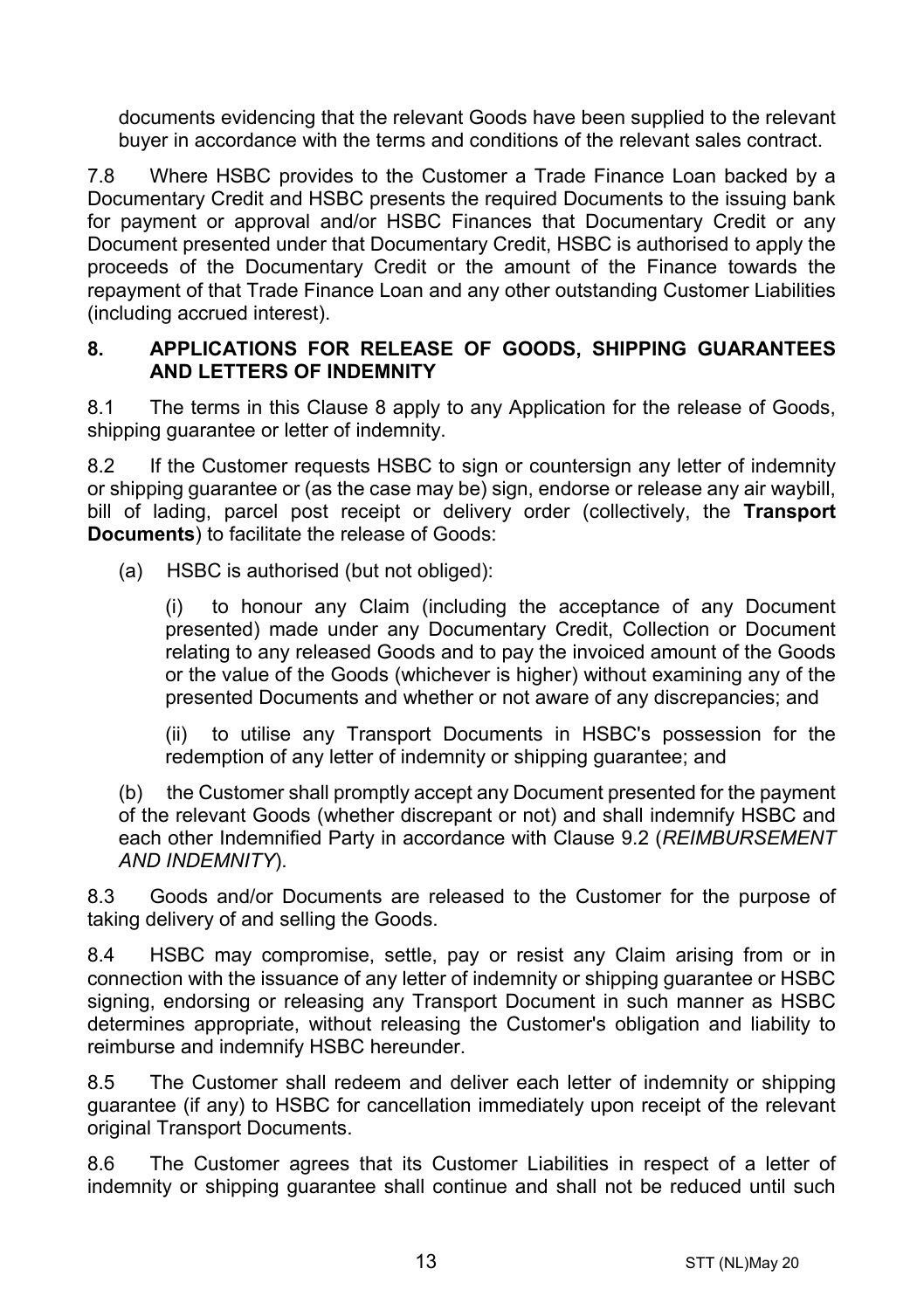documents evidencing that the relevant Goods have been supplied to the relevant buyer in accordance with the terms and conditions of the relevant sales contract.

7.8 Where HSBC provides to the Customer a Trade Finance Loan backed by a Documentary Credit and HSBC presents the required Documents to the issuing bank for payment or approval and/or HSBC Finances that Documentary Credit or any Document presented under that Documentary Credit, HSBC is authorised to apply the proceeds of the Documentary Credit or the amount of the Finance towards the repayment of that Trade Finance Loan and any other outstanding Customer Liabilities (including accrued interest).

#### <span id="page-12-0"></span>**8. APPLICATIONS FOR RELEASE OF GOODS, SHIPPING GUARANTEES AND LETTERS OF INDEMNITY**

8.1 The terms in this Clause [8](#page-12-0) apply to any Application for the release of Goods, shipping quarantee or letter of indemnity.

8.2 If the Customer requests HSBC to sign or countersign any letter of indemnity or shipping guarantee or (as the case may be) sign, endorse or release any air waybill, bill of lading, parcel post receipt or delivery order (collectively, the **Transport Documents**) to facilitate the release of Goods:

(a) HSBC is authorised (but not obliged):

(i) to honour any Claim (including the acceptance of any Document presented) made under any Documentary Credit, Collection or Document relating to any released Goods and to pay the invoiced amount of the Goods or the value of the Goods (whichever is higher) without examining any of the presented Documents and whether or not aware of any discrepancies; and

(ii) to utilise any Transport Documents in HSBC's possession for the redemption of any letter of indemnity or shipping guarantee; and

(b) the Customer shall promptly accept any Document presented for the payment of the relevant Goods (whether discrepant or not) and shall indemnify HSBC and each other Indemnified Party in accordance with Clause [9.2](#page-13-1) (*[REIMBURSEMENT](#page-13-0)  [AND INDEMNITY](#page-13-0)*).

8.3 Goods and/or Documents are released to the Customer for the purpose of taking delivery of and selling the Goods.

8.4 HSBC may compromise, settle, pay or resist any Claim arising from or in connection with the issuance of any letter of indemnity or shipping guarantee or HSBC signing, endorsing or releasing any Transport Document in such manner as HSBC determines appropriate, without releasing the Customer's obligation and liability to reimburse and indemnify HSBC hereunder.

8.5 The Customer shall redeem and deliver each letter of indemnity or shipping guarantee (if any) to HSBC for cancellation immediately upon receipt of the relevant original Transport Documents.

8.6 The Customer agrees that its Customer Liabilities in respect of a letter of indemnity or shipping guarantee shall continue and shall not be reduced until such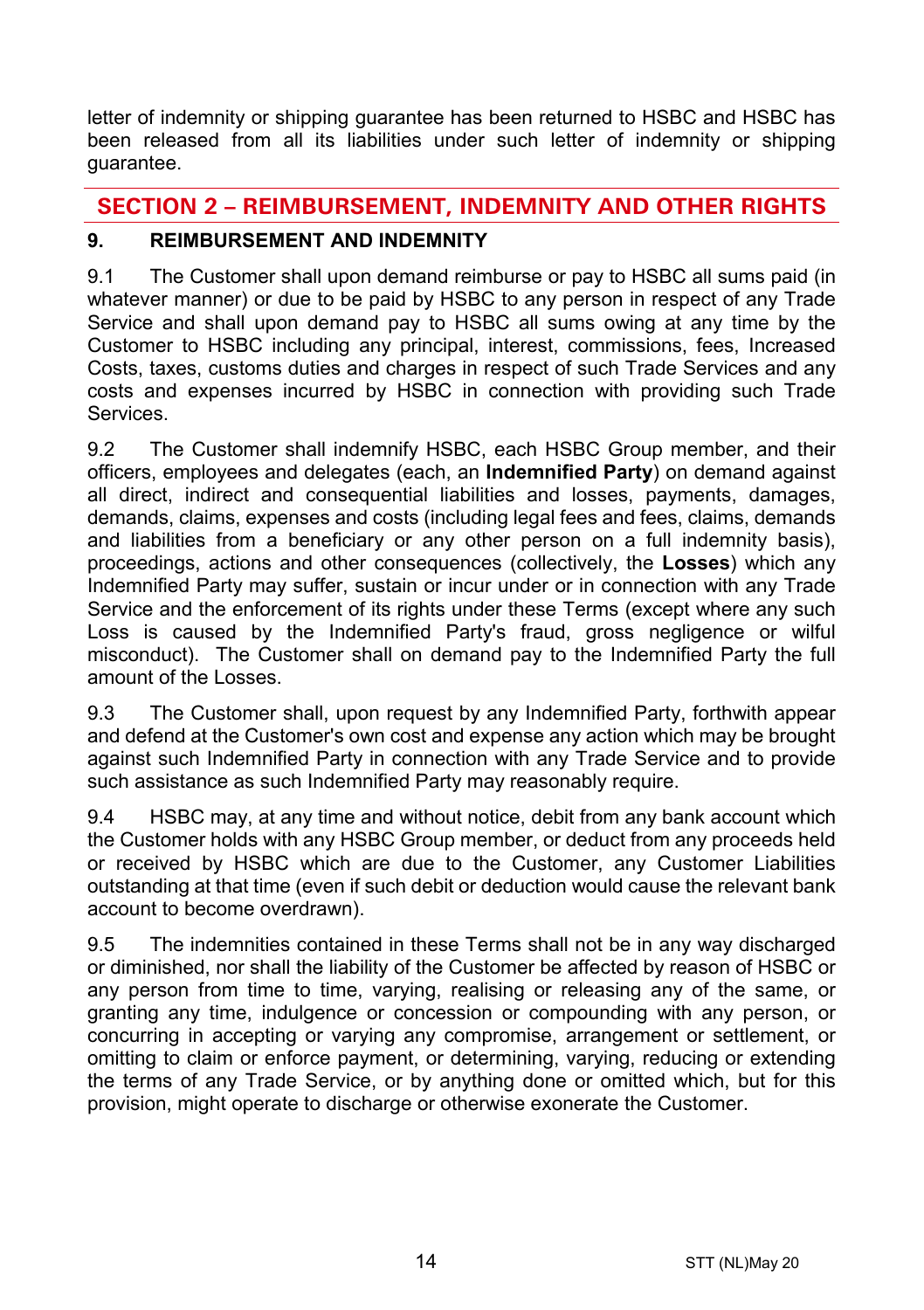letter of indemnity or shipping guarantee has been returned to HSBC and HSBC has been released from all its liabilities under such letter of indemnity or shipping guarantee.

# **SECTION 2 – REIMBURSEMENT, INDEMNITY AND OTHER RIGHTS**

# <span id="page-13-0"></span>**9. REIMBURSEMENT AND INDEMNITY**

9.1 The Customer shall upon demand reimburse or pay to HSBC all sums paid (in whatever manner) or due to be paid by HSBC to any person in respect of any Trade Service and shall upon demand pay to HSBC all sums owing at any time by the Customer to HSBC including any principal, interest, commissions, fees, Increased Costs, taxes, customs duties and charges in respect of such Trade Services and any costs and expenses incurred by HSBC in connection with providing such Trade **Services** 

<span id="page-13-1"></span>9.2 The Customer shall indemnify HSBC, each HSBC Group member, and their officers, employees and delegates (each, an **Indemnified Party**) on demand against all direct, indirect and consequential liabilities and losses, payments, damages, demands, claims, expenses and costs (including legal fees and fees, claims, demands and liabilities from a beneficiary or any other person on a full indemnity basis), proceedings, actions and other consequences (collectively, the **Losses**) which any Indemnified Party may suffer, sustain or incur under or in connection with any Trade Service and the enforcement of its rights under these Terms (except where any such Loss is caused by the Indemnified Party's fraud, gross negligence or wilful misconduct). The Customer shall on demand pay to the Indemnified Party the full amount of the Losses.

9.3 The Customer shall, upon request by any Indemnified Party, forthwith appear and defend at the Customer's own cost and expense any action which may be brought against such Indemnified Party in connection with any Trade Service and to provide such assistance as such Indemnified Party may reasonably require.

9.4 HSBC may, at any time and without notice, debit from any bank account which the Customer holds with any HSBC Group member, or deduct from any proceeds held or received by HSBC which are due to the Customer, any Customer Liabilities outstanding at that time (even if such debit or deduction would cause the relevant bank account to become overdrawn).

9.5 The indemnities contained in these Terms shall not be in any way discharged or diminished, nor shall the liability of the Customer be affected by reason of HSBC or any person from time to time, varying, realising or releasing any of the same, or granting any time, indulgence or concession or compounding with any person, or concurring in accepting or varying any compromise, arrangement or settlement, or omitting to claim or enforce payment, or determining, varying, reducing or extending the terms of any Trade Service, or by anything done or omitted which, but for this provision, might operate to discharge or otherwise exonerate the Customer.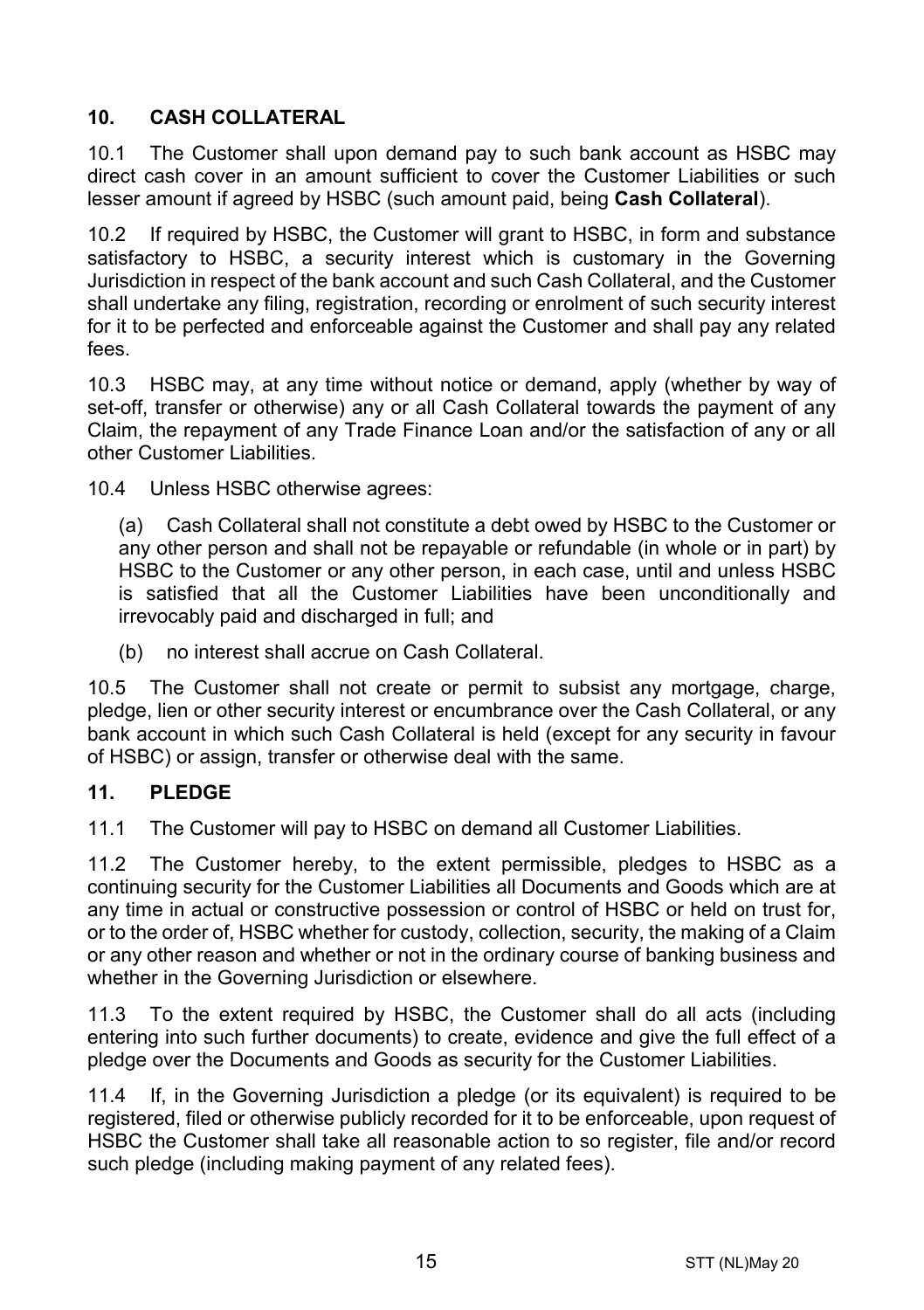# <span id="page-14-1"></span>**10. CASH COLLATERAL**

10.1 The Customer shall upon demand pay to such bank account as HSBC may direct cash cover in an amount sufficient to cover the Customer Liabilities or such lesser amount if agreed by HSBC (such amount paid, being **Cash Collateral**).

10.2 If required by HSBC, the Customer will grant to HSBC, in form and substance satisfactory to HSBC, a security interest which is customary in the Governing Jurisdiction in respect of the bank account and such Cash Collateral, and the Customer shall undertake any filing, registration, recording or enrolment of such security interest for it to be perfected and enforceable against the Customer and shall pay any related fees.

10.3 HSBC may, at any time without notice or demand, apply (whether by way of set-off, transfer or otherwise) any or all Cash Collateral towards the payment of any Claim, the repayment of any Trade Finance Loan and/or the satisfaction of any or all other Customer Liabilities.

10.4 Unless HSBC otherwise agrees:

(a) Cash Collateral shall not constitute a debt owed by HSBC to the Customer or any other person and shall not be repayable or refundable (in whole or in part) by HSBC to the Customer or any other person, in each case, until and unless HSBC is satisfied that all the Customer Liabilities have been unconditionally and irrevocably paid and discharged in full; and

(b) no interest shall accrue on Cash Collateral.

10.5 The Customer shall not create or permit to subsist any mortgage, charge, pledge, lien or other security interest or encumbrance over the Cash Collateral, or any bank account in which such Cash Collateral is held (except for any security in favour of HSBC) or assign, transfer or otherwise deal with the same.

#### <span id="page-14-0"></span>**11. PLEDGE**

11.1 The Customer will pay to HSBC on demand all Customer Liabilities.

11.2 The Customer hereby, to the extent permissible, pledges to HSBC as a continuing security for the Customer Liabilities all Documents and Goods which are at any time in actual or constructive possession or control of HSBC or held on trust for, or to the order of, HSBC whether for custody, collection, security, the making of a Claim or any other reason and whether or not in the ordinary course of banking business and whether in the Governing Jurisdiction or elsewhere.

11.3 To the extent required by HSBC, the Customer shall do all acts (including entering into such further documents) to create, evidence and give the full effect of a pledge over the Documents and Goods as security for the Customer Liabilities.

11.4 If, in the Governing Jurisdiction a pledge (or its equivalent) is required to be registered, filed or otherwise publicly recorded for it to be enforceable, upon request of HSBC the Customer shall take all reasonable action to so register, file and/or record such pledge (including making payment of any related fees).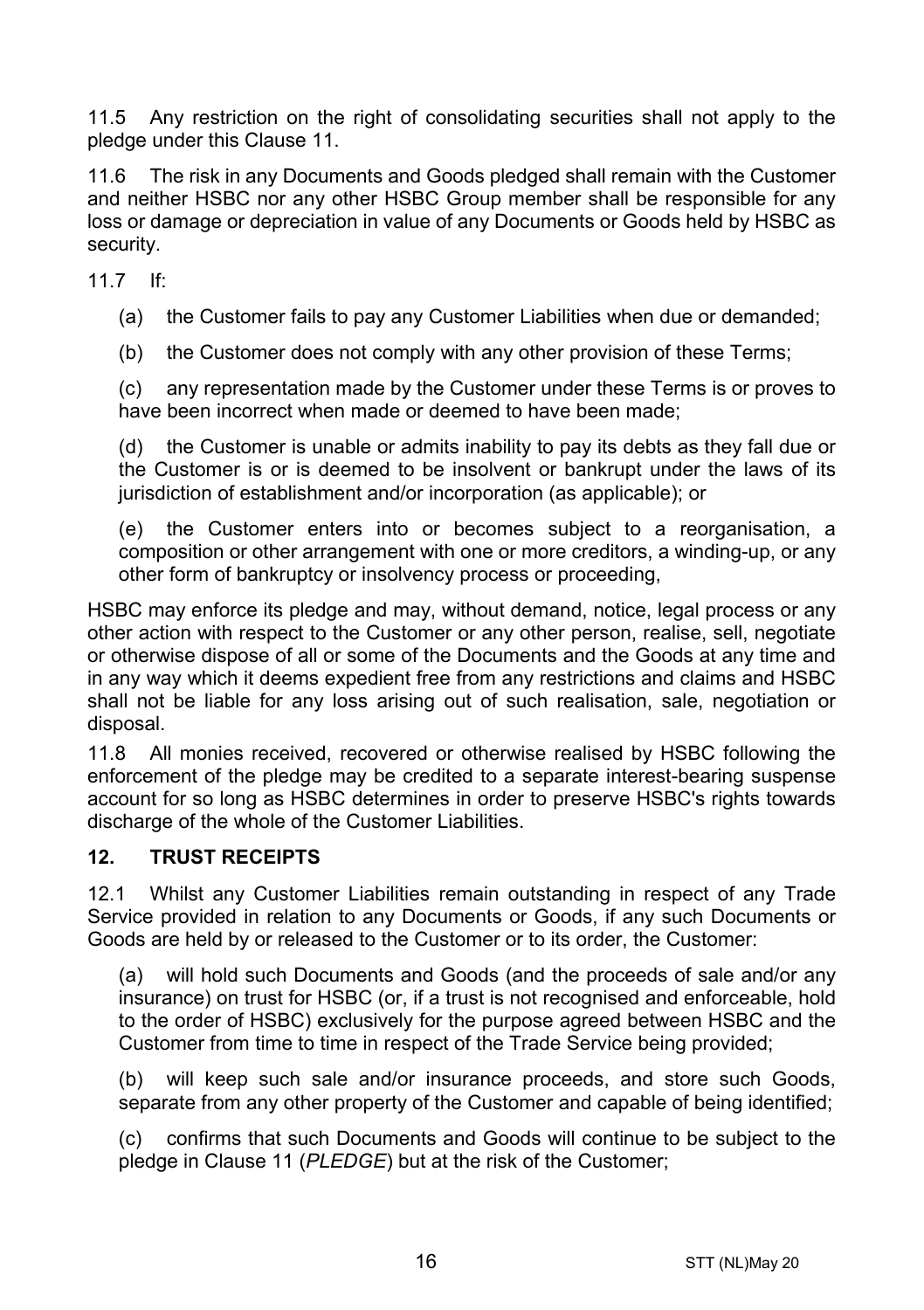11.5 Any restriction on the right of consolidating securities shall not apply to the pledge under this Clause [11.](#page-14-0)

11.6 The risk in any Documents and Goods pledged shall remain with the Customer and neither HSBC nor any other HSBC Group member shall be responsible for any loss or damage or depreciation in value of any Documents or Goods held by HSBC as security.

11.7 If:

(a) the Customer fails to pay any Customer Liabilities when due or demanded;

(b) the Customer does not comply with any other provision of these Terms;

(c) any representation made by the Customer under these Terms is or proves to have been incorrect when made or deemed to have been made;

(d) the Customer is unable or admits inability to pay its debts as they fall due or the Customer is or is deemed to be insolvent or bankrupt under the laws of its jurisdiction of establishment and/or incorporation (as applicable); or

(e) the Customer enters into or becomes subject to a reorganisation, a composition or other arrangement with one or more creditors, a winding-up, or any other form of bankruptcy or insolvency process or proceeding,

HSBC may enforce its pledge and may, without demand, notice, legal process or any other action with respect to the Customer or any other person, realise, sell, negotiate or otherwise dispose of all or some of the Documents and the Goods at any time and in any way which it deems expedient free from any restrictions and claims and HSBC shall not be liable for any loss arising out of such realisation, sale, negotiation or disposal.

11.8 All monies received, recovered or otherwise realised by HSBC following the enforcement of the pledge may be credited to a separate interest-bearing suspense account for so long as HSBC determines in order to preserve HSBC's rights towards discharge of the whole of the Customer Liabilities.

#### **12. TRUST RECEIPTS**

12.1 Whilst any Customer Liabilities remain outstanding in respect of any Trade Service provided in relation to any Documents or Goods, if any such Documents or Goods are held by or released to the Customer or to its order, the Customer:

(a) will hold such Documents and Goods (and the proceeds of sale and/or any insurance) on trust for HSBC (or, if a trust is not recognised and enforceable, hold to the order of HSBC) exclusively for the purpose agreed between HSBC and the Customer from time to time in respect of the Trade Service being provided;

(b) will keep such sale and/or insurance proceeds, and store such Goods, separate from any other property of the Customer and capable of being identified;

(c) confirms that such Documents and Goods will continue to be subject to the pledge in Claus[e 11](#page-14-0) (*[PLEDGE](#page-14-0)*) but at the risk of the Customer;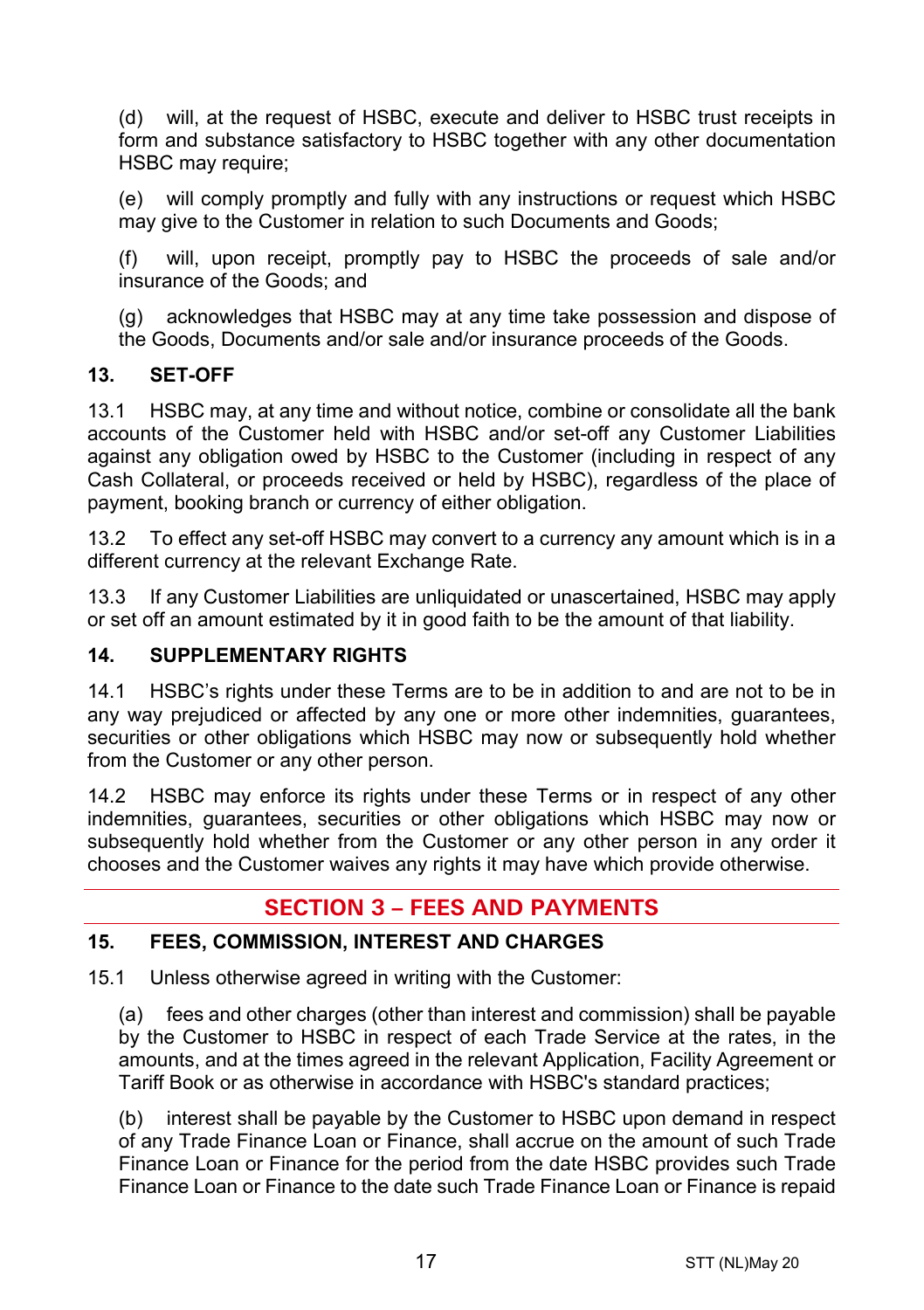(d) will, at the request of HSBC, execute and deliver to HSBC trust receipts in form and substance satisfactory to HSBC together with any other documentation HSBC may require:

(e) will comply promptly and fully with any instructions or request which HSBC may give to the Customer in relation to such Documents and Goods;

(f) will, upon receipt, promptly pay to HSBC the proceeds of sale and/or insurance of the Goods; and

(g) acknowledges that HSBC may at any time take possession and dispose of the Goods, Documents and/or sale and/or insurance proceeds of the Goods.

#### **13. SET-OFF**

13.1 HSBC may, at any time and without notice, combine or consolidate all the bank accounts of the Customer held with HSBC and/or set-off any Customer Liabilities against any obligation owed by HSBC to the Customer (including in respect of any Cash Collateral, or proceeds received or held by HSBC), regardless of the place of payment, booking branch or currency of either obligation.

13.2 To effect any set-off HSBC may convert to a currency any amount which is in a different currency at the relevant Exchange Rate.

13.3 If any Customer Liabilities are unliquidated or unascertained, HSBC may apply or set off an amount estimated by it in good faith to be the amount of that liability.

#### **14. SUPPLEMENTARY RIGHTS**

14.1 HSBC's rights under these Terms are to be in addition to and are not to be in any way prejudiced or affected by any one or more other indemnities, guarantees, securities or other obligations which HSBC may now or subsequently hold whether from the Customer or any other person.

14.2 HSBC may enforce its rights under these Terms or in respect of any other indemnities, guarantees, securities or other obligations which HSBC may now or subsequently hold whether from the Customer or any other person in any order it chooses and the Customer waives any rights it may have which provide otherwise.

# **SECTION 3 – FEES AND PAYMENTS**

#### <span id="page-16-0"></span>**15. FEES, COMMISSION, INTEREST AND CHARGES**

15.1 Unless otherwise agreed in writing with the Customer:

(a) fees and other charges (other than interest and commission) shall be payable by the Customer to HSBC in respect of each Trade Service at the rates, in the amounts, and at the times agreed in the relevant Application, Facility Agreement or Tariff Book or as otherwise in accordance with HSBC's standard practices;

(b) interest shall be payable by the Customer to HSBC upon demand in respect of any Trade Finance Loan or Finance, shall accrue on the amount of such Trade Finance Loan or Finance for the period from the date HSBC provides such Trade Finance Loan or Finance to the date such Trade Finance Loan or Finance is repaid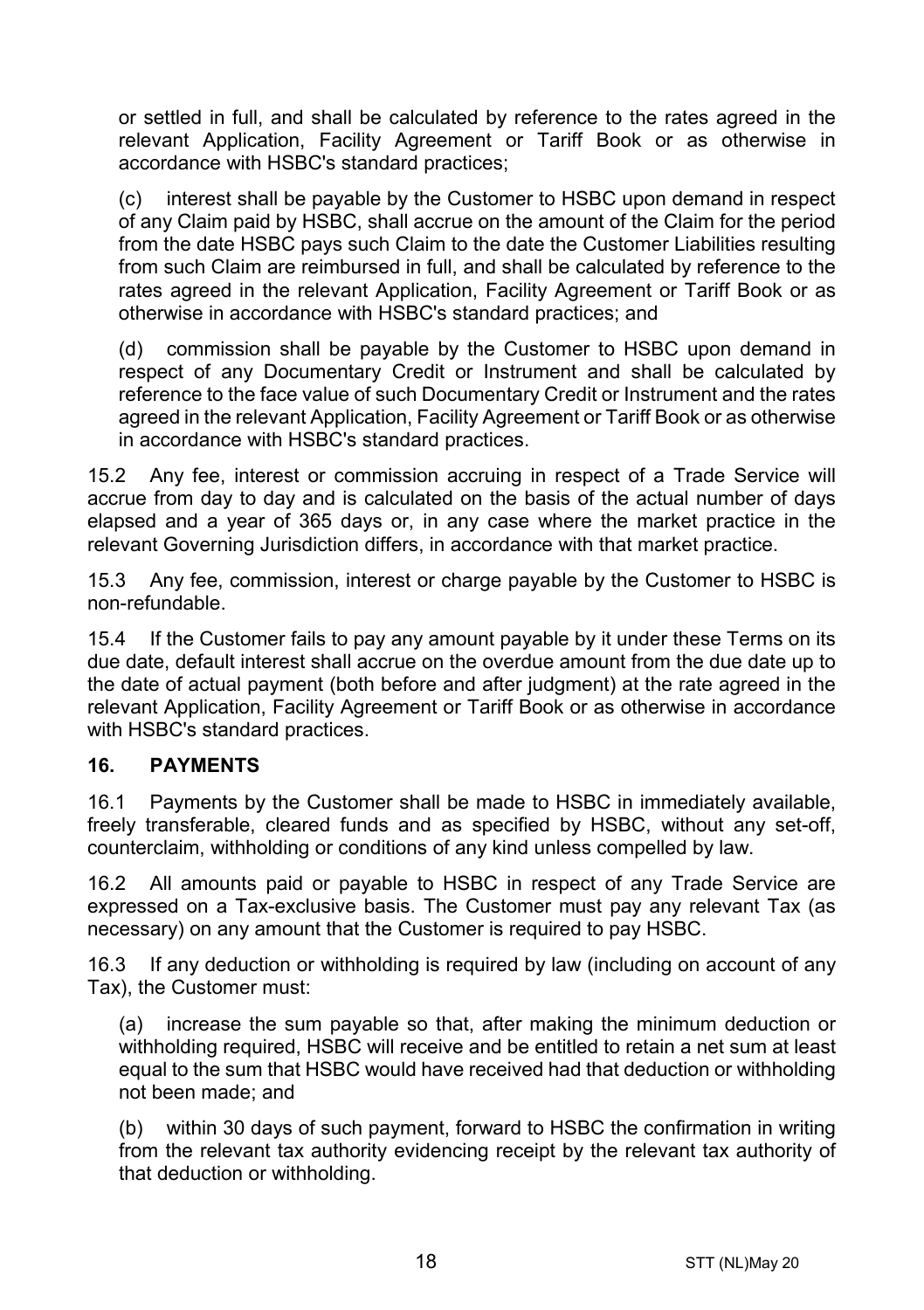or settled in full, and shall be calculated by reference to the rates agreed in the relevant Application, Facility Agreement or Tariff Book or as otherwise in accordance with HSBC's standard practices;

(c) interest shall be payable by the Customer to HSBC upon demand in respect of any Claim paid by HSBC, shall accrue on the amount of the Claim for the period from the date HSBC pays such Claim to the date the Customer Liabilities resulting from such Claim are reimbursed in full, and shall be calculated by reference to the rates agreed in the relevant Application, Facility Agreement or Tariff Book or as otherwise in accordance with HSBC's standard practices; and

(d) commission shall be payable by the Customer to HSBC upon demand in respect of any Documentary Credit or Instrument and shall be calculated by reference to the face value of such Documentary Credit or Instrument and the rates agreed in the relevant Application, Facility Agreement or Tariff Book or as otherwise in accordance with HSBC's standard practices.

15.2 Any fee, interest or commission accruing in respect of a Trade Service will accrue from day to day and is calculated on the basis of the actual number of days elapsed and a year of 365 days or, in any case where the market practice in the relevant Governing Jurisdiction differs, in accordance with that market practice.

15.3 Any fee, commission, interest or charge payable by the Customer to HSBC is non-refundable.

15.4 If the Customer fails to pay any amount payable by it under these Terms on its due date, default interest shall accrue on the overdue amount from the due date up to the date of actual payment (both before and after judgment) at the rate agreed in the relevant Application, Facility Agreement or Tariff Book or as otherwise in accordance with HSBC's standard practices.

#### **16. PAYMENTS**

16.1 Payments by the Customer shall be made to HSBC in immediately available, freely transferable, cleared funds and as specified by HSBC, without any set-off, counterclaim, withholding or conditions of any kind unless compelled by law.

16.2 All amounts paid or payable to HSBC in respect of any Trade Service are expressed on a Tax-exclusive basis. The Customer must pay any relevant Tax (as necessary) on any amount that the Customer is required to pay HSBC.

16.3 If any deduction or withholding is required by law (including on account of any Tax), the Customer must:

(a) increase the sum payable so that, after making the minimum deduction or withholding required, HSBC will receive and be entitled to retain a net sum at least equal to the sum that HSBC would have received had that deduction or withholding not been made; and

(b) within 30 days of such payment, forward to HSBC the confirmation in writing from the relevant tax authority evidencing receipt by the relevant tax authority of that deduction or withholding.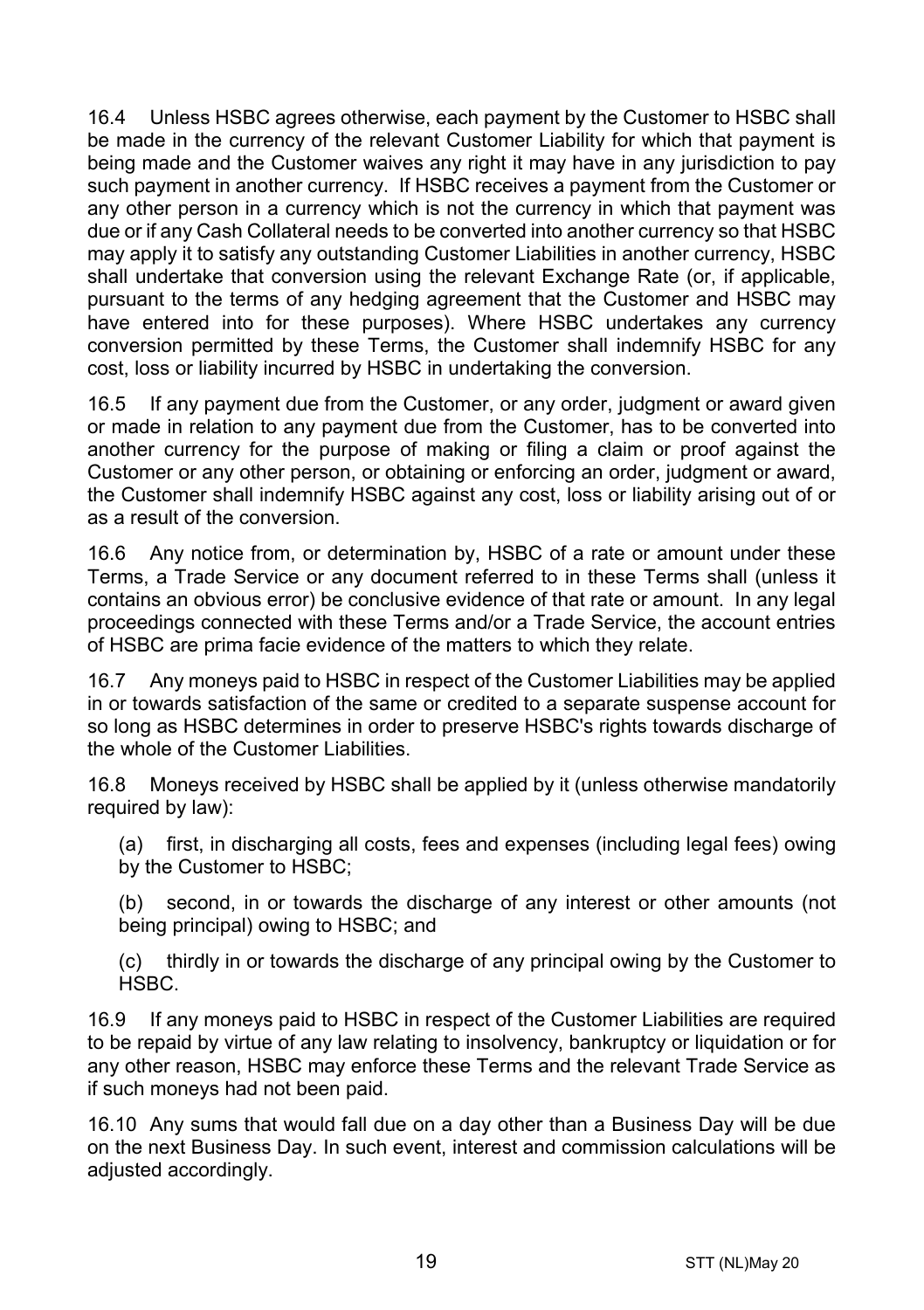16.4 Unless HSBC agrees otherwise, each payment by the Customer to HSBC shall be made in the currency of the relevant Customer Liability for which that payment is being made and the Customer waives any right it may have in any jurisdiction to pay such payment in another currency. If HSBC receives a payment from the Customer or any other person in a currency which is not the currency in which that payment was due or if any Cash Collateral needs to be converted into another currency so that HSBC may apply it to satisfy any outstanding Customer Liabilities in another currency, HSBC shall undertake that conversion using the relevant Exchange Rate (or, if applicable, pursuant to the terms of any hedging agreement that the Customer and HSBC may have entered into for these purposes). Where HSBC undertakes any currency conversion permitted by these Terms, the Customer shall indemnify HSBC for any cost, loss or liability incurred by HSBC in undertaking the conversion.

16.5 If any payment due from the Customer, or any order, judgment or award given or made in relation to any payment due from the Customer, has to be converted into another currency for the purpose of making or filing a claim or proof against the Customer or any other person, or obtaining or enforcing an order, judgment or award, the Customer shall indemnify HSBC against any cost, loss or liability arising out of or as a result of the conversion.

16.6 Any notice from, or determination by, HSBC of a rate or amount under these Terms, a Trade Service or any document referred to in these Terms shall (unless it contains an obvious error) be conclusive evidence of that rate or amount. In any legal proceedings connected with these Terms and/or a Trade Service, the account entries of HSBC are prima facie evidence of the matters to which they relate.

16.7 Any moneys paid to HSBC in respect of the Customer Liabilities may be applied in or towards satisfaction of the same or credited to a separate suspense account for so long as HSBC determines in order to preserve HSBC's rights towards discharge of the whole of the Customer Liabilities.

16.8 Moneys received by HSBC shall be applied by it (unless otherwise mandatorily required by law):

(a) first, in discharging all costs, fees and expenses (including legal fees) owing by the Customer to HSBC;

(b) second, in or towards the discharge of any interest or other amounts (not being principal) owing to HSBC; and

(c) thirdly in or towards the discharge of any principal owing by the Customer to HSBC.

16.9 If any moneys paid to HSBC in respect of the Customer Liabilities are required to be repaid by virtue of any law relating to insolvency, bankruptcy or liquidation or for any other reason, HSBC may enforce these Terms and the relevant Trade Service as if such moneys had not been paid.

16.10 Any sums that would fall due on a day other than a Business Day will be due on the next Business Day. In such event, interest and commission calculations will be adjusted accordingly.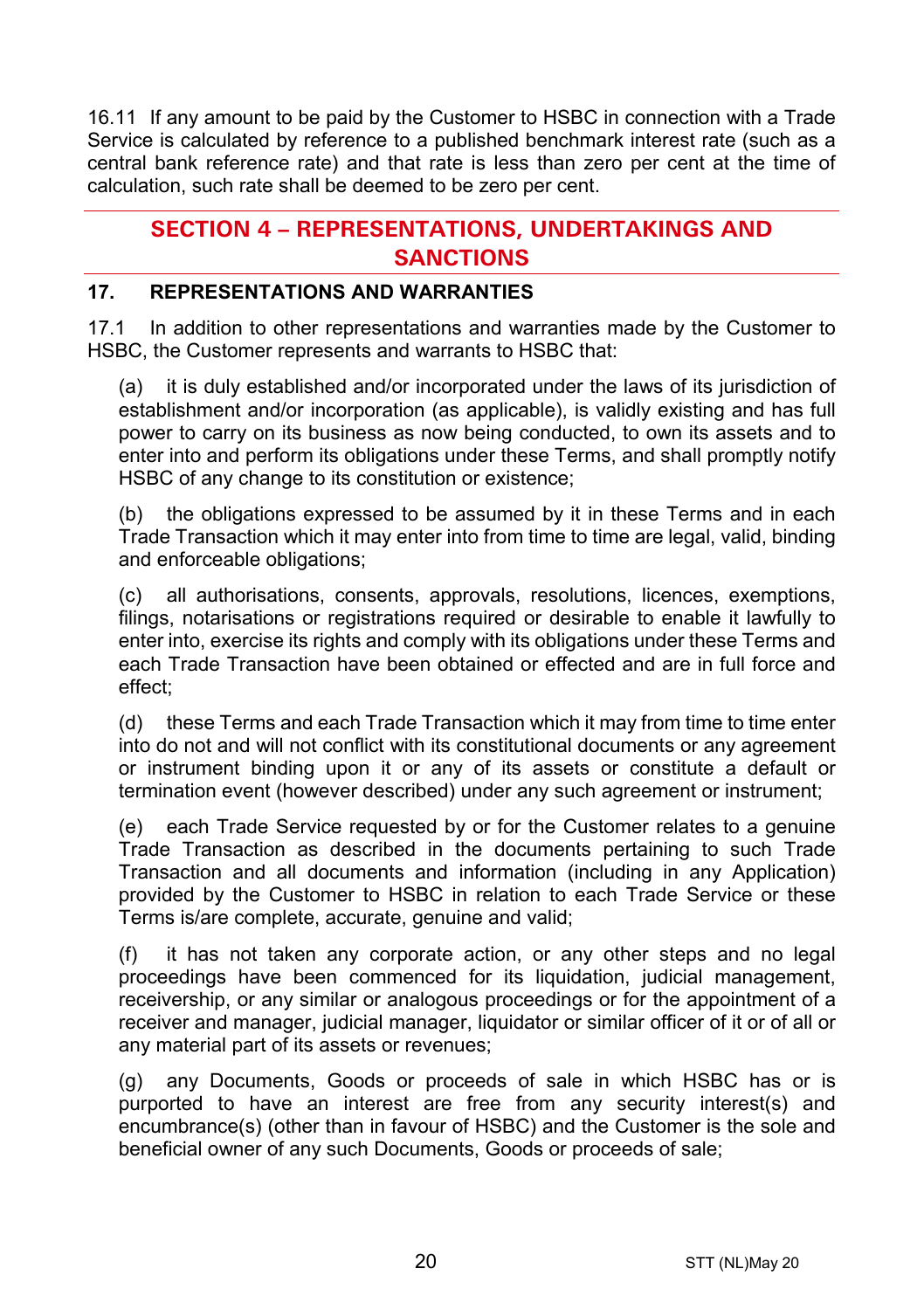16.11 If any amount to be paid by the Customer to HSBC in connection with a Trade Service is calculated by reference to a published benchmark interest rate (such as a central bank reference rate) and that rate is less than zero per cent at the time of calculation, such rate shall be deemed to be zero per cent.

# **SECTION 4 – REPRESENTATIONS, UNDERTAKINGS AND SANCTIONS**

#### **17. REPRESENTATIONS AND WARRANTIES**

17.1 In addition to other representations and warranties made by the Customer to HSBC, the Customer represents and warrants to HSBC that:

(a) it is duly established and/or incorporated under the laws of its jurisdiction of establishment and/or incorporation (as applicable), is validly existing and has full power to carry on its business as now being conducted, to own its assets and to enter into and perform its obligations under these Terms, and shall promptly notify HSBC of any change to its constitution or existence;

(b) the obligations expressed to be assumed by it in these Terms and in each Trade Transaction which it may enter into from time to time are legal, valid, binding and enforceable obligations;

(c) all authorisations, consents, approvals, resolutions, licences, exemptions, filings, notarisations or registrations required or desirable to enable it lawfully to enter into, exercise its rights and comply with its obligations under these Terms and each Trade Transaction have been obtained or effected and are in full force and effect;

(d) these Terms and each Trade Transaction which it may from time to time enter into do not and will not conflict with its constitutional documents or any agreement or instrument binding upon it or any of its assets or constitute a default or termination event (however described) under any such agreement or instrument;

(e) each Trade Service requested by or for the Customer relates to a genuine Trade Transaction as described in the documents pertaining to such Trade Transaction and all documents and information (including in any Application) provided by the Customer to HSBC in relation to each Trade Service or these Terms is/are complete, accurate, genuine and valid;

(f) it has not taken any corporate action, or any other steps and no legal proceedings have been commenced for its liquidation, judicial management, receivership, or any similar or analogous proceedings or for the appointment of a receiver and manager, judicial manager, liquidator or similar officer of it or of all or any material part of its assets or revenues;

(g) any Documents, Goods or proceeds of sale in which HSBC has or is purported to have an interest are free from any security interest(s) and encumbrance(s) (other than in favour of HSBC) and the Customer is the sole and beneficial owner of any such Documents, Goods or proceeds of sale;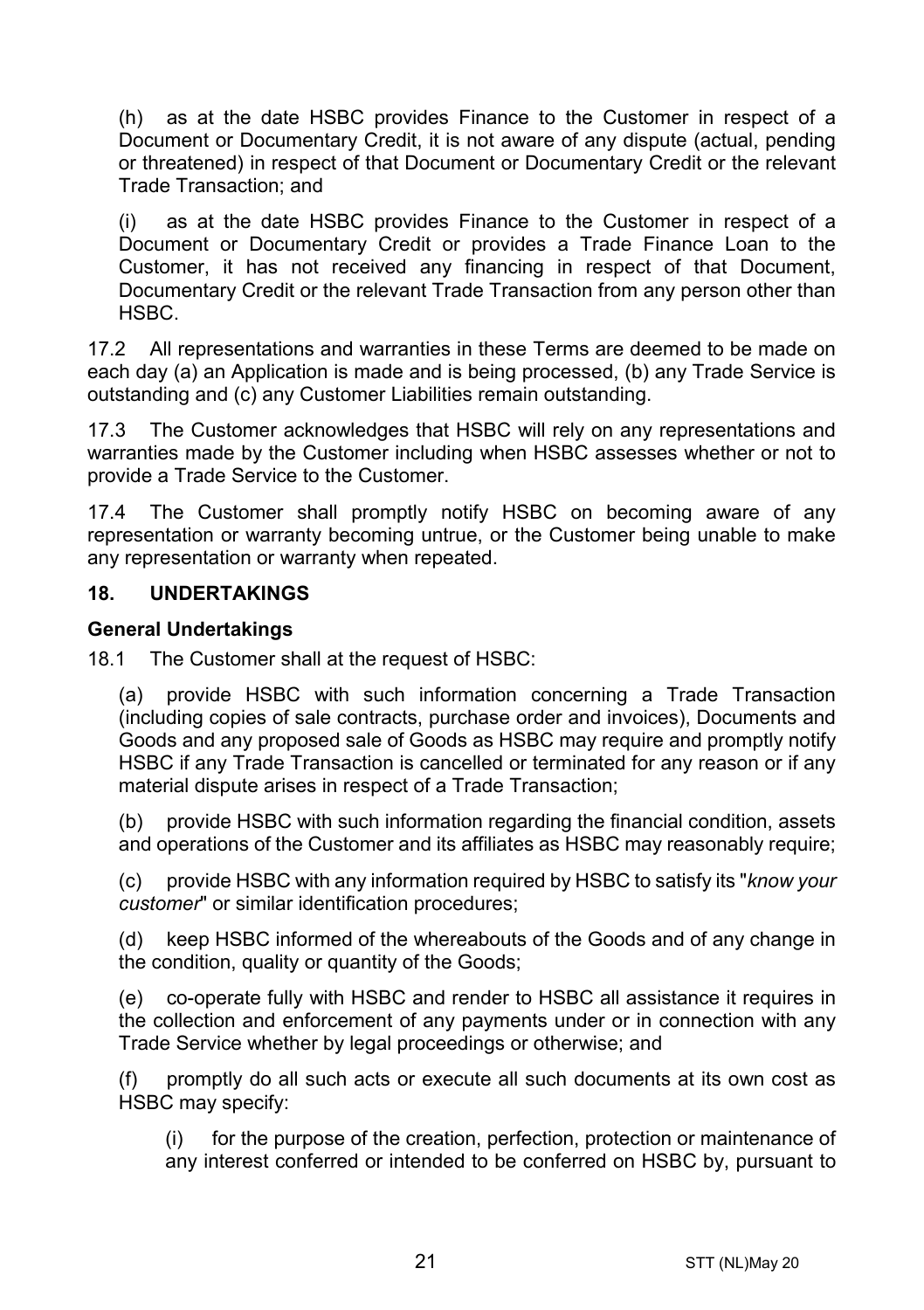(h) as at the date HSBC provides Finance to the Customer in respect of a Document or Documentary Credit, it is not aware of any dispute (actual, pending or threatened) in respect of that Document or Documentary Credit or the relevant Trade Transaction; and

(i) as at the date HSBC provides Finance to the Customer in respect of a Document or Documentary Credit or provides a Trade Finance Loan to the Customer, it has not received any financing in respect of that Document, Documentary Credit or the relevant Trade Transaction from any person other than HSBC.

17.2 All representations and warranties in these Terms are deemed to be made on each day (a) an Application is made and is being processed, (b) any Trade Service is outstanding and (c) any Customer Liabilities remain outstanding.

17.3 The Customer acknowledges that HSBC will rely on any representations and warranties made by the Customer including when HSBC assesses whether or not to provide a Trade Service to the Customer.

17.4 The Customer shall promptly notify HSBC on becoming aware of any representation or warranty becoming untrue, or the Customer being unable to make any representation or warranty when repeated.

#### **18. UNDERTAKINGS**

#### **General Undertakings**

18.1 The Customer shall at the request of HSBC:

(a) provide HSBC with such information concerning a Trade Transaction (including copies of sale contracts, purchase order and invoices), Documents and Goods and any proposed sale of Goods as HSBC may require and promptly notify HSBC if any Trade Transaction is cancelled or terminated for any reason or if any material dispute arises in respect of a Trade Transaction;

(b) provide HSBC with such information regarding the financial condition, assets and operations of the Customer and its affiliates as HSBC may reasonably require;

(c) provide HSBC with any information required by HSBC to satisfy its "*know your customer*" or similar identification procedures;

(d) keep HSBC informed of the whereabouts of the Goods and of any change in the condition, quality or quantity of the Goods;

(e) co-operate fully with HSBC and render to HSBC all assistance it requires in the collection and enforcement of any payments under or in connection with any Trade Service whether by legal proceedings or otherwise; and

(f) promptly do all such acts or execute all such documents at its own cost as HSBC may specify:

(i) for the purpose of the creation, perfection, protection or maintenance of any interest conferred or intended to be conferred on HSBC by, pursuant to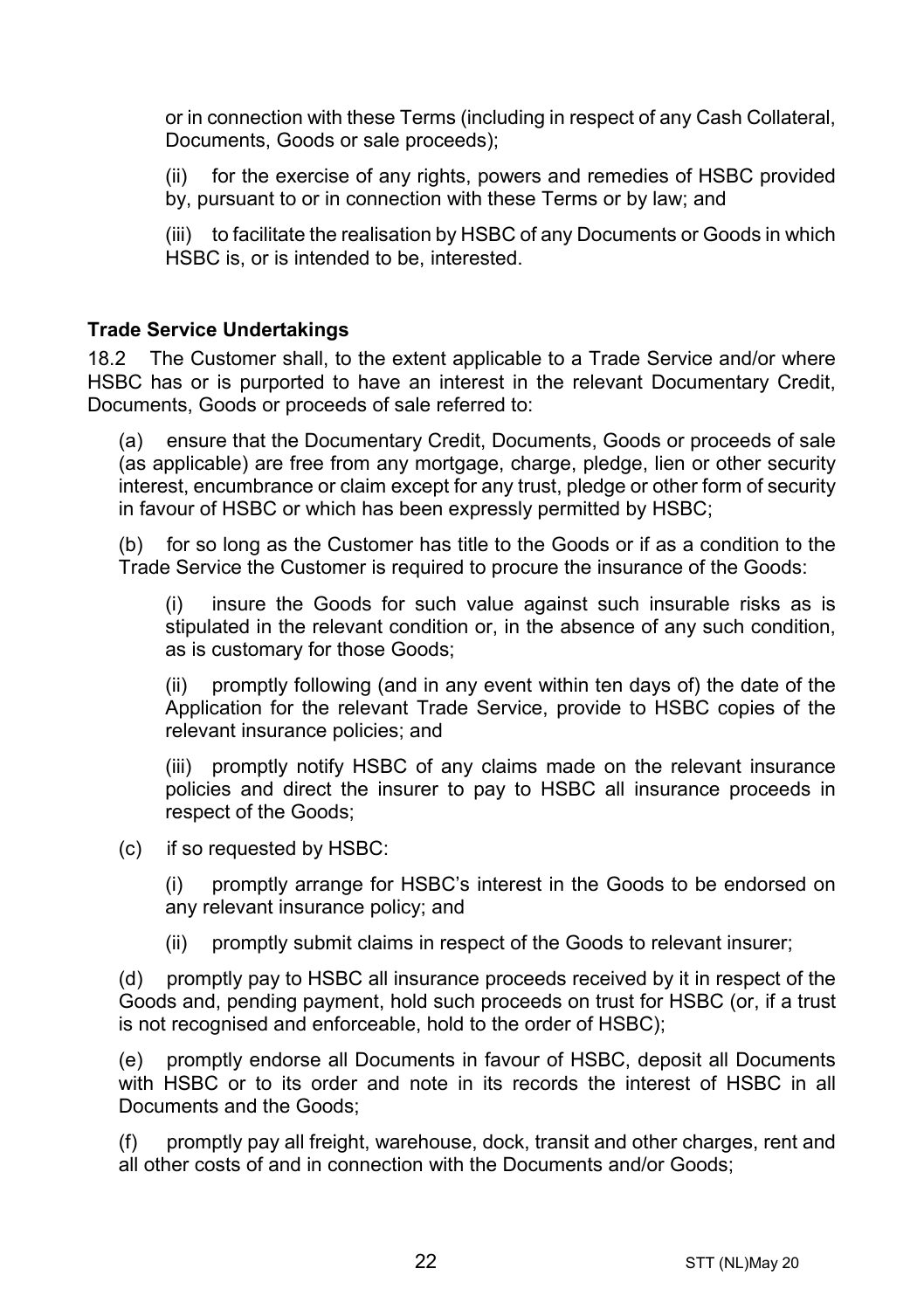or in connection with these Terms (including in respect of any Cash Collateral, Documents, Goods or sale proceeds);

(ii) for the exercise of any rights, powers and remedies of HSBC provided by, pursuant to or in connection with these Terms or by law; and

(iii) to facilitate the realisation by HSBC of any Documents or Goods in which HSBC is, or is intended to be, interested.

#### **Trade Service Undertakings**

18.2 The Customer shall, to the extent applicable to a Trade Service and/or where HSBC has or is purported to have an interest in the relevant Documentary Credit, Documents, Goods or proceeds of sale referred to:

(a) ensure that the Documentary Credit, Documents, Goods or proceeds of sale (as applicable) are free from any mortgage, charge, pledge, lien or other security interest, encumbrance or claim except for any trust, pledge or other form of security in favour of HSBC or which has been expressly permitted by HSBC;

(b) for so long as the Customer has title to the Goods or if as a condition to the Trade Service the Customer is required to procure the insurance of the Goods:

(i) insure the Goods for such value against such insurable risks as is stipulated in the relevant condition or, in the absence of any such condition, as is customary for those Goods;

(ii) promptly following (and in any event within ten days of) the date of the Application for the relevant Trade Service, provide to HSBC copies of the relevant insurance policies; and

(iii) promptly notify HSBC of any claims made on the relevant insurance policies and direct the insurer to pay to HSBC all insurance proceeds in respect of the Goods;

(c) if so requested by HSBC:

(i) promptly arrange for HSBC's interest in the Goods to be endorsed on any relevant insurance policy; and

(ii) promptly submit claims in respect of the Goods to relevant insurer;

(d) promptly pay to HSBC all insurance proceeds received by it in respect of the Goods and, pending payment, hold such proceeds on trust for HSBC (or, if a trust is not recognised and enforceable, hold to the order of HSBC);

(e) promptly endorse all Documents in favour of HSBC, deposit all Documents with HSBC or to its order and note in its records the interest of HSBC in all Documents and the Goods;

(f) promptly pay all freight, warehouse, dock, transit and other charges, rent and all other costs of and in connection with the Documents and/or Goods;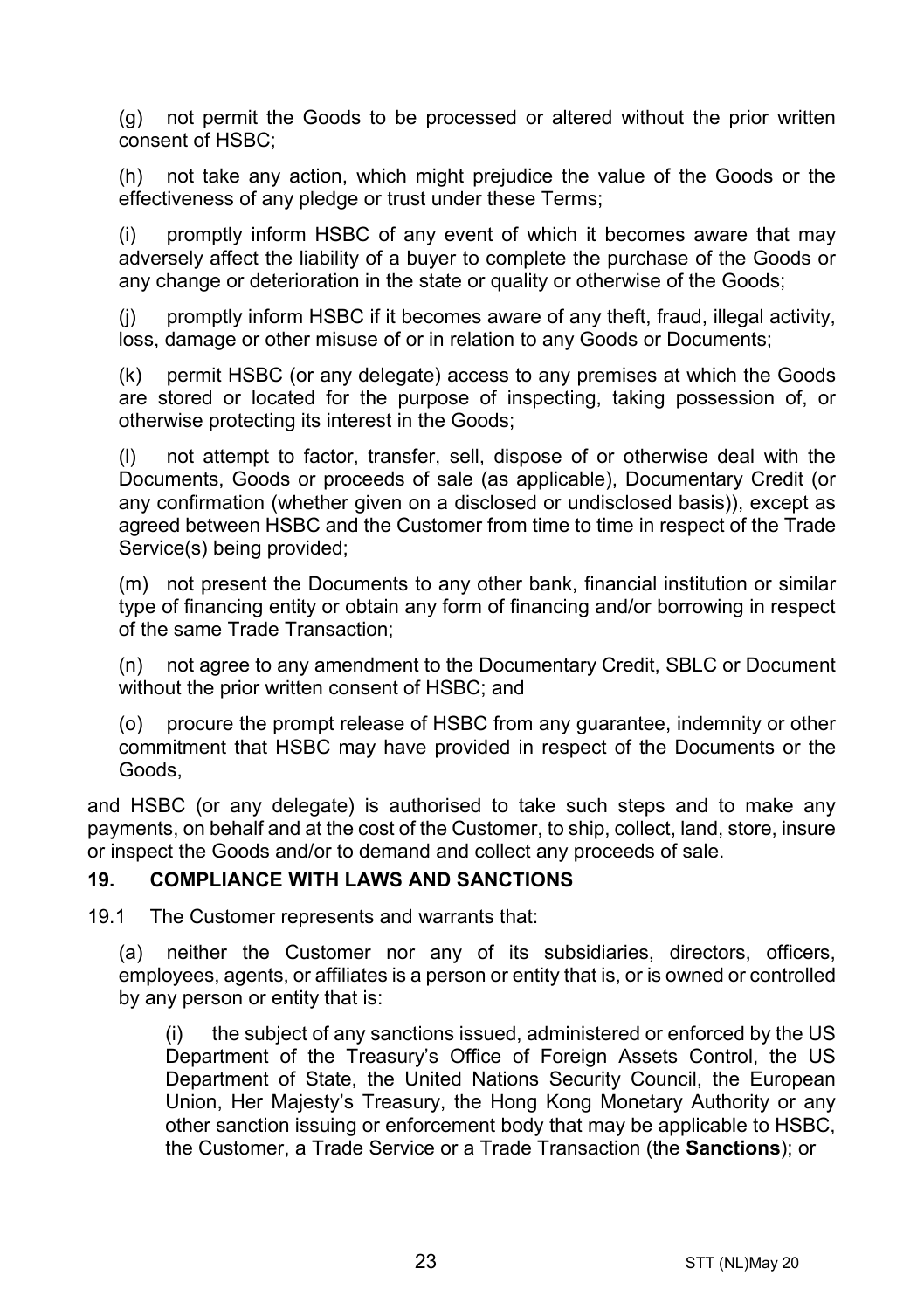(g) not permit the Goods to be processed or altered without the prior written consent of HSBC;

(h) not take any action, which might prejudice the value of the Goods or the effectiveness of any pledge or trust under these Terms;

(i) promptly inform HSBC of any event of which it becomes aware that may adversely affect the liability of a buyer to complete the purchase of the Goods or any change or deterioration in the state or quality or otherwise of the Goods;

(j) promptly inform HSBC if it becomes aware of any theft, fraud, illegal activity, loss, damage or other misuse of or in relation to any Goods or Documents;

(k) permit HSBC (or any delegate) access to any premises at which the Goods are stored or located for the purpose of inspecting, taking possession of, or otherwise protecting its interest in the Goods;

(l) not attempt to factor, transfer, sell, dispose of or otherwise deal with the Documents, Goods or proceeds of sale (as applicable), Documentary Credit (or any confirmation (whether given on a disclosed or undisclosed basis)), except as agreed between HSBC and the Customer from time to time in respect of the Trade Service(s) being provided;

(m) not present the Documents to any other bank, financial institution or similar type of financing entity or obtain any form of financing and/or borrowing in respect of the same Trade Transaction;

(n) not agree to any amendment to the Documentary Credit, SBLC or Document without the prior written consent of HSBC; and

(o) procure the prompt release of HSBC from any guarantee, indemnity or other commitment that HSBC may have provided in respect of the Documents or the Goods,

and HSBC (or any delegate) is authorised to take such steps and to make any payments, on behalf and at the cost of the Customer, to ship, collect, land, store, insure or inspect the Goods and/or to demand and collect any proceeds of sale.

#### <span id="page-22-0"></span>**19. COMPLIANCE WITH LAWS AND SANCTIONS**

19.1 The Customer represents and warrants that:

(a) neither the Customer nor any of its subsidiaries, directors, officers, employees, agents, or affiliates is a person or entity that is, or is owned or controlled by any person or entity that is:

(i) the subject of any sanctions issued, administered or enforced by the US Department of the Treasury's Office of Foreign Assets Control, the US Department of State, the United Nations Security Council, the European Union, Her Majesty's Treasury, the Hong Kong Monetary Authority or any other sanction issuing or enforcement body that may be applicable to HSBC, the Customer, a Trade Service or a Trade Transaction (the **Sanctions**); or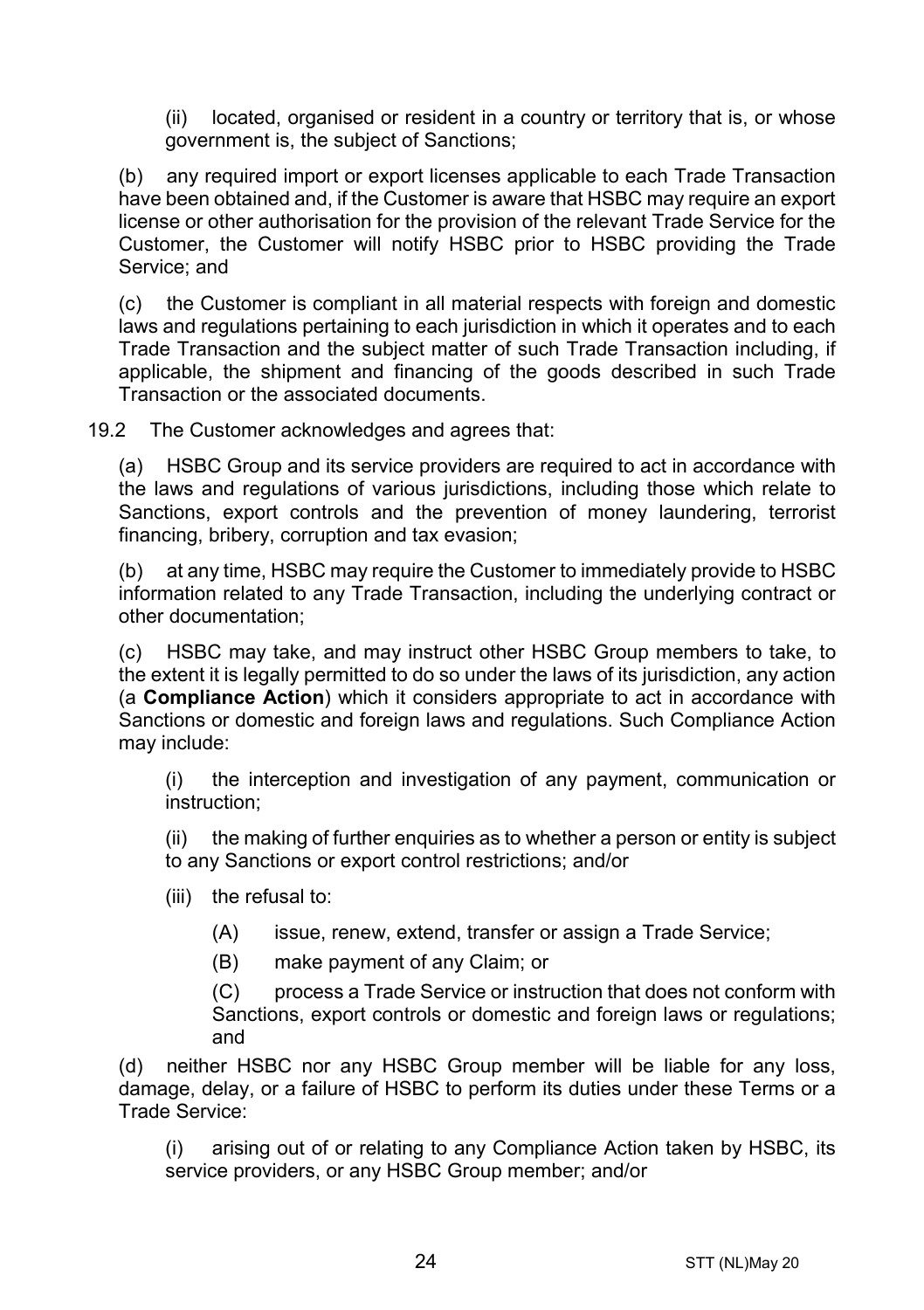(ii) located, organised or resident in a country or territory that is, or whose government is, the subject of Sanctions;

(b) any required import or export licenses applicable to each Trade Transaction have been obtained and, if the Customer is aware that HSBC may require an export license or other authorisation for the provision of the relevant Trade Service for the Customer, the Customer will notify HSBC prior to HSBC providing the Trade Service; and

(c) the Customer is compliant in all material respects with foreign and domestic laws and regulations pertaining to each jurisdiction in which it operates and to each Trade Transaction and the subject matter of such Trade Transaction including, if applicable, the shipment and financing of the goods described in such Trade Transaction or the associated documents.

19.2 The Customer acknowledges and agrees that:

(a) HSBC Group and its service providers are required to act in accordance with the laws and regulations of various jurisdictions, including those which relate to Sanctions, export controls and the prevention of money laundering, terrorist financing, bribery, corruption and tax evasion;

(b) at any time, HSBC may require the Customer to immediately provide to HSBC information related to any Trade Transaction, including the underlying contract or other documentation;

(c) HSBC may take, and may instruct other HSBC Group members to take, to the extent it is legally permitted to do so under the laws of its jurisdiction, any action (a **Compliance Action**) which it considers appropriate to act in accordance with Sanctions or domestic and foreign laws and regulations. Such Compliance Action may include:

(i) the interception and investigation of any payment, communication or instruction;

(ii) the making of further enquiries as to whether a person or entity is subject to any Sanctions or export control restrictions; and/or

- (iii) the refusal to:
	- (A) issue, renew, extend, transfer or assign a Trade Service;
	- (B) make payment of any Claim; or

(C) process a Trade Service or instruction that does not conform with Sanctions, export controls or domestic and foreign laws or regulations; and

(d) neither HSBC nor any HSBC Group member will be liable for any loss, damage, delay, or a failure of HSBC to perform its duties under these Terms or a Trade Service:

(i) arising out of or relating to any Compliance Action taken by HSBC, its service providers, or any HSBC Group member; and/or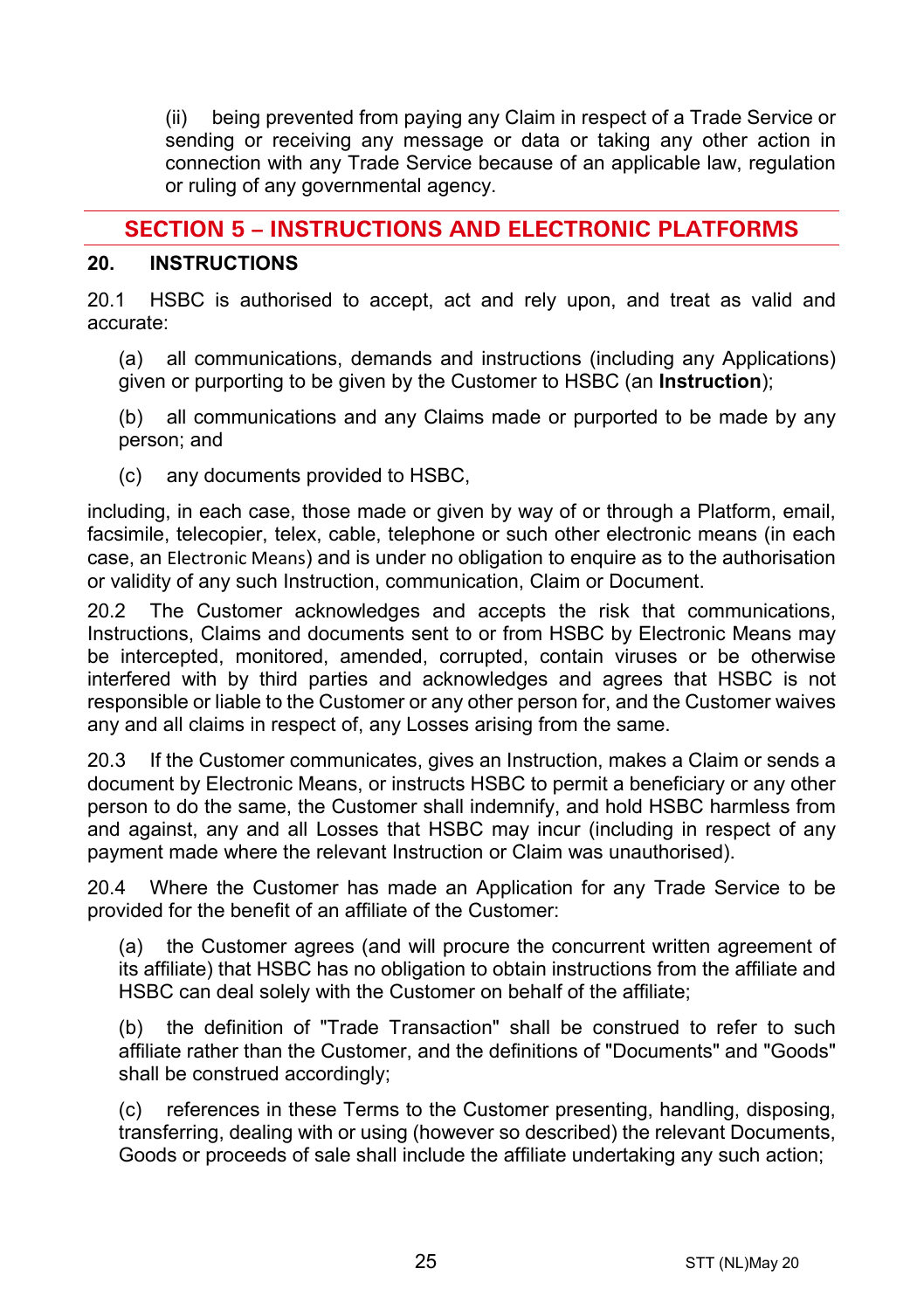(ii) being prevented from paying any Claim in respect of a Trade Service or sending or receiving any message or data or taking any other action in connection with any Trade Service because of an applicable law, regulation or ruling of any governmental agency.

# **SECTION 5 – INSTRUCTIONS AND ELECTRONIC PLATFORMS**

#### <span id="page-24-0"></span>**20. INSTRUCTIONS**

20.1 HSBC is authorised to accept, act and rely upon, and treat as valid and accurate:

(a) all communications, demands and instructions (including any Applications) given or purporting to be given by the Customer to HSBC (an **Instruction**);

(b) all communications and any Claims made or purported to be made by any person; and

(c) any documents provided to HSBC,

including, in each case, those made or given by way of or through a Platform, email, facsimile, telecopier, telex, cable, telephone or such other electronic means (in each case, an Electronic Means) and is under no obligation to enquire as to the authorisation or validity of any such Instruction, communication, Claim or Document.

20.2 The Customer acknowledges and accepts the risk that communications, Instructions, Claims and documents sent to or from HSBC by Electronic Means may be intercepted, monitored, amended, corrupted, contain viruses or be otherwise interfered with by third parties and acknowledges and agrees that HSBC is not responsible or liable to the Customer or any other person for, and the Customer waives any and all claims in respect of, any Losses arising from the same.

20.3 If the Customer communicates, gives an Instruction, makes a Claim or sends a document by Electronic Means, or instructs HSBC to permit a beneficiary or any other person to do the same, the Customer shall indemnify, and hold HSBC harmless from and against, any and all Losses that HSBC may incur (including in respect of any payment made where the relevant Instruction or Claim was unauthorised).

20.4 Where the Customer has made an Application for any Trade Service to be provided for the benefit of an affiliate of the Customer:

(a) the Customer agrees (and will procure the concurrent written agreement of its affiliate) that HSBC has no obligation to obtain instructions from the affiliate and HSBC can deal solely with the Customer on behalf of the affiliate;

(b) the definition of "Trade Transaction" shall be construed to refer to such affiliate rather than the Customer, and the definitions of "Documents" and "Goods" shall be construed accordingly;

(c) references in these Terms to the Customer presenting, handling, disposing, transferring, dealing with or using (however so described) the relevant Documents, Goods or proceeds of sale shall include the affiliate undertaking any such action;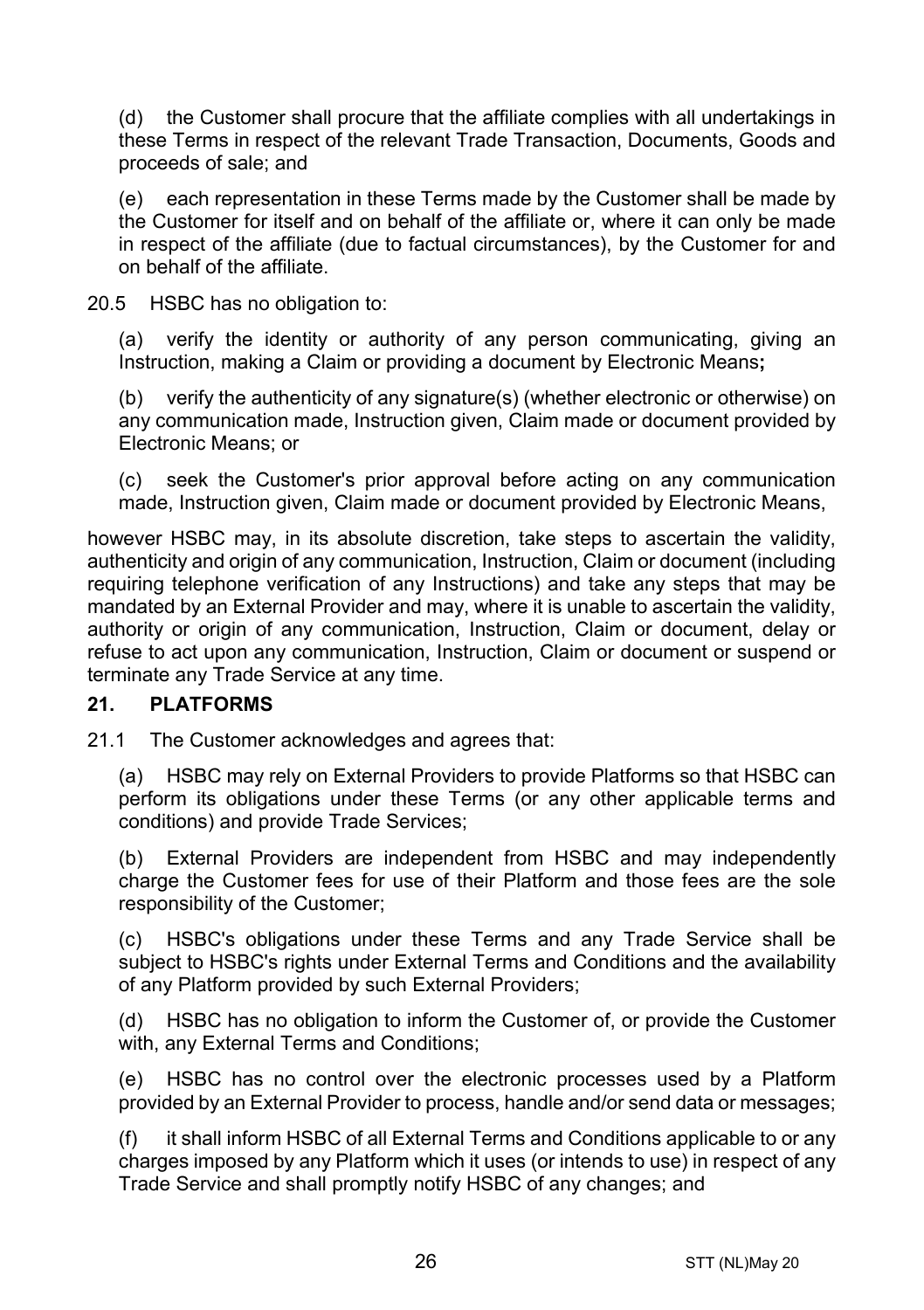(d) the Customer shall procure that the affiliate complies with all undertakings in these Terms in respect of the relevant Trade Transaction, Documents, Goods and proceeds of sale; and

(e) each representation in these Terms made by the Customer shall be made by the Customer for itself and on behalf of the affiliate or, where it can only be made in respect of the affiliate (due to factual circumstances), by the Customer for and on behalf of the affiliate.

20.5 HSBC has no obligation to:

(a) verify the identity or authority of any person communicating, giving an Instruction, making a Claim or providing a document by Electronic Means**;**

(b) verify the authenticity of any signature(s) (whether electronic or otherwise) on any communication made, Instruction given, Claim made or document provided by Electronic Means; or

(c) seek the Customer's prior approval before acting on any communication made, Instruction given, Claim made or document provided by Electronic Means,

however HSBC may, in its absolute discretion, take steps to ascertain the validity, authenticity and origin of any communication, Instruction, Claim or document (including requiring telephone verification of any Instructions) and take any steps that may be mandated by an External Provider and may, where it is unable to ascertain the validity, authority or origin of any communication, Instruction, Claim or document, delay or refuse to act upon any communication, Instruction, Claim or document or suspend or terminate any Trade Service at any time.

#### **21. PLATFORMS**

21.1 The Customer acknowledges and agrees that:

(a) HSBC may rely on External Providers to provide Platforms so that HSBC can perform its obligations under these Terms (or any other applicable terms and conditions) and provide Trade Services;

(b) External Providers are independent from HSBC and may independently charge the Customer fees for use of their Platform and those fees are the sole responsibility of the Customer;

(c) HSBC's obligations under these Terms and any Trade Service shall be subject to HSBC's rights under External Terms and Conditions and the availability of any Platform provided by such External Providers;

(d) HSBC has no obligation to inform the Customer of, or provide the Customer with, any External Terms and Conditions;

(e) HSBC has no control over the electronic processes used by a Platform provided by an External Provider to process, handle and/or send data or messages;

(f) it shall inform HSBC of all External Terms and Conditions applicable to or any charges imposed by any Platform which it uses (or intends to use) in respect of any Trade Service and shall promptly notify HSBC of any changes; and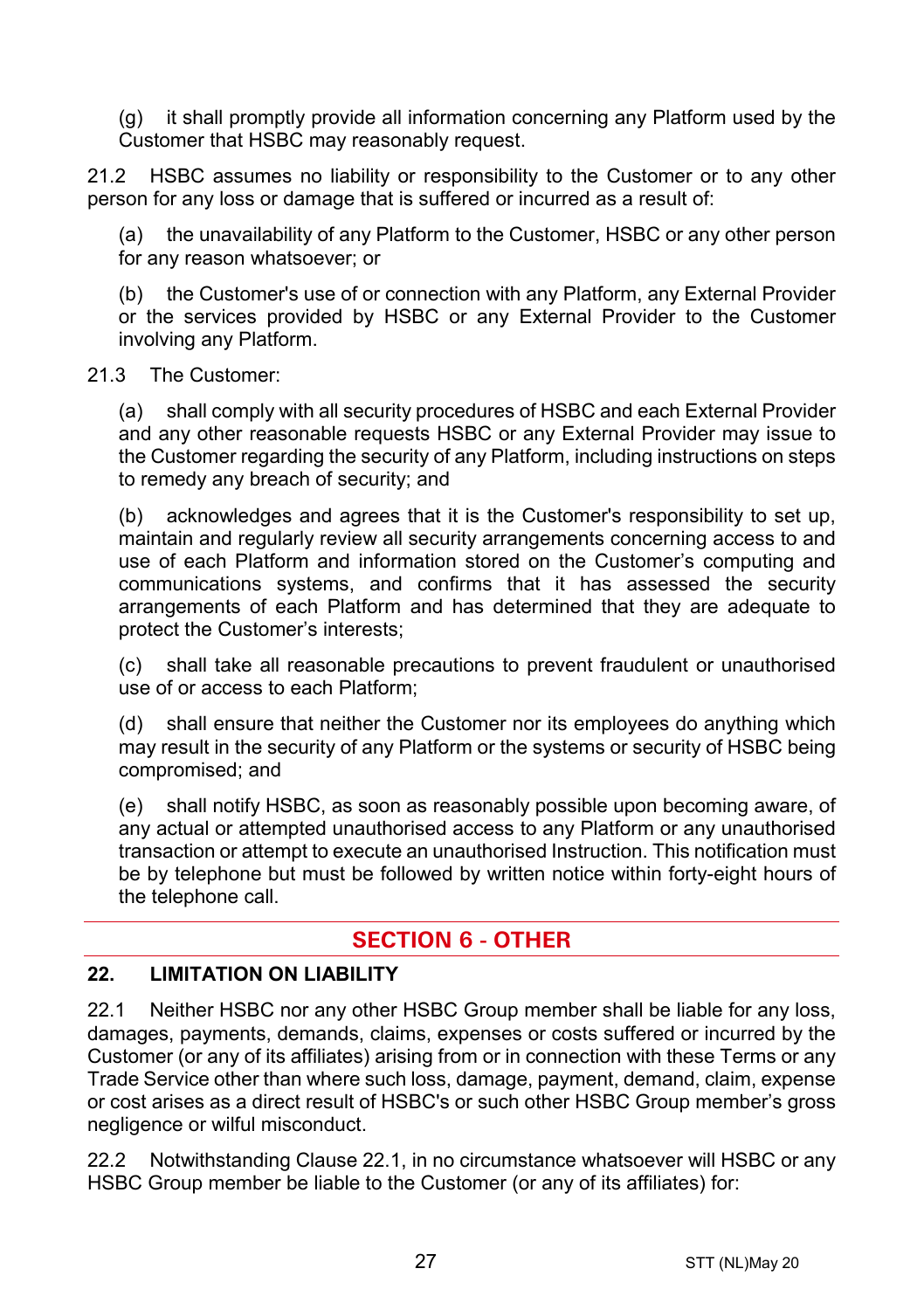(g) it shall promptly provide all information concerning any Platform used by the Customer that HSBC may reasonably request.

21.2 HSBC assumes no liability or responsibility to the Customer or to any other person for any loss or damage that is suffered or incurred as a result of:

the unavailability of any Platform to the Customer, HSBC or any other person for any reason whatsoever; or

(b) the Customer's use of or connection with any Platform, any External Provider or the services provided by HSBC or any External Provider to the Customer involving any Platform.

#### 21.3 The Customer:

(a) shall comply with all security procedures of HSBC and each External Provider and any other reasonable requests HSBC or any External Provider may issue to the Customer regarding the security of any Platform, including instructions on steps to remedy any breach of security; and

(b) acknowledges and agrees that it is the Customer's responsibility to set up, maintain and regularly review all security arrangements concerning access to and use of each Platform and information stored on the Customer's computing and communications systems, and confirms that it has assessed the security arrangements of each Platform and has determined that they are adequate to protect the Customer's interests;

(c) shall take all reasonable precautions to prevent fraudulent or unauthorised use of or access to each Platform;

(d) shall ensure that neither the Customer nor its employees do anything which may result in the security of any Platform or the systems or security of HSBC being compromised; and

(e) shall notify HSBC, as soon as reasonably possible upon becoming aware, of any actual or attempted unauthorised access to any Platform or any unauthorised transaction or attempt to execute an unauthorised Instruction. This notification must be by telephone but must be followed by written notice within forty-eight hours of the telephone call.

# **SECTION 6 - OTHER**

#### **22. LIMITATION ON LIABILITY**

<span id="page-26-0"></span>22.1 Neither HSBC nor any other HSBC Group member shall be liable for any loss, damages, payments, demands, claims, expenses or costs suffered or incurred by the Customer (or any of its affiliates) arising from or in connection with these Terms or any Trade Service other than where such loss, damage, payment, demand, claim, expense or cost arises as a direct result of HSBC's or such other HSBC Group member's gross negligence or wilful misconduct.

<span id="page-26-1"></span>22.2 Notwithstanding Clause [22.1,](#page-26-0) in no circumstance whatsoever will HSBC or any HSBC Group member be liable to the Customer (or any of its affiliates) for: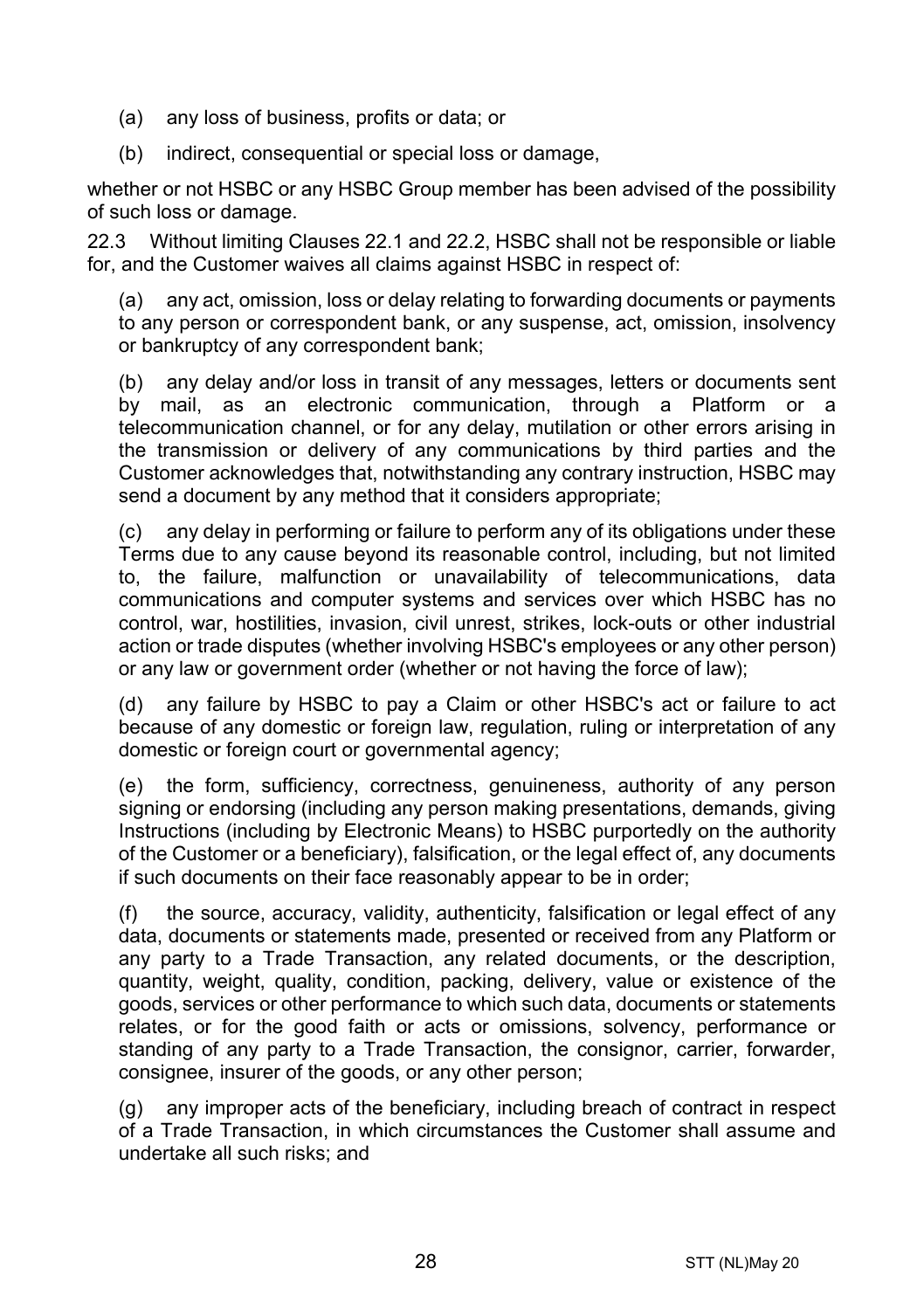- (a) any loss of business, profits or data; or
- (b) indirect, consequential or special loss or damage,

whether or not HSBC or any HSBC Group member has been advised of the possibility of such loss or damage.

22.3 Without limiting Clauses [22.1](#page-26-0) and [22.2,](#page-26-1) HSBC shall not be responsible or liable for, and the Customer waives all claims against HSBC in respect of:

(a) any act, omission, loss or delay relating to forwarding documents or payments to any person or correspondent bank, or any suspense, act, omission, insolvency or bankruptcy of any correspondent bank;

(b) any delay and/or loss in transit of any messages, letters or documents sent by mail, as an electronic communication, through a Platform or a telecommunication channel, or for any delay, mutilation or other errors arising in the transmission or delivery of any communications by third parties and the Customer acknowledges that, notwithstanding any contrary instruction, HSBC may send a document by any method that it considers appropriate;

(c) any delay in performing or failure to perform any of its obligations under these Terms due to any cause beyond its reasonable control, including, but not limited to, the failure, malfunction or unavailability of telecommunications, data communications and computer systems and services over which HSBC has no control, war, hostilities, invasion, civil unrest, strikes, lock-outs or other industrial action or trade disputes (whether involving HSBC's employees or any other person) or any law or government order (whether or not having the force of law);

(d) any failure by HSBC to pay a Claim or other HSBC's act or failure to act because of any domestic or foreign law, regulation, ruling or interpretation of any domestic or foreign court or governmental agency;

(e) the form, sufficiency, correctness, genuineness, authority of any person signing or endorsing (including any person making presentations, demands, giving Instructions (including by Electronic Means) to HSBC purportedly on the authority of the Customer or a beneficiary), falsification, or the legal effect of, any documents if such documents on their face reasonably appear to be in order;

(f) the source, accuracy, validity, authenticity, falsification or legal effect of any data, documents or statements made, presented or received from any Platform or any party to a Trade Transaction, any related documents, or the description, quantity, weight, quality, condition, packing, delivery, value or existence of the goods, services or other performance to which such data, documents or statements relates, or for the good faith or acts or omissions, solvency, performance or standing of any party to a Trade Transaction, the consignor, carrier, forwarder, consignee, insurer of the goods, or any other person;

(g) any improper acts of the beneficiary, including breach of contract in respect of a Trade Transaction, in which circumstances the Customer shall assume and undertake all such risks; and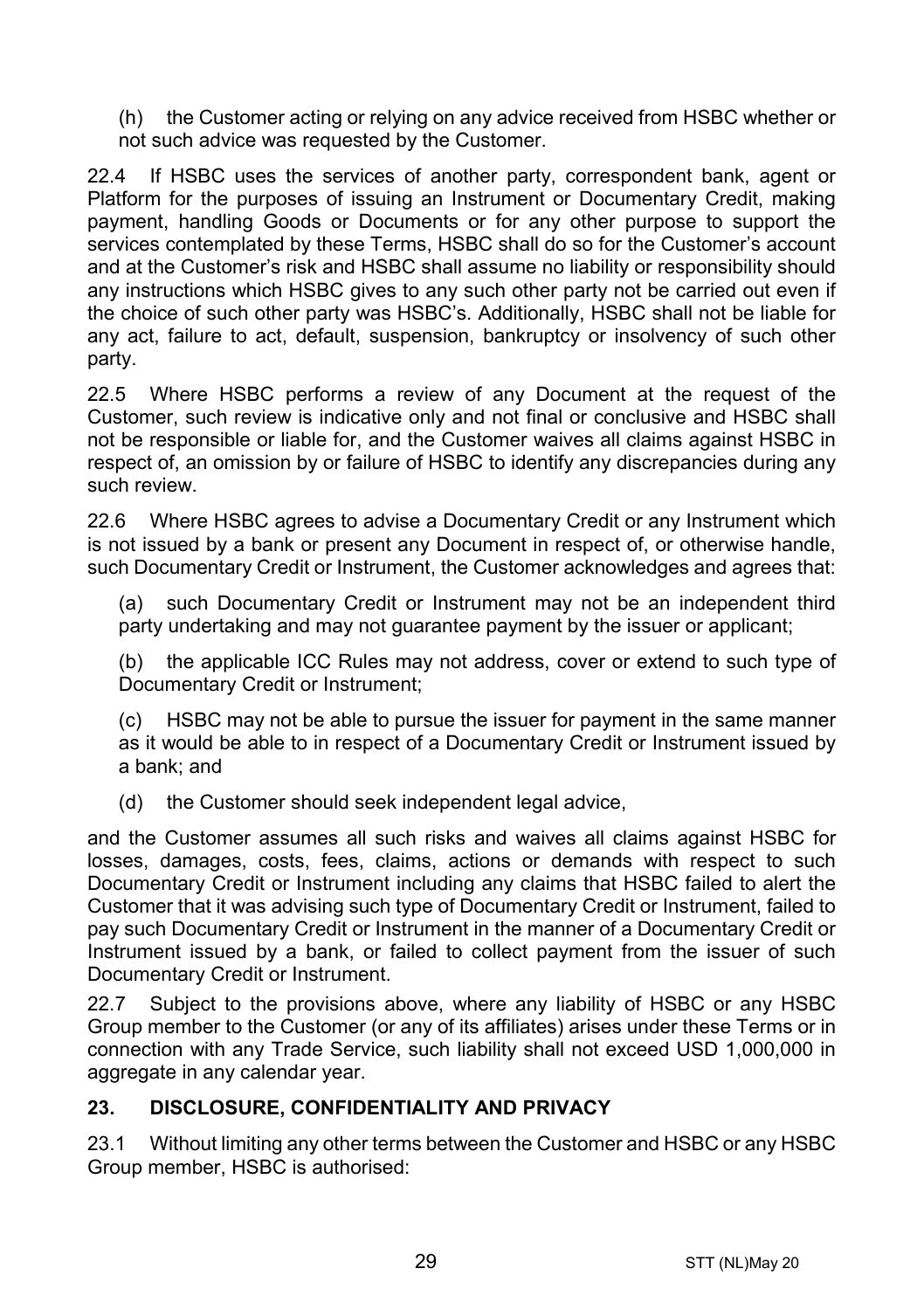(h) the Customer acting or relying on any advice received from HSBC whether or not such advice was requested by the Customer.

22.4 If HSBC uses the services of another party, correspondent bank, agent or Platform for the purposes of issuing an Instrument or Documentary Credit, making payment, handling Goods or Documents or for any other purpose to support the services contemplated by these Terms, HSBC shall do so for the Customer's account and at the Customer's risk and HSBC shall assume no liability or responsibility should any instructions which HSBC gives to any such other party not be carried out even if the choice of such other party was HSBC's. Additionally, HSBC shall not be liable for any act, failure to act, default, suspension, bankruptcy or insolvency of such other party.

22.5 Where HSBC performs a review of any Document at the request of the Customer, such review is indicative only and not final or conclusive and HSBC shall not be responsible or liable for, and the Customer waives all claims against HSBC in respect of, an omission by or failure of HSBC to identify any discrepancies during any such review.

22.6 Where HSBC agrees to advise a Documentary Credit or any Instrument which is not issued by a bank or present any Document in respect of, or otherwise handle, such Documentary Credit or Instrument, the Customer acknowledges and agrees that:

(a) such Documentary Credit or Instrument may not be an independent third party undertaking and may not quarantee payment by the issuer or applicant;

(b) the applicable ICC Rules may not address, cover or extend to such type of Documentary Credit or Instrument;

(c) HSBC may not be able to pursue the issuer for payment in the same manner as it would be able to in respect of a Documentary Credit or Instrument issued by a bank; and

(d) the Customer should seek independent legal advice,

and the Customer assumes all such risks and waives all claims against HSBC for losses, damages, costs, fees, claims, actions or demands with respect to such Documentary Credit or Instrument including any claims that HSBC failed to alert the Customer that it was advising such type of Documentary Credit or Instrument, failed to pay such Documentary Credit or Instrument in the manner of a Documentary Credit or Instrument issued by a bank, or failed to collect payment from the issuer of such Documentary Credit or Instrument.

22.7 Subject to the provisions above, where any liability of HSBC or any HSBC Group member to the Customer (or any of its affiliates) arises under these Terms or in connection with any Trade Service, such liability shall not exceed USD 1,000,000 in aggregate in any calendar year.

#### <span id="page-28-0"></span>**23. DISCLOSURE, CONFIDENTIALITY AND PRIVACY**

23.1 Without limiting any other terms between the Customer and HSBC or any HSBC Group member, HSBC is authorised: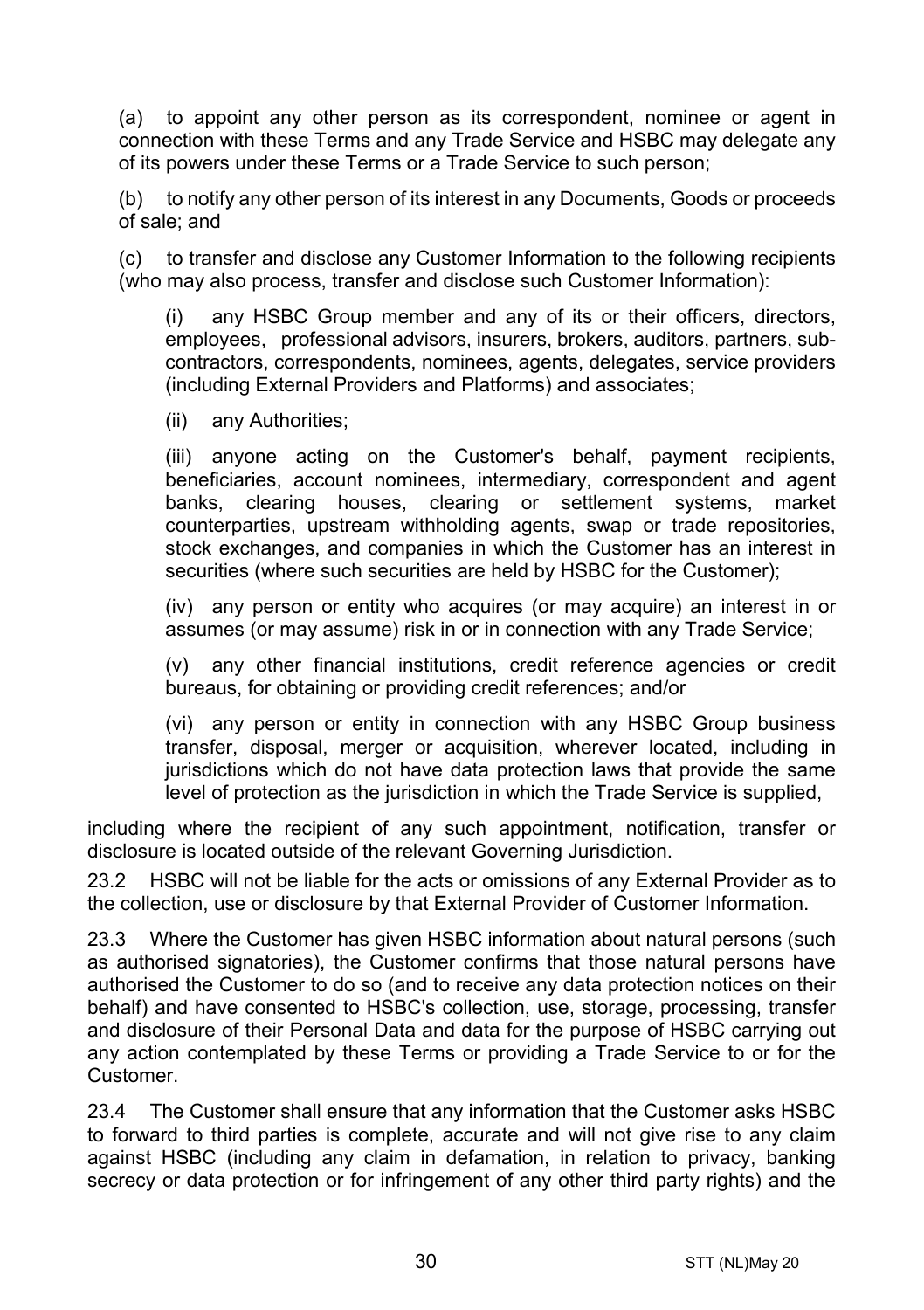<span id="page-29-0"></span>(a) to appoint any other person as its correspondent, nominee or agent in connection with these Terms and any Trade Service and HSBC may delegate any of its powers under these Terms or a Trade Service to such person;

(b) to notify any other person of its interest in any Documents, Goods or proceeds of sale; and

(c) to transfer and disclose any Customer Information to the following recipients (who may also process, transfer and disclose such Customer Information):

(i) any HSBC Group member and any of its or their officers, directors, employees, professional advisors, insurers, brokers, auditors, partners, subcontractors, correspondents, nominees, agents, delegates, service providers (including External Providers and Platforms) and associates;

(ii) any Authorities;

(iii) anyone acting on the Customer's behalf, payment recipients, beneficiaries, account nominees, intermediary, correspondent and agent banks, clearing houses, clearing or settlement systems, market counterparties, upstream withholding agents, swap or trade repositories, stock exchanges, and companies in which the Customer has an interest in securities (where such securities are held by HSBC for the Customer);

(iv) any person or entity who acquires (or may acquire) an interest in or assumes (or may assume) risk in or in connection with any Trade Service;

(v) any other financial institutions, credit reference agencies or credit bureaus, for obtaining or providing credit references; and/or

(vi) any person or entity in connection with any HSBC Group business transfer, disposal, merger or acquisition, wherever located, including in jurisdictions which do not have data protection laws that provide the same level of protection as the jurisdiction in which the Trade Service is supplied,

including where the recipient of any such appointment, notification, transfer or disclosure is located outside of the relevant Governing Jurisdiction.

23.2 HSBC will not be liable for the acts or omissions of any External Provider as to the collection, use or disclosure by that External Provider of Customer Information.

23.3 Where the Customer has given HSBC information about natural persons (such as authorised signatories), the Customer confirms that those natural persons have authorised the Customer to do so (and to receive any data protection notices on their behalf) and have consented to HSBC's collection, use, storage, processing, transfer and disclosure of their Personal Data and data for the purpose of HSBC carrying out any action contemplated by these Terms or providing a Trade Service to or for the Customer.

23.4 The Customer shall ensure that any information that the Customer asks HSBC to forward to third parties is complete, accurate and will not give rise to any claim against HSBC (including any claim in defamation, in relation to privacy, banking secrecy or data protection or for infringement of any other third party rights) and the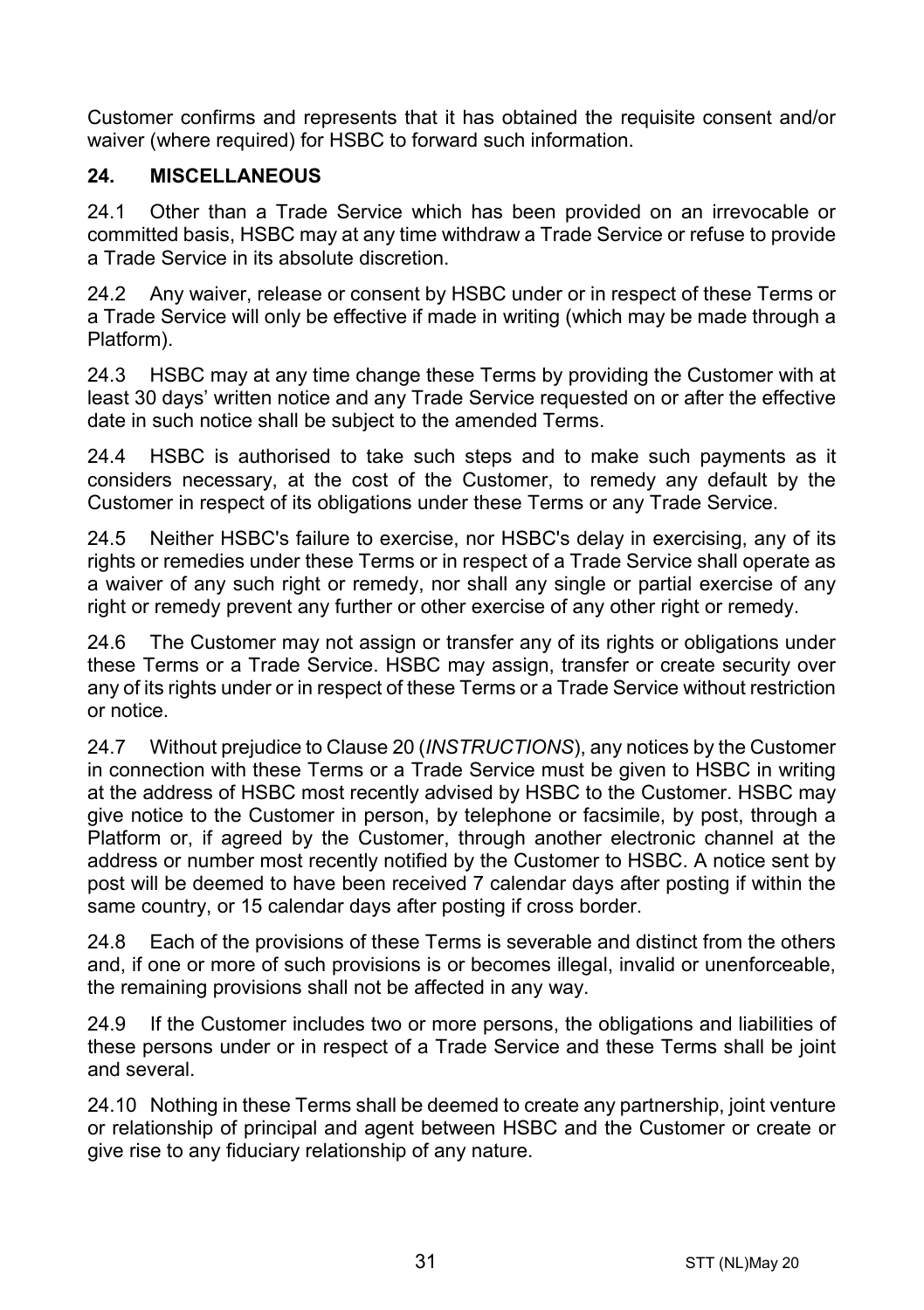Customer confirms and represents that it has obtained the requisite consent and/or waiver (where required) for HSBC to forward such information.

#### **24. MISCELLANEOUS**

24.1 Other than a Trade Service which has been provided on an irrevocable or committed basis, HSBC may at any time withdraw a Trade Service or refuse to provide a Trade Service in its absolute discretion.

24.2 Any waiver, release or consent by HSBC under or in respect of these Terms or a Trade Service will only be effective if made in writing (which may be made through a Platform).

24.3 HSBC may at any time change these Terms by providing the Customer with at least 30 days' written notice and any Trade Service requested on or after the effective date in such notice shall be subject to the amended Terms.

24.4 HSBC is authorised to take such steps and to make such payments as it considers necessary, at the cost of the Customer, to remedy any default by the Customer in respect of its obligations under these Terms or any Trade Service.

24.5 Neither HSBC's failure to exercise, nor HSBC's delay in exercising, any of its rights or remedies under these Terms or in respect of a Trade Service shall operate as a waiver of any such right or remedy, nor shall any single or partial exercise of any right or remedy prevent any further or other exercise of any other right or remedy.

24.6 The Customer may not assign or transfer any of its rights or obligations under these Terms or a Trade Service. HSBC may assign, transfer or create security over any of its rights under or in respect of these Terms or a Trade Service without restriction or notice.

24.7 Without prejudice to Claus[e 20](#page-24-0) (*[INSTRUCTIONS](#page-24-0)*), any notices by the Customer in connection with these Terms or a Trade Service must be given to HSBC in writing at the address of HSBC most recently advised by HSBC to the Customer. HSBC may give notice to the Customer in person, by telephone or facsimile, by post, through a Platform or, if agreed by the Customer, through another electronic channel at the address or number most recently notified by the Customer to HSBC. A notice sent by post will be deemed to have been received 7 calendar days after posting if within the same country, or 15 calendar days after posting if cross border.

24.8 Each of the provisions of these Terms is severable and distinct from the others and, if one or more of such provisions is or becomes illegal, invalid or unenforceable, the remaining provisions shall not be affected in any way.

24.9 If the Customer includes two or more persons, the obligations and liabilities of these persons under or in respect of a Trade Service and these Terms shall be joint and several.

24.10 Nothing in these Terms shall be deemed to create any partnership, joint venture or relationship of principal and agent between HSBC and the Customer or create or give rise to any fiduciary relationship of any nature.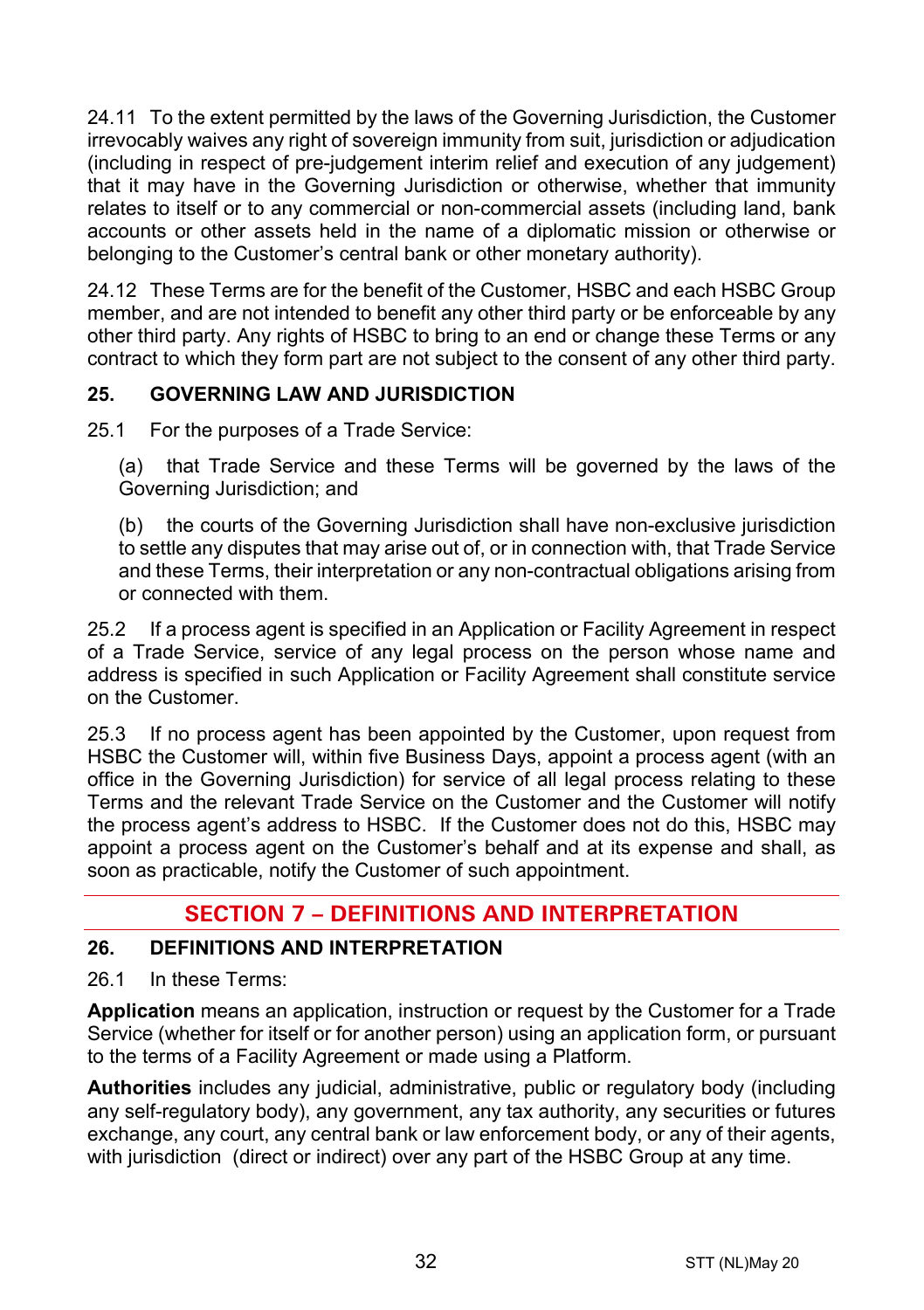24.11 To the extent permitted by the laws of the Governing Jurisdiction, the Customer irrevocably waives any right of sovereign immunity from suit, jurisdiction or adjudication (including in respect of pre-judgement interim relief and execution of any judgement) that it may have in the Governing Jurisdiction or otherwise, whether that immunity relates to itself or to any commercial or non-commercial assets (including land, bank accounts or other assets held in the name of a diplomatic mission or otherwise or belonging to the Customer's central bank or other monetary authority).

24.12 These Terms are for the benefit of the Customer, HSBC and each HSBC Group member, and are not intended to benefit any other third party or be enforceable by any other third party. Any rights of HSBC to bring to an end or change these Terms or any contract to which they form part are not subject to the consent of any other third party.

# **25. GOVERNING LAW AND JURISDICTION**

25.1 For the purposes of a Trade Service:

(a) that Trade Service and these Terms will be governed by the laws of the Governing Jurisdiction; and

(b) the courts of the Governing Jurisdiction shall have non-exclusive jurisdiction to settle any disputes that may arise out of, or in connection with, that Trade Service and these Terms, their interpretation or any non-contractual obligations arising from or connected with them.

25.2 If a process agent is specified in an Application or Facility Agreement in respect of a Trade Service, service of any legal process on the person whose name and address is specified in such Application or Facility Agreement shall constitute service on the Customer.

25.3 If no process agent has been appointed by the Customer, upon request from HSBC the Customer will, within five Business Days, appoint a process agent (with an office in the Governing Jurisdiction) for service of all legal process relating to these Terms and the relevant Trade Service on the Customer and the Customer will notify the process agent's address to HSBC. If the Customer does not do this, HSBC may appoint a process agent on the Customer's behalf and at its expense and shall, as soon as practicable, notify the Customer of such appointment.

# **SECTION 7 – DEFINITIONS AND INTERPRETATION**

#### **26. DEFINITIONS AND INTERPRETATION**

26.1 In these Terms:

**Application** means an application, instruction or request by the Customer for a Trade Service (whether for itself or for another person) using an application form, or pursuant to the terms of a Facility Agreement or made using a Platform.

**Authorities** includes any judicial, administrative, public or regulatory body (including any self-regulatory body), any government, any tax authority, any securities or futures exchange, any court, any central bank or law enforcement body, or any of their agents, with jurisdiction (direct or indirect) over any part of the HSBC Group at any time.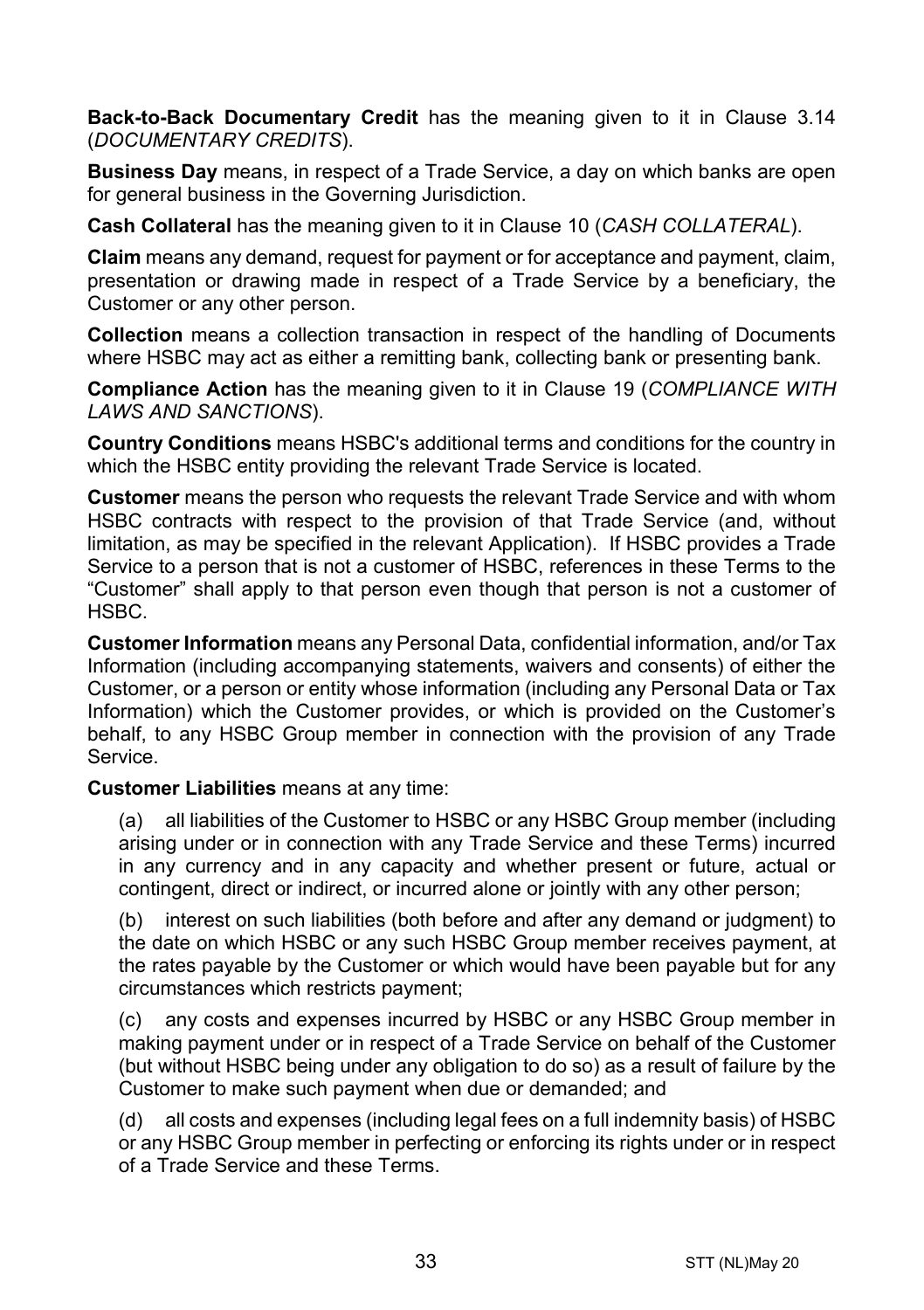**Back-to-Back Documentary Credit** has the meaning given to it in Clause [3.14](#page-5-0) (*[DOCUMENTARY CREDITS](#page-3-0)*).

**Business Day** means, in respect of a Trade Service, a day on which banks are open for general business in the Governing Jurisdiction.

**Cash Collateral** has the meaning given to it in Clause [10](#page-14-1) (*[CASH COLLATERAL](#page-14-1)*).

**Claim** means any demand, request for payment or for acceptance and payment, claim, presentation or drawing made in respect of a Trade Service by a beneficiary, the Customer or any other person.

**Collection** means a collection transaction in respect of the handling of Documents where HSBC may act as either a remitting bank, collecting bank or presenting bank.

**Compliance Action** has the meaning given to it in Clause [19](#page-22-0) (*[COMPLIANCE WITH](#page-22-0)  [LAWS AND SANCTIONS](#page-22-0)*).

**Country Conditions** means HSBC's additional terms and conditions for the country in which the HSBC entity providing the relevant Trade Service is located.

**Customer** means the person who requests the relevant Trade Service and with whom HSBC contracts with respect to the provision of that Trade Service (and, without limitation, as may be specified in the relevant Application). If HSBC provides a Trade Service to a person that is not a customer of HSBC, references in these Terms to the "Customer" shall apply to that person even though that person is not a customer of HSBC.

**Customer Information** means any Personal Data, confidential information, and/or Tax Information (including accompanying statements, waivers and consents) of either the Customer, or a person or entity whose information (including any Personal Data or Tax Information) which the Customer provides, or which is provided on the Customer's behalf, to any HSBC Group member in connection with the provision of any Trade Service.

**Customer Liabilities** means at any time:

(a) all liabilities of the Customer to HSBC or any HSBC Group member (including arising under or in connection with any Trade Service and these Terms) incurred in any currency and in any capacity and whether present or future, actual or contingent, direct or indirect, or incurred alone or jointly with any other person;

(b) interest on such liabilities (both before and after any demand or judgment) to the date on which HSBC or any such HSBC Group member receives payment, at the rates payable by the Customer or which would have been payable but for any circumstances which restricts payment;

(c) any costs and expenses incurred by HSBC or any HSBC Group member in making payment under or in respect of a Trade Service on behalf of the Customer (but without HSBC being under any obligation to do so) as a result of failure by the Customer to make such payment when due or demanded; and

(d) all costs and expenses (including legal fees on a full indemnity basis) of HSBC or any HSBC Group member in perfecting or enforcing its rights under or in respect of a Trade Service and these Terms.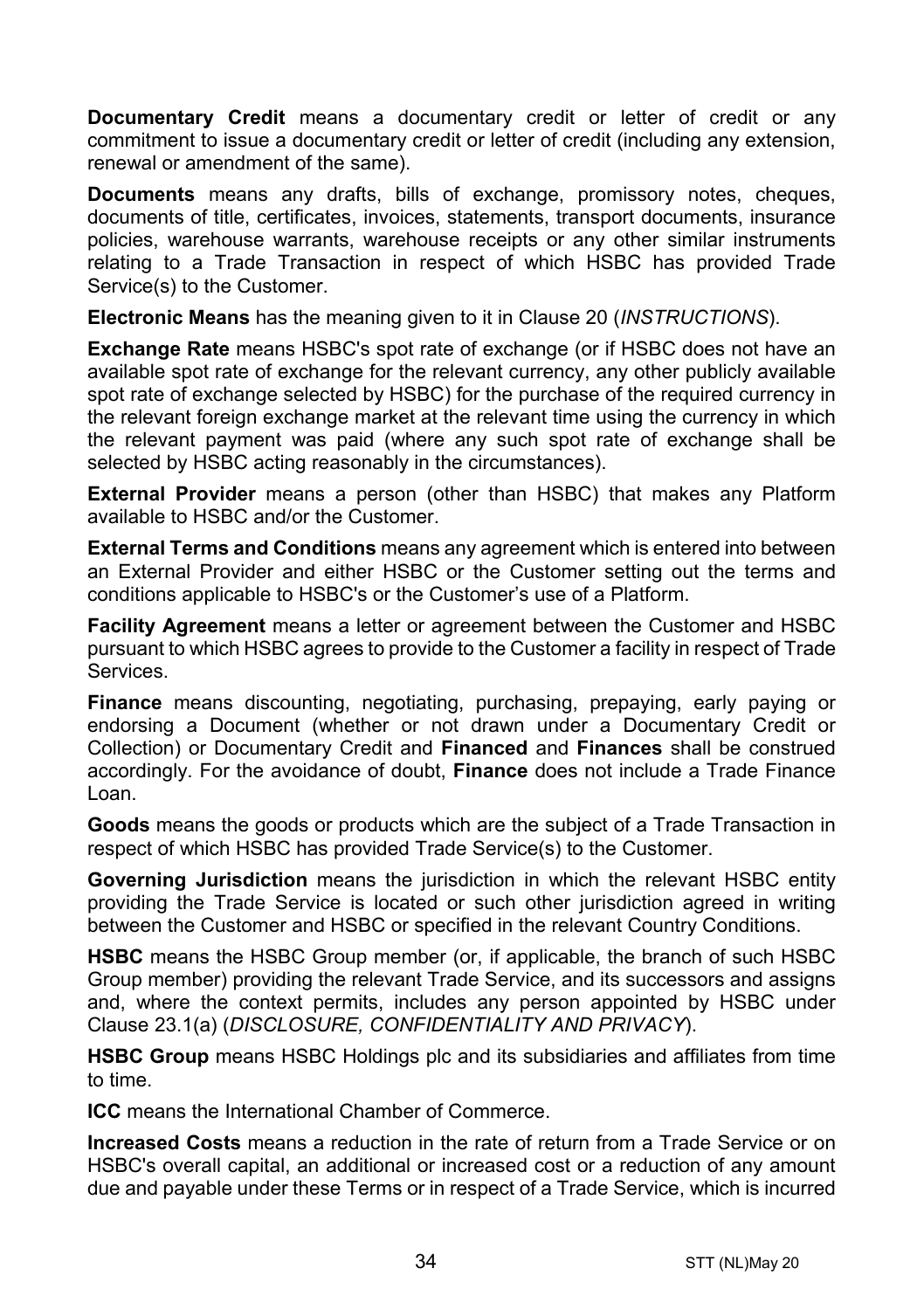**Documentary Credit** means a documentary credit or letter of credit or any commitment to issue a documentary credit or letter of credit (including any extension. renewal or amendment of the same).

**Documents** means any drafts, bills of exchange, promissory notes, cheques, documents of title, certificates, invoices, statements, transport documents, insurance policies, warehouse warrants, warehouse receipts or any other similar instruments relating to a Trade Transaction in respect of which HSBC has provided Trade Service(s) to the Customer.

**Electronic Means** has the meaning given to it in Clause [20](#page-24-0) (*[INSTRUCTIONS](#page-24-0)*).

**Exchange Rate** means HSBC's spot rate of exchange (or if HSBC does not have an available spot rate of exchange for the relevant currency, any other publicly available spot rate of exchange selected by HSBC) for the purchase of the required currency in the relevant foreign exchange market at the relevant time using the currency in which the relevant payment was paid (where any such spot rate of exchange shall be selected by HSBC acting reasonably in the circumstances).

**External Provider** means a person (other than HSBC) that makes any Platform available to HSBC and/or the Customer.

**External Terms and Conditions** means any agreement which is entered into between an External Provider and either HSBC or the Customer setting out the terms and conditions applicable to HSBC's or the Customer's use of a Platform.

**Facility Agreement** means a letter or agreement between the Customer and HSBC pursuant to which HSBC agrees to provide to the Customer a facility in respect of Trade Services.

**Finance** means discounting, negotiating, purchasing, prepaying, early paying or endorsing a Document (whether or not drawn under a Documentary Credit or Collection) or Documentary Credit and **Financed** and **Finances** shall be construed accordingly. For the avoidance of doubt, **Finance** does not include a Trade Finance Loan.

**Goods** means the goods or products which are the subject of a Trade Transaction in respect of which HSBC has provided Trade Service(s) to the Customer.

**Governing Jurisdiction** means the jurisdiction in which the relevant HSBC entity providing the Trade Service is located or such other jurisdiction agreed in writing between the Customer and HSBC or specified in the relevant Country Conditions.

**HSBC** means the HSBC Group member (or, if applicable, the branch of such HSBC Group member) providing the relevant Trade Service, and its successors and assigns and, where the context permits, includes any person appointed by HSBC under Clause [23.1\(a\)](#page-29-0) (*[DISCLOSURE, CONFIDENTIALITY AND PRIVACY](#page-28-0)*).

**HSBC Group** means HSBC Holdings plc and its subsidiaries and affiliates from time to time.

**ICC** means the International Chamber of Commerce.

**Increased Costs** means a reduction in the rate of return from a Trade Service or on HSBC's overall capital, an additional or increased cost or a reduction of any amount due and payable under these Terms or in respect of a Trade Service, which is incurred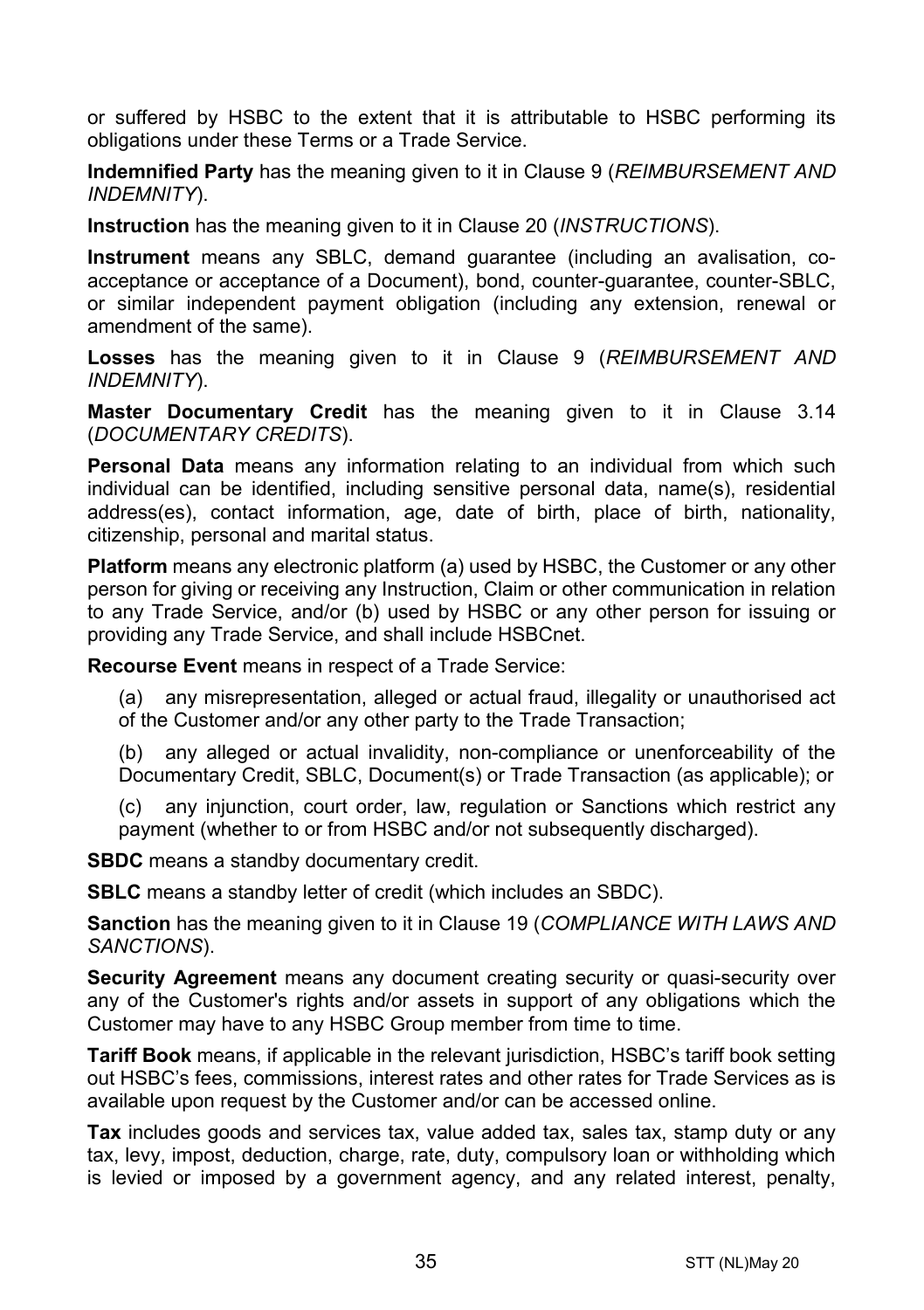or suffered by HSBC to the extent that it is attributable to HSBC performing its obligations under these Terms or a Trade Service.

**Indemnified Party** has the meaning given to it in Claus[e 9](#page-13-0) (*[REIMBURSEMENT AND](#page-13-0)  [INDEMNITY](#page-13-0)*).

**Instruction** has the meaning given to it in Clause [20](#page-24-0) (*[INSTRUCTIONS](#page-24-0)*).

**Instrument** means any SBLC, demand guarantee (including an avalisation, coacceptance or acceptance of a Document), bond, counter-guarantee, counter-SBLC, or similar independent payment obligation (including any extension, renewal or amendment of the same).

**Losses** has the meaning given to it in Clause [9](#page-13-0) (*[REIMBURSEMENT AND](#page-13-0)  [INDEMNITY](#page-13-0)*).

**Master Documentary Credit** has the meaning given to it in Clause [3.14](#page-5-0) (*[DOCUMENTARY CREDITS](#page-3-0)*).

**Personal Data** means any information relating to an individual from which such individual can be identified, including sensitive personal data, name(s), residential address(es), contact information, age, date of birth, place of birth, nationality, citizenship, personal and marital status.

**Platform** means any electronic platform (a) used by HSBC, the Customer or any other person for giving or receiving any Instruction, Claim or other communication in relation to any Trade Service, and/or (b) used by HSBC or any other person for issuing or providing any Trade Service, and shall include HSBCnet.

**Recourse Event** means in respect of a Trade Service:

(a) any misrepresentation, alleged or actual fraud, illegality or unauthorised act of the Customer and/or any other party to the Trade Transaction;

(b) any alleged or actual invalidity, non-compliance or unenforceability of the Documentary Credit, SBLC, Document(s) or Trade Transaction (as applicable); or

(c) any injunction, court order, law, regulation or Sanctions which restrict any payment (whether to or from HSBC and/or not subsequently discharged).

**SBDC** means a standby documentary credit.

**SBLC** means a standby letter of credit (which includes an SBDC).

**Sanction** has the meaning given to it in Clause [19](#page-22-0) (*[COMPLIANCE WITH LAWS AND](#page-22-0)  [SANCTIONS](#page-22-0)*).

**Security Agreement** means any document creating security or quasi-security over any of the Customer's rights and/or assets in support of any obligations which the Customer may have to any HSBC Group member from time to time.

**Tariff Book** means, if applicable in the relevant jurisdiction, HSBC's tariff book setting out HSBC's fees, commissions, interest rates and other rates for Trade Services as is available upon request by the Customer and/or can be accessed online.

**Tax** includes goods and services tax, value added tax, sales tax, stamp duty or any tax, levy, impost, deduction, charge, rate, duty, compulsory loan or withholding which is levied or imposed by a government agency, and any related interest, penalty,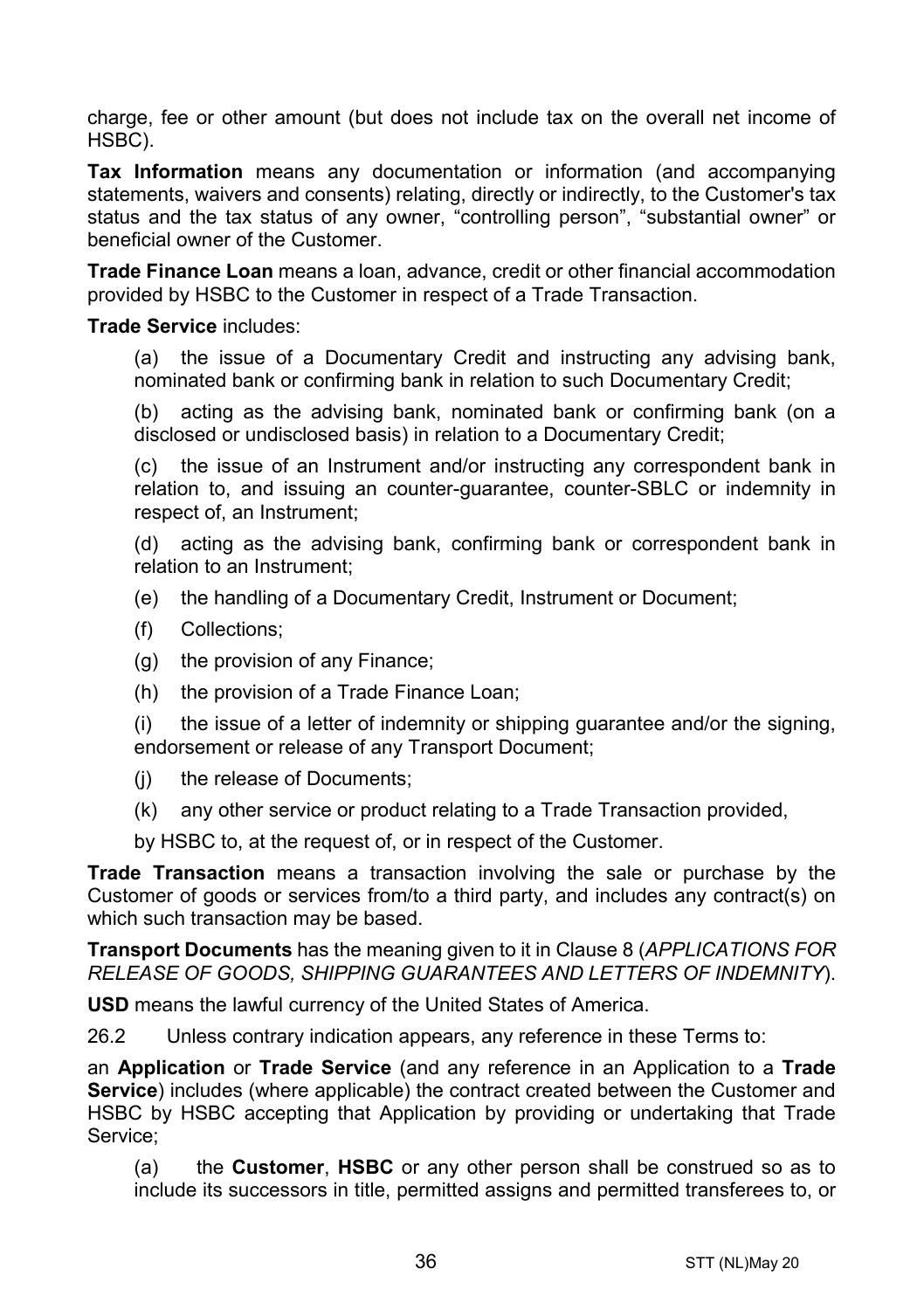charge, fee or other amount (but does not include tax on the overall net income of HSBC).

**Tax Information** means any documentation or information (and accompanying statements, waivers and consents) relating, directly or indirectly, to the Customer's tax status and the tax status of any owner, "controlling person", "substantial owner" or beneficial owner of the Customer.

**Trade Finance Loan** means a loan, advance, credit or other financial accommodation provided by HSBC to the Customer in respect of a Trade Transaction.

#### **Trade Service** includes:

(a) the issue of a Documentary Credit and instructing any advising bank, nominated bank or confirming bank in relation to such Documentary Credit;

(b) acting as the advising bank, nominated bank or confirming bank (on a disclosed or undisclosed basis) in relation to a Documentary Credit;

(c) the issue of an Instrument and/or instructing any correspondent bank in relation to, and issuing an counter-guarantee, counter-SBLC or indemnity in respect of, an Instrument;

(d) acting as the advising bank, confirming bank or correspondent bank in relation to an Instrument;

- (e) the handling of a Documentary Credit, Instrument or Document;
- (f) Collections;
- (g) the provision of any Finance;
- (h) the provision of a Trade Finance Loan;

(i) the issue of a letter of indemnity or shipping guarantee and/or the signing, endorsement or release of any Transport Document;

- (j) the release of Documents;
- (k) any other service or product relating to a Trade Transaction provided,

by HSBC to, at the request of, or in respect of the Customer.

**Trade Transaction** means a transaction involving the sale or purchase by the Customer of goods or services from/to a third party, and includes any contract(s) on which such transaction may be based.

**Transport Documents** has the meaning given to it in Clause [8](#page-12-0) (*[APPLICATIONS FOR](#page-12-0)  [RELEASE OF GOODS, SHIPPING GUARANTEES AND](#page-12-0) LETTERS OF INDEMNITY*).

**USD** means the lawful currency of the United States of America.

26.2 Unless contrary indication appears, any reference in these Terms to:

an **Application** or **Trade Service** (and any reference in an Application to a **Trade Service**) includes (where applicable) the contract created between the Customer and HSBC by HSBC accepting that Application by providing or undertaking that Trade Service;

(a) the **Customer**, **HSBC** or any other person shall be construed so as to include its successors in title, permitted assigns and permitted transferees to, or